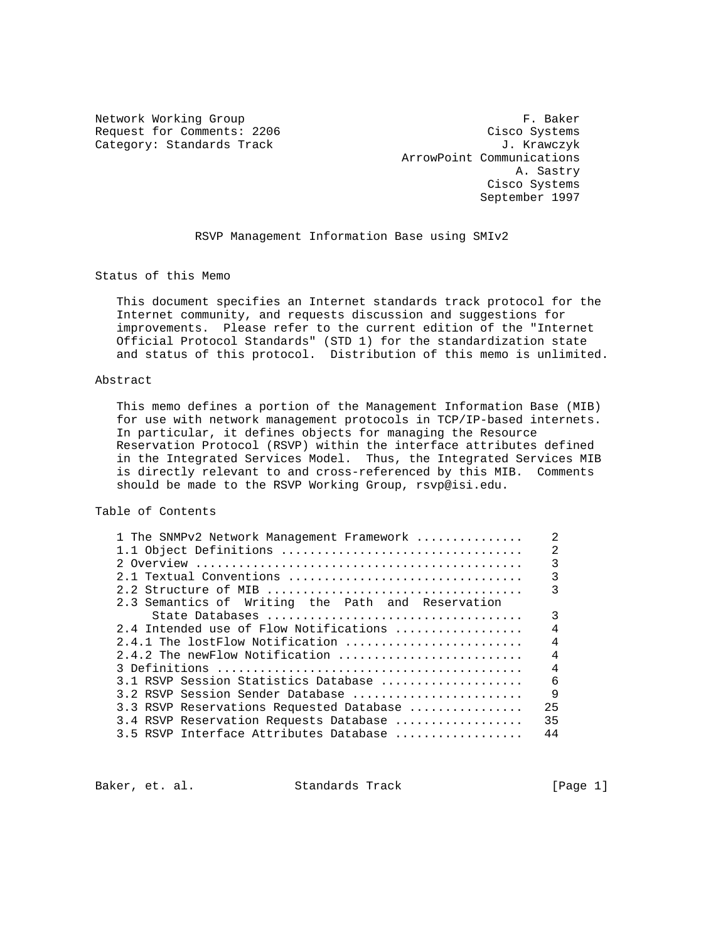Request for Comments: 2206 Cisco Systems Category: Standards Track Gategory: Standards Track J. Krawczyk

Network Working Group **F. Baker**  ArrowPoint Communications A. Sastry Cisco Systems September 1997

RSVP Management Information Base using SMIv2

Status of this Memo

 This document specifies an Internet standards track protocol for the Internet community, and requests discussion and suggestions for improvements. Please refer to the current edition of the "Internet Official Protocol Standards" (STD 1) for the standardization state and status of this protocol. Distribution of this memo is unlimited.

#### Abstract

 This memo defines a portion of the Management Information Base (MIB) for use with network management protocols in TCP/IP-based internets. In particular, it defines objects for managing the Resource Reservation Protocol (RSVP) within the interface attributes defined in the Integrated Services Model. Thus, the Integrated Services MIB is directly relevant to and cross-referenced by this MIB. Comments should be made to the RSVP Working Group, rsvp@isi.edu.

# Table of Contents

| 1 The SNMPv2 Network Management Framework         | $\mathfrak{D}$ |
|---------------------------------------------------|----------------|
| 1.1 Object Definitions                            | $\mathfrak{D}$ |
|                                                   | 3              |
| 2.1 Textual Conventions                           | 3              |
|                                                   | 3              |
| 2.3 Semantics of Writing the Path and Reservation |                |
|                                                   | 3              |
| 2.4 Intended use of Flow Notifications            | $\overline{4}$ |
| 2.4.1 The lostFlow Notification                   | $\overline{4}$ |
| 2.4.2 The newFlow Notification                    | $\overline{4}$ |
|                                                   | $\overline{4}$ |
| 3.1 RSVP Session Statistics Database              | 6              |
| 3.2 RSVP Session Sender Database                  | $\mathsf{Q}$   |
| 3.3 RSVP Reservations Requested Database          | 2.5            |
| 3.4 RSVP Reservation Requests Database            | 35             |
| 3.5 RSVP Interface Attributes Database            | 44             |
|                                                   |                |

Baker, et. al. Standards Track [Page 1]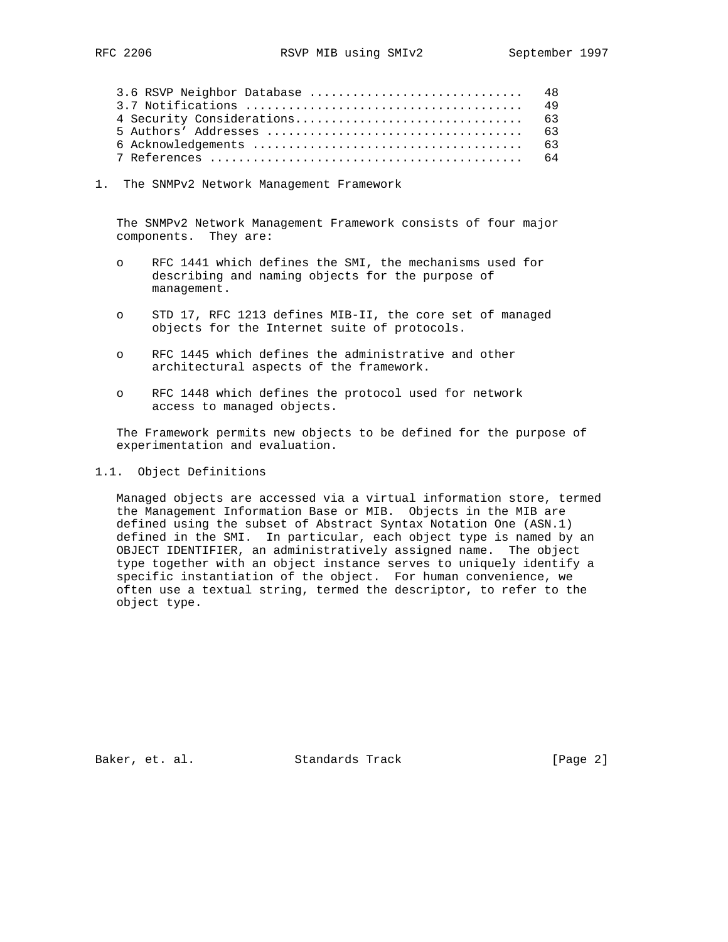| 3.6 RSVP Neighbor Database  48 |  |
|--------------------------------|--|
|                                |  |
|                                |  |
|                                |  |
|                                |  |
|                                |  |

1. The SNMPv2 Network Management Framework

 The SNMPv2 Network Management Framework consists of four major components. They are:

- o RFC 1441 which defines the SMI, the mechanisms used for describing and naming objects for the purpose of management.
- o STD 17, RFC 1213 defines MIB-II, the core set of managed objects for the Internet suite of protocols.
- o RFC 1445 which defines the administrative and other architectural aspects of the framework.
- o RFC 1448 which defines the protocol used for network access to managed objects.

 The Framework permits new objects to be defined for the purpose of experimentation and evaluation.

### 1.1. Object Definitions

 Managed objects are accessed via a virtual information store, termed the Management Information Base or MIB. Objects in the MIB are defined using the subset of Abstract Syntax Notation One (ASN.1) defined in the SMI. In particular, each object type is named by an OBJECT IDENTIFIER, an administratively assigned name. The object type together with an object instance serves to uniquely identify a specific instantiation of the object. For human convenience, we often use a textual string, termed the descriptor, to refer to the object type.

Baker, et. al. Standards Track [Page 2]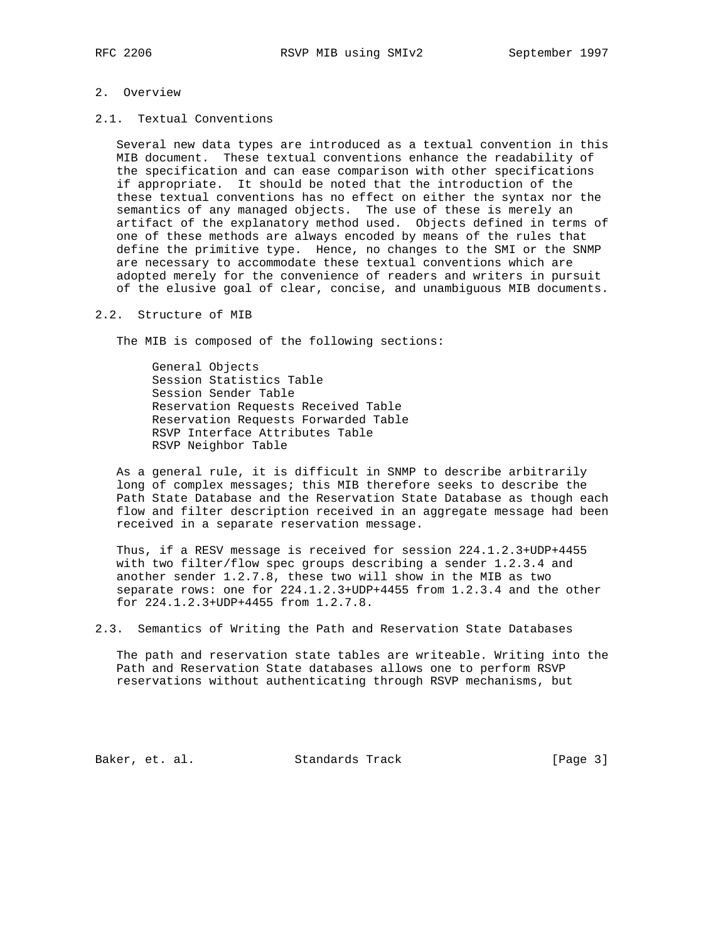## 2. Overview

2.1. Textual Conventions

 Several new data types are introduced as a textual convention in this MIB document. These textual conventions enhance the readability of the specification and can ease comparison with other specifications if appropriate. It should be noted that the introduction of the these textual conventions has no effect on either the syntax nor the semantics of any managed objects. The use of these is merely an artifact of the explanatory method used. Objects defined in terms of one of these methods are always encoded by means of the rules that define the primitive type. Hence, no changes to the SMI or the SNMP are necessary to accommodate these textual conventions which are adopted merely for the convenience of readers and writers in pursuit of the elusive goal of clear, concise, and unambiguous MIB documents.

#### 2.2. Structure of MIB

The MIB is composed of the following sections:

 General Objects Session Statistics Table Session Sender Table Reservation Requests Received Table Reservation Requests Forwarded Table RSVP Interface Attributes Table RSVP Neighbor Table

 As a general rule, it is difficult in SNMP to describe arbitrarily long of complex messages; this MIB therefore seeks to describe the Path State Database and the Reservation State Database as though each flow and filter description received in an aggregate message had been received in a separate reservation message.

 Thus, if a RESV message is received for session 224.1.2.3+UDP+4455 with two filter/flow spec groups describing a sender 1.2.3.4 and another sender 1.2.7.8, these two will show in the MIB as two separate rows: one for 224.1.2.3+UDP+4455 from 1.2.3.4 and the other for 224.1.2.3+UDP+4455 from 1.2.7.8.

2.3. Semantics of Writing the Path and Reservation State Databases

 The path and reservation state tables are writeable. Writing into the Path and Reservation State databases allows one to perform RSVP reservations without authenticating through RSVP mechanisms, but

Baker, et. al. Standards Track [Page 3]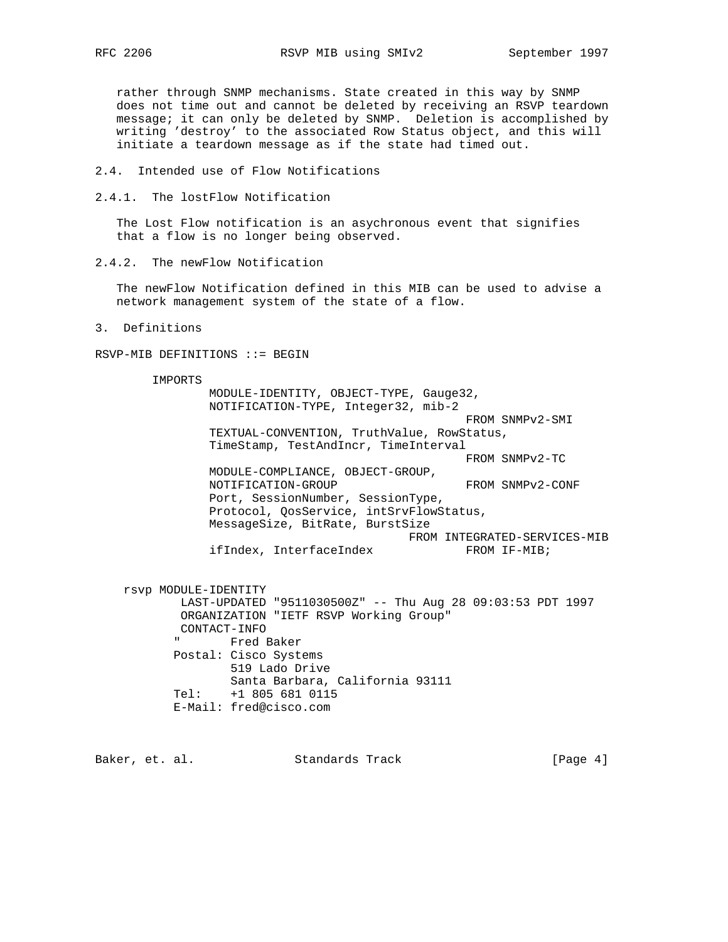rather through SNMP mechanisms. State created in this way by SNMP does not time out and cannot be deleted by receiving an RSVP teardown message; it can only be deleted by SNMP. Deletion is accomplished by writing 'destroy' to the associated Row Status object, and this will initiate a teardown message as if the state had timed out.

- 2.4. Intended use of Flow Notifications
- 2.4.1. The lostFlow Notification

 The Lost Flow notification is an asychronous event that signifies that a flow is no longer being observed.

2.4.2. The newFlow Notification

 The newFlow Notification defined in this MIB can be used to advise a network management system of the state of a flow.

3. Definitions

RSVP-MIB DEFINITIONS ::= BEGIN

IMPORTS

 MODULE-IDENTITY, OBJECT-TYPE, Gauge32, NOTIFICATION-TYPE, Integer32, mib-2 FROM SNMPv2-SMI TEXTUAL-CONVENTION, TruthValue, RowStatus, TimeStamp, TestAndIncr, TimeInterval FROM SNMPv2-TC MODULE-COMPLIANCE, OBJECT-GROUP, NOTIFICATION-GROUP FROM SNMPv2-CONF Port, SessionNumber, SessionType, Protocol, QosService, intSrvFlowStatus, MessageSize, BitRate, BurstSize FROM INTEGRATED-SERVICES-MIB ifIndex, InterfaceIndex FROM IF-MIB;

 rsvp MODULE-IDENTITY LAST-UPDATED "9511030500Z" -- Thu Aug 28 09:03:53 PDT 1997 ORGANIZATION "IETF RSVP Working Group" CONTACT-INFO Fred Baker Postal: Cisco Systems 519 Lado Drive Santa Barbara, California 93111 Tel: +1 805 681 0115 E-Mail: fred@cisco.com

Baker, et. al. Standards Track [Page 4]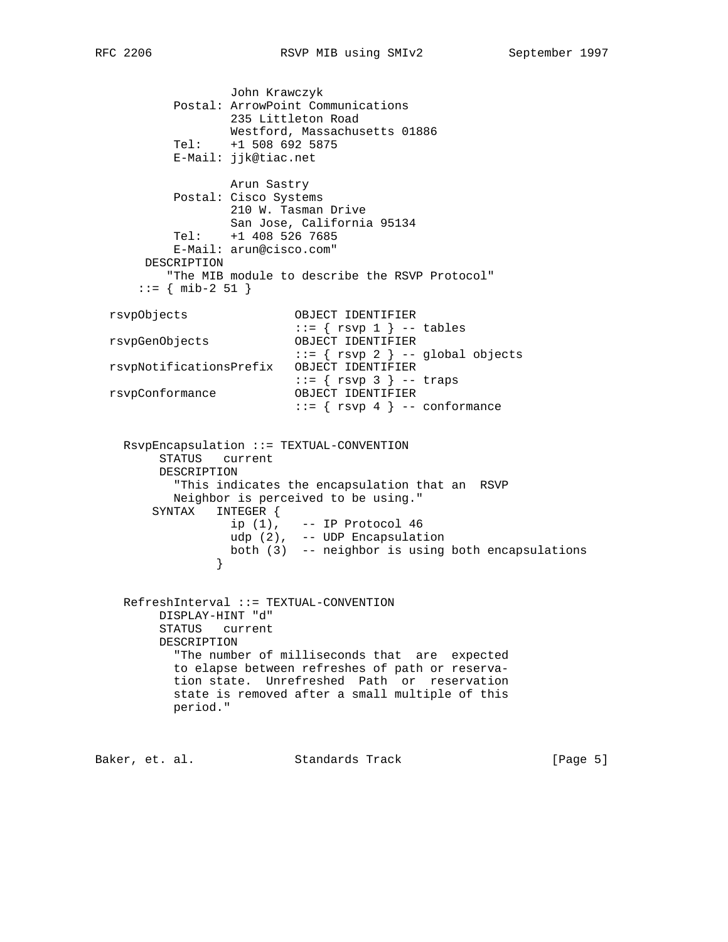John Krawczyk Postal: ArrowPoint Communications 235 Littleton Road Westford, Massachusetts 01886 Tel: +1 508 692 5875 E-Mail: jjk@tiac.net Arun Sastry Postal: Cisco Systems 210 W. Tasman Drive San Jose, California 95134 Tel: +1 408 526 7685 E-Mail: arun@cisco.com" DESCRIPTION "The MIB module to describe the RSVP Protocol"  $::=$  { mib-2 51 } rsvpObjects OBJECT IDENTIFIER  $::=$  {  $rsvp 1$  } -- tables rsvpGenObjects OBJECT IDENTIFIER ::= { rsvp 2 } -- global objects rsvpNotificationsPrefix OBJECT IDENTIFIER ::= { rsvp 3 } -- traps rsvpConformance OBJECT IDENTIFIER ::= { rsvp 4 } -- conformance RsvpEncapsulation ::= TEXTUAL-CONVENTION STATUS current DESCRIPTION "This indicates the encapsulation that an RSVP Neighbor is perceived to be using." SYNTAX INTEGER { ip (1), -- IP Protocol 46 udp (2), -- UDP Encapsulation both (3) -- neighbor is using both encapsulations } } RefreshInterval ::= TEXTUAL-CONVENTION DISPLAY-HINT "d" STATUS current DESCRIPTION "The number of milliseconds that are expected to elapse between refreshes of path or reserva tion state. Unrefreshed Path or reservation state is removed after a small multiple of this period."

Baker, et. al. Standards Track [Page 5]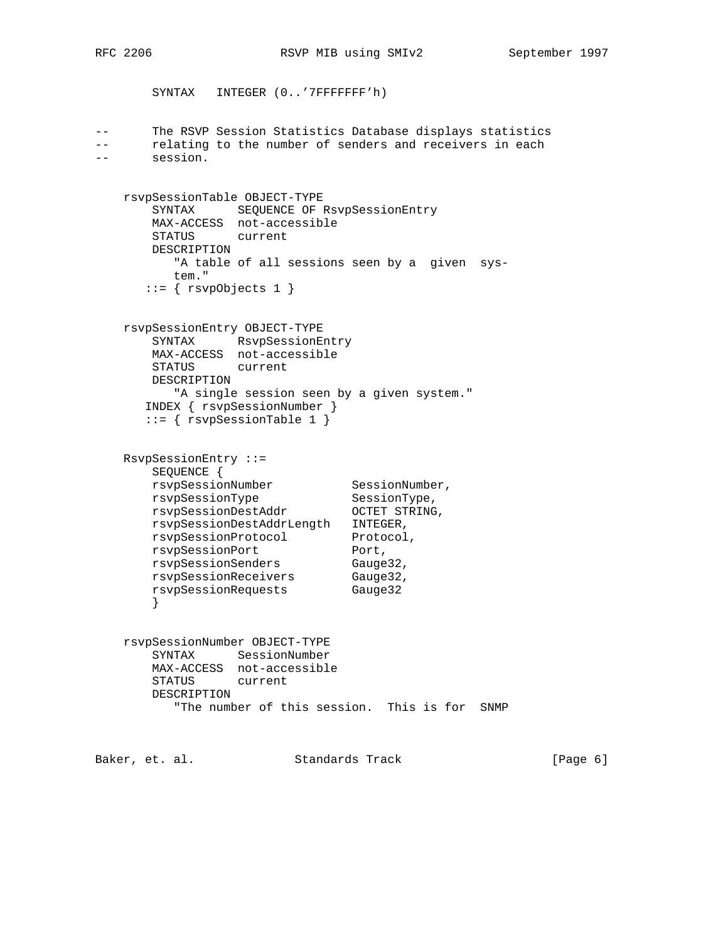SYNTAX INTEGER (0..'7FFFFFFF'h)

```
-- The RSVP Session Statistics Database displays statistics
-- relating to the number of senders and receivers in each
       session.
```

```
 rsvpSessionTable OBJECT-TYPE
     SYNTAX SEQUENCE OF RsvpSessionEntry
     MAX-ACCESS not-accessible
     STATUS current
     DESCRIPTION
        "A table of all sessions seen by a given sys-
        tem."
    ::= \{ \text{rsvpobjects 1 } \} rsvpSessionEntry OBJECT-TYPE
```

```
 SYNTAX RsvpSessionEntry
 MAX-ACCESS not-accessible
 STATUS current
 DESCRIPTION
    "A single session seen by a given system."
 INDEX { rsvpSessionNumber }
 ::= { rsvpSessionTable 1 }
```

```
 RsvpSessionEntry ::=
      SEQUENCE {
rsvpSessionNumber SessionNumber,
rsvpSessionType SessionType,
 rsvpSessionDestAddr OCTET STRING,
 rsvpSessionDestAddrLength INTEGER,
rsvpSessionProtocol Protocol,
rsvpSessionPort Port,
 rsvpSessionSenders Gauge32,
 rsvpSessionReceivers Gauge32,
 rsvpSessionRequests Gauge32
      }
```

```
 rsvpSessionNumber OBJECT-TYPE
    SYNTAX SessionNumber
    MAX-ACCESS not-accessible
    STATUS current
    DESCRIPTION
        "The number of this session. This is for SNMP
```
Baker, et. al. Standards Track [Page 6]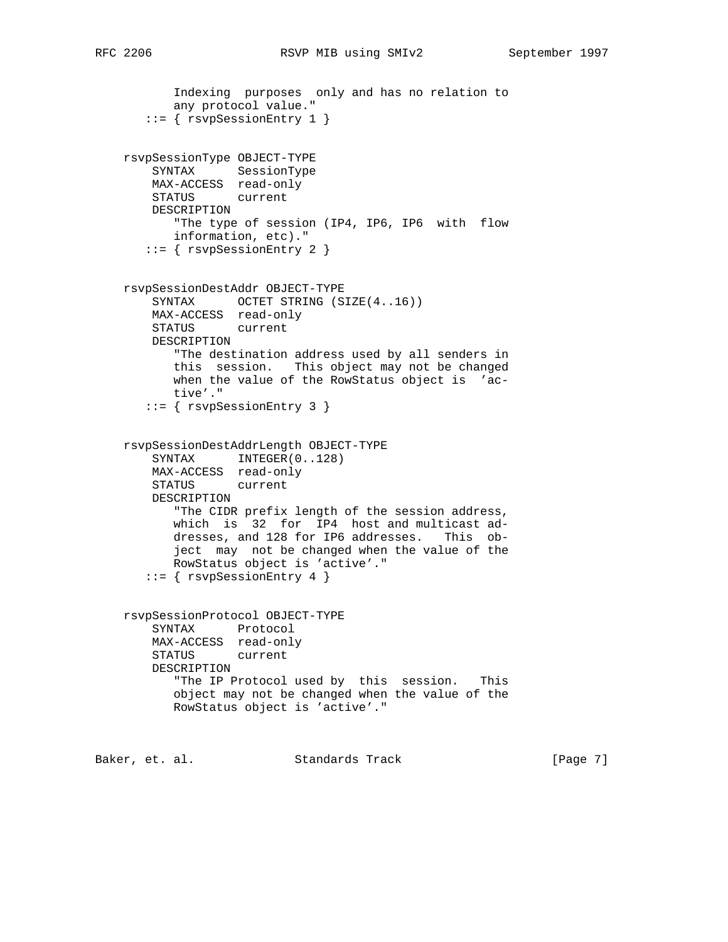```
 Indexing purposes only and has no relation to
        any protocol value."
    ::= { rsvpSessionEntry 1 }
 rsvpSessionType OBJECT-TYPE
     SYNTAX SessionType
    MAX-ACCESS read-only
    STATUS current
    DESCRIPTION
        "The type of session (IP4, IP6, IP6 with flow
       information, etc)."
    ::= { rsvpSessionEntry 2 }
 rsvpSessionDestAddr OBJECT-TYPE
    SYNTAX OCTET STRING (SIZE(4..16))
   MAX-ACCESS read-only<br>STATUS current
   STATUS
    DESCRIPTION
        "The destination address used by all senders in
        this session. This object may not be changed
       when the value of the RowStatus object is 'ac-
       tive'."
    ::= { rsvpSessionEntry 3 }
 rsvpSessionDestAddrLength OBJECT-TYPE
    SYNTAX INTEGER(0..128)
    MAX-ACCESS read-only
     STATUS current
    DESCRIPTION
        "The CIDR prefix length of the session address,
        which is 32 for IP4 host and multicast ad-
        dresses, and 128 for IP6 addresses. This ob-
        ject may not be changed when the value of the
       RowStatus object is 'active'."
    ::= { rsvpSessionEntry 4 }
 rsvpSessionProtocol OBJECT-TYPE
    SYNTAX Protocol
    MAX-ACCESS read-only
    STATUS current
    DESCRIPTION
        "The IP Protocol used by this session. This
       object may not be changed when the value of the
       RowStatus object is 'active'."
```
Baker, et. al. Standards Track [Page 7]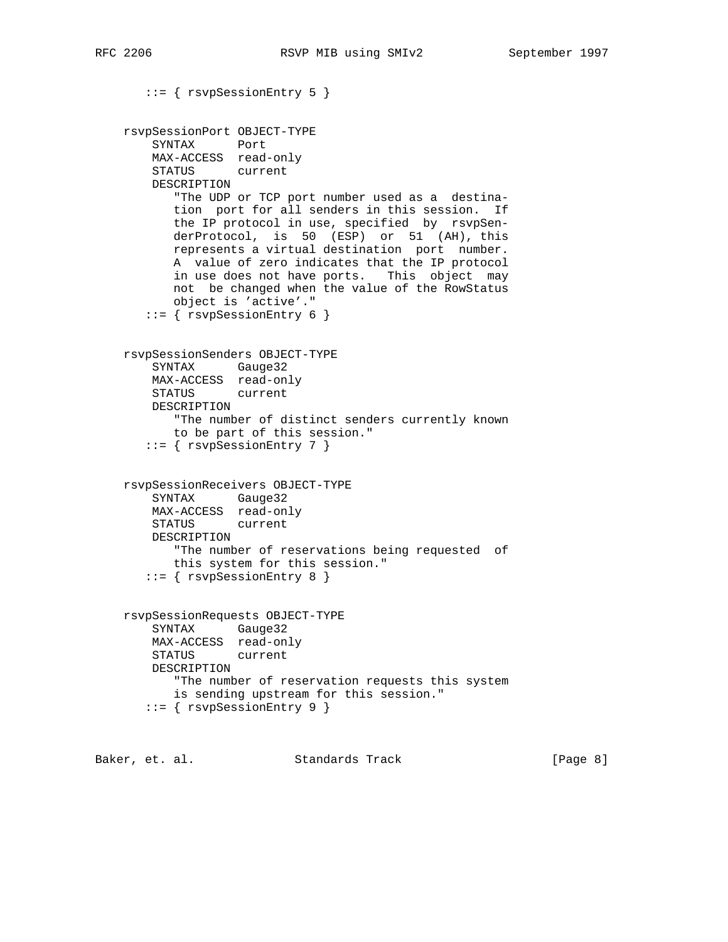```
 ::= { rsvpSessionEntry 5 }
 rsvpSessionPort OBJECT-TYPE
     SYNTAX Port
    MAX-ACCESS read-only
    STATUS current
    DESCRIPTION
        "The UDP or TCP port number used as a destina-
       tion port for all senders in this session. If
       the IP protocol in use, specified by rsvpSen-
       derProtocol, is 50 (ESP) or 51 (AH), this
       represents a virtual destination port number.
       A value of zero indicates that the IP protocol
       in use does not have ports. This object may
       not be changed when the value of the RowStatus
       object is 'active'."
    ::= { rsvpSessionEntry 6 }
 rsvpSessionSenders OBJECT-TYPE
    SYNTAX Gauge32
    MAX-ACCESS read-only
    STATUS current
    DESCRIPTION
       "The number of distinct senders currently known
       to be part of this session."
    ::= { rsvpSessionEntry 7 }
 rsvpSessionReceivers OBJECT-TYPE
    SYNTAX Gauge32
    MAX-ACCESS read-only
    STATUS current
    DESCRIPTION
       "The number of reservations being requested of
       this system for this session."
    ::= { rsvpSessionEntry 8 }
 rsvpSessionRequests OBJECT-TYPE
    SYNTAX Gauge32
    MAX-ACCESS read-only
    STATUS current
    DESCRIPTION
        "The number of reservation requests this system
       is sending upstream for this session."
    ::= { rsvpSessionEntry 9 }
```
Baker, et. al. Standards Track [Page 8]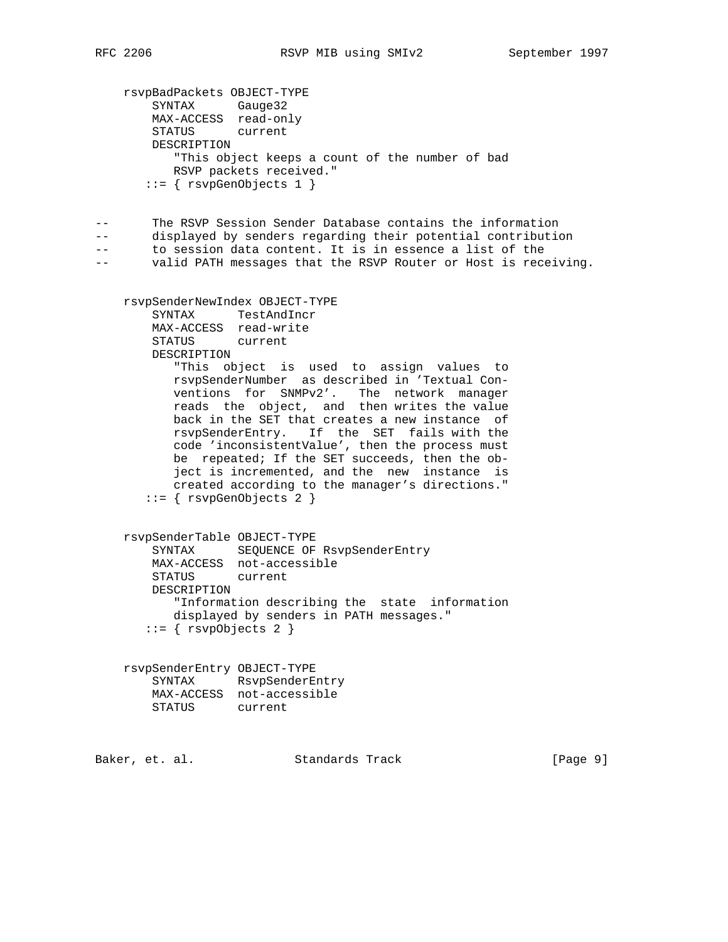```
 rsvpBadPackets OBJECT-TYPE
 SYNTAX Gauge32
 MAX-ACCESS read-only
        STATUS current
        DESCRIPTION
           "This object keeps a count of the number of bad
           RSVP packets received."
      ::= { rsvpcenObjects 1 }
-- The RSVP Session Sender Database contains the information
-- displayed by senders regarding their potential contribution
-- to session data content. It is in essence a list of the
-- valid PATH messages that the RSVP Router or Host is receiving.
    rsvpSenderNewIndex OBJECT-TYPE
        SYNTAX TestAndIncr
        MAX-ACCESS read-write
        STATUS current
        DESCRIPTION
           "This object is used to assign values to
           rsvpSenderNumber as described in 'Textual Con-
           ventions for SNMPv2'. The network manager
           reads the object, and then writes the value
           back in the SET that creates a new instance of
           rsvpSenderEntry. If the SET fails with the
           code 'inconsistentValue', then the process must
           be repeated; If the SET succeeds, then the ob-
           ject is incremented, and the new instance is
           created according to the manager's directions."
      ::= { rsvpGenObjects 2 }
    rsvpSenderTable OBJECT-TYPE
        SYNTAX SEQUENCE OF RsvpSenderEntry
        MAX-ACCESS not-accessible
        STATUS current
        DESCRIPTION
           "Information describing the state information
           displayed by senders in PATH messages."
      ::= { rsvpObjects 2 }
    rsvpSenderEntry OBJECT-TYPE
        SYNTAX RsvpSenderEntry
        MAX-ACCESS not-accessible
        STATUS current
Baker, et. al. Standards Track [Page 9]
```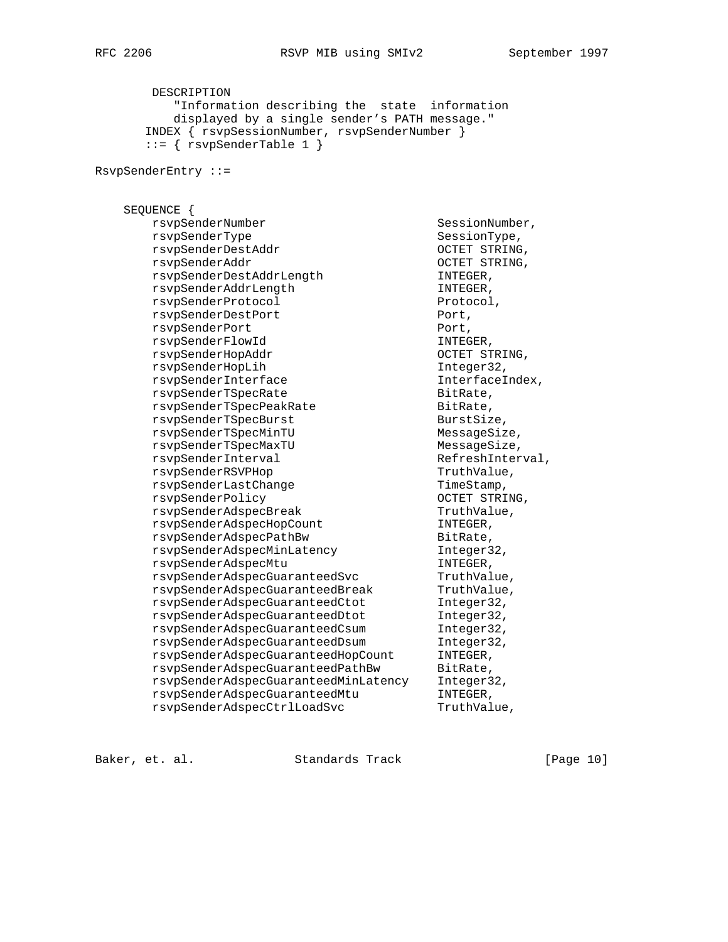DESCRIPTION "Information describing the state information displayed by a single sender's PATH message." INDEX { rsvpSessionNumber, rsvpSenderNumber }  $::=$  { rsvpSenderTable 1 }

RsvpSenderEntry ::=

 SEQUENCE { rsvpSenderNumber SessionNumber, rsvpSenderType SessionType, rsvpSenderDestAddr OCTET STRING, rsvpSenderAddr OCTET STRING, rsvpSenderDestAddrLength INTEGER, rsvpSenderAddrLength INTEGER, rsvpSenderProtocol Protocol, rsvpSenderDestPort extending port, rsvpSenderPort Port, rsvpSenderFlowId INTEGER, rsvpSenderHopAddr OCTET STRING, rsvpSenderHopLih Integer32, rsvpSenderInterface interface Interface<br>Interface Interface Interface rsvpSenderTSpecRate and BitRate,<br>
rsvpSenderTSpecPeakRate BitRate, rsvpSenderTSpecPeakRate and BitRate, rsvpSenderTSpecBurst BurstSize, rsvpSenderTSpecMinTU MessageSize, rsvpSenderTSpecMaxTU messageSize, rsvpSenderInterval RefreshInterval, rsvpSenderRSVPHop TruthValue, rsvpSenderLastChange TimeStamp, rsvpSenderPolicy and the controller octet strains, rsvpSenderAdspecBreak TruthValue, rsvpSenderAdspecHopCount INTEGER, rsvpSenderAdspecPathBw BitRate, rsvpSenderAdspecMinLatency Integer32, rsvpSenderAdspecMtu international international example of  $\Gamma$ rsvpSenderAdspecGuaranteedSvc TruthValue, rsvpSenderAdspecGuaranteedBreak TruthValue, rsvpSenderAdspecGuaranteedCtot Integer32, rsvpSenderAdspecGuaranteedDtot Integer32, rsvpSenderAdspecGuaranteedCsum Integer32, rsvpSenderAdspecGuaranteedDsum Integer32, rsvpSenderAdspecGuaranteedHopCount INTEGER, rsvpSenderAdspecGuaranteedPathBw BitRate, rsvpSenderAdspecGuaranteedMinLatency Integer32, rsvpSenderAdspecGuaranteedMtu INTEGER, rsvpSenderAdspecCtrlLoadSvc TruthValue,

Baker, et. al. Standards Track [Page 10]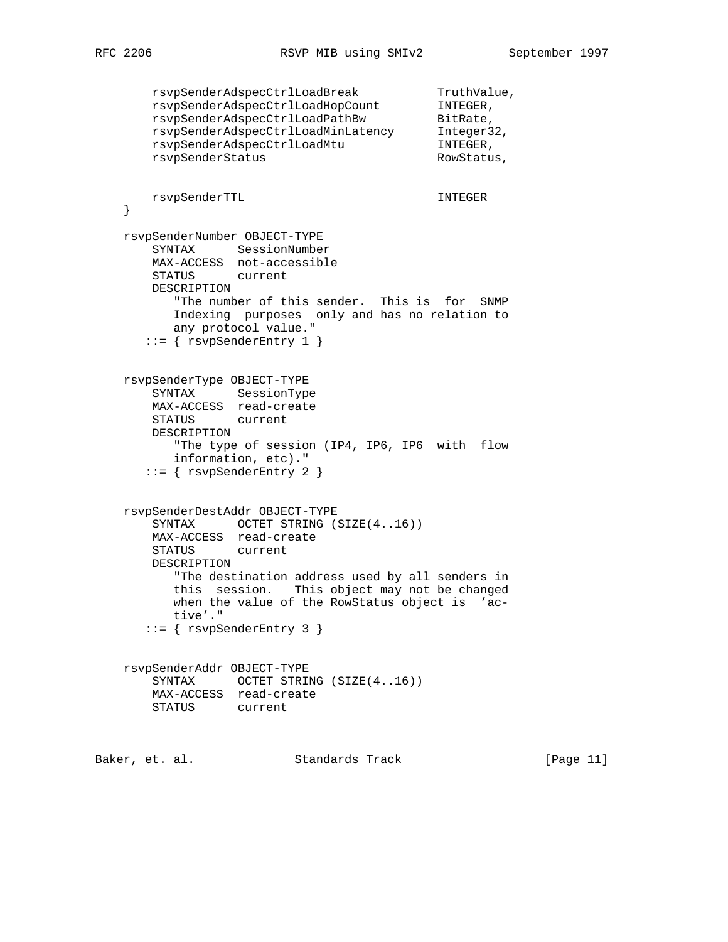```
rsvpSenderAdspecCtrlLoadBreak TruthValue,
 rsvpSenderAdspecCtrlLoadHopCount INTEGER,
rsvpSenderAdspecCtrlLoadPathBw BitRate,
 rsvpSenderAdspecCtrlLoadMinLatency Integer32,
 rsvpSenderAdspecCtrlLoadMtu INTEGER,
      rsvpSenderStatus RowStatus,
       rsvpSenderTTL INTEGER
    }
    rsvpSenderNumber OBJECT-TYPE
       SYNTAX SessionNumber
       MAX-ACCESS not-accessible
       STATUS current
       DESCRIPTION
          "The number of this sender. This is for SNMP
          Indexing purposes only and has no relation to
          any protocol value."
      ::= { rsvpSenderEntry 1 }
    rsvpSenderType OBJECT-TYPE
       SYNTAX SessionType
       MAX-ACCESS read-create
       STATUS current
       DESCRIPTION
          "The type of session (IP4, IP6, IP6 with flow
          information, etc)."
       ::= { rsvpSenderEntry 2 }
    rsvpSenderDestAddr OBJECT-TYPE
      SYNTAX OCTET STRING (SIZE(4..16))
       MAX-ACCESS read-create
       STATUS current
       DESCRIPTION
          "The destination address used by all senders in
          this session. This object may not be changed
          when the value of the RowStatus object is 'ac-
          tive'."
       ::= { rsvpSenderEntry 3 }
    rsvpSenderAddr OBJECT-TYPE
      SYNTAX OCTET STRING (SIZE(4..16))
       MAX-ACCESS read-create
       STATUS current
Baker, et. al. Standards Track [Page 11]
```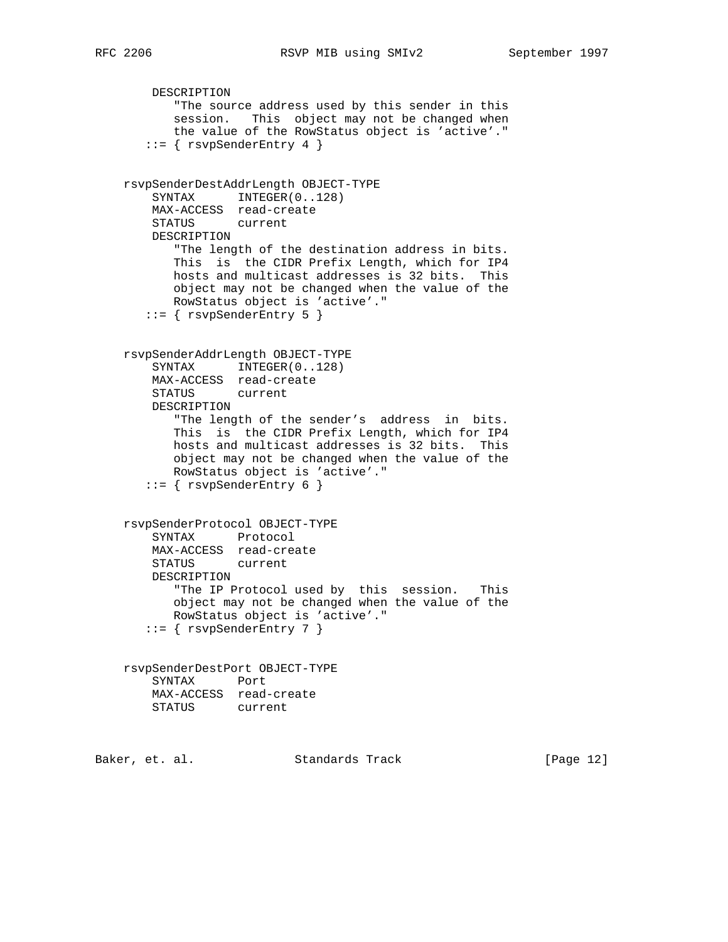```
 DESCRIPTION
           "The source address used by this sender in this
           session. This object may not be changed when
           the value of the RowStatus object is 'active'."
       ::= { rsvpSenderEntry 4 }
    rsvpSenderDestAddrLength OBJECT-TYPE
       SYNTAX INTEGER(0..128)
        MAX-ACCESS read-create
        STATUS current
        DESCRIPTION
           "The length of the destination address in bits.
           This is the CIDR Prefix Length, which for IP4
           hosts and multicast addresses is 32 bits. This
           object may not be changed when the value of the
           RowStatus object is 'active'."
       ::= { rsvpSenderEntry 5 }
    rsvpSenderAddrLength OBJECT-TYPE
       SYNTAX INTEGER(0..128)
        MAX-ACCESS read-create
        STATUS current
        DESCRIPTION
           "The length of the sender's address in bits.
           This is the CIDR Prefix Length, which for IP4
           hosts and multicast addresses is 32 bits. This
           object may not be changed when the value of the
           RowStatus object is 'active'."
      ::= { rsvpSenderEntry 6 }
    rsvpSenderProtocol OBJECT-TYPE
        SYNTAX Protocol
        MAX-ACCESS read-create
        STATUS current
        DESCRIPTION
           "The IP Protocol used by this session. This
           object may not be changed when the value of the
           RowStatus object is 'active'."
      ::= { rsvpsenderEntry 7 }
    rsvpSenderDestPort OBJECT-TYPE
        SYNTAX Port
        MAX-ACCESS read-create
        STATUS current
Baker, et. al. Standards Track [Page 12]
```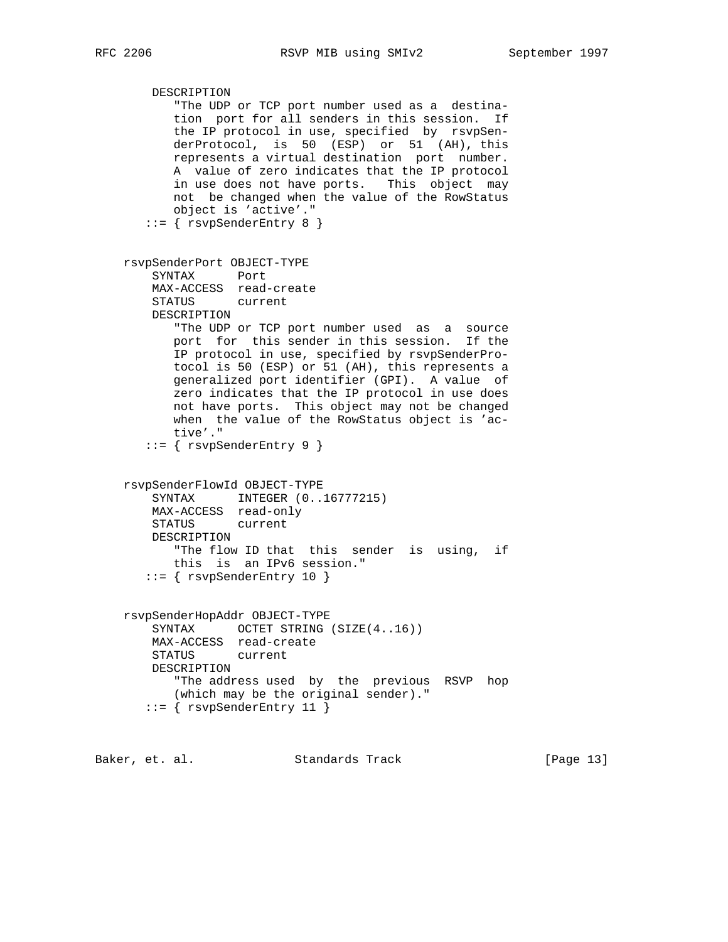```
 DESCRIPTION
        "The UDP or TCP port number used as a destina-
        tion port for all senders in this session. If
       the IP protocol in use, specified by rsvpSen-
       derProtocol, is 50 (ESP) or 51 (AH), this
       represents a virtual destination port number.
       A value of zero indicates that the IP protocol
       in use does not have ports. This object may
       not be changed when the value of the RowStatus
       object is 'active'."
    ::= { rsvpSenderEntry 8 }
 rsvpSenderPort OBJECT-TYPE
     SYNTAX Port
    MAX-ACCESS read-create
    STATUS current
    DESCRIPTION
       "The UDP or TCP port number used as a source
       port for this sender in this session. If the
       IP protocol in use, specified by rsvpSenderPro-
       tocol is 50 (ESP) or 51 (AH), this represents a
       generalized port identifier (GPI). A value of
       zero indicates that the IP protocol in use does
       not have ports. This object may not be changed
       when the value of the RowStatus object is 'ac-
       tive'."
    ::= { rsvpSenderEntry 9 }
 rsvpSenderFlowId OBJECT-TYPE
    SYNTAX INTEGER (0..16777215)
    MAX-ACCESS read-only
    STATUS current
    DESCRIPTION
       "The flow ID that this sender is using, if
       this is an IPv6 session."
   ::= { rsvpSenderEntry 10 }
 rsvpSenderHopAddr OBJECT-TYPE
   SYNTAX OCTET STRING (SIZE(4..16))
    MAX-ACCESS read-create
    STATUS current
    DESCRIPTION
        "The address used by the previous RSVP hop
        (which may be the original sender)."
    ::= { rsvpSenderEntry 11 }
```
Baker, et. al. Standards Track [Page 13]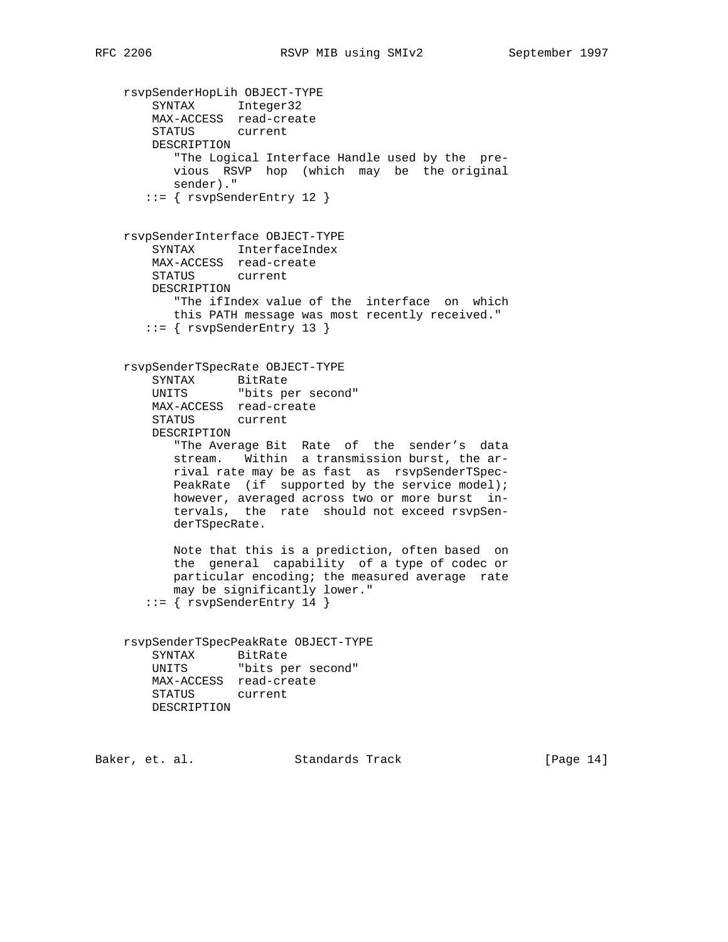```
 rsvpSenderHopLih OBJECT-TYPE
 SYNTAX Integer32
 MAX-ACCESS read-create
        STATUS current
        DESCRIPTION
           "The Logical Interface Handle used by the pre-
           vious RSVP hop (which may be the original
           sender)."
       ::= { rsvpSenderEntry 12 }
    rsvpSenderInterface OBJECT-TYPE
        SYNTAX InterfaceIndex
        MAX-ACCESS read-create
        STATUS current
        DESCRIPTION
           "The ifIndex value of the interface on which
           this PATH message was most recently received."
       ::= { rsvpSenderEntry 13 }
    rsvpSenderTSpecRate OBJECT-TYPE
 SYNTAX BitRate
 UNITS "bits per second"
        MAX-ACCESS read-create
        STATUS current
        DESCRIPTION
           "The Average Bit Rate of the sender's data
           stream. Within a transmission burst, the ar-
           rival rate may be as fast as rsvpSenderTSpec-
          PeakRate (if supported by the service model);
           however, averaged across two or more burst in-
           tervals, the rate should not exceed rsvpSen-
           derTSpecRate.
           Note that this is a prediction, often based on
           the general capability of a type of codec or
           particular encoding; the measured average rate
           may be significantly lower."
      ::= { rsvpSenderEntry 14 }
    rsvpSenderTSpecPeakRate OBJECT-TYPE
        SYNTAX BitRate
        UNITS "bits per second"
        MAX-ACCESS read-create
        STATUS current
        DESCRIPTION
```
Baker, et. al. Standards Track [Page 14]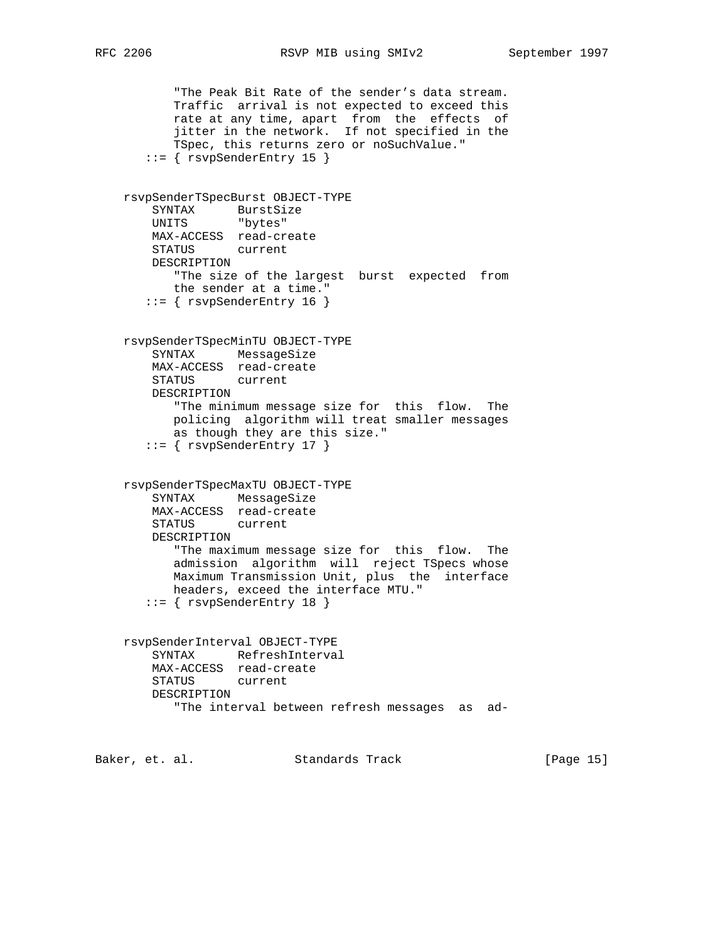```
 "The Peak Bit Rate of the sender's data stream.
           Traffic arrival is not expected to exceed this
 rate at any time, apart from the effects of
 jitter in the network. If not specified in the
           TSpec, this returns zero or noSuchValue."
       ::= { rsvpSenderEntry 15 }
    rsvpSenderTSpecBurst OBJECT-TYPE
 SYNTAX BurstSize
 UNITS "bytes"
        MAX-ACCESS read-create
        STATUS current
        DESCRIPTION
           "The size of the largest burst expected from
           the sender at a time."
      ::= { rsvpSenderEntry 16 }
    rsvpSenderTSpecMinTU OBJECT-TYPE
        SYNTAX MessageSize
        MAX-ACCESS read-create
        STATUS current
        DESCRIPTION
           "The minimum message size for this flow. The
           policing algorithm will treat smaller messages
           as though they are this size."
       ::= { rsvpSenderEntry 17 }
    rsvpSenderTSpecMaxTU OBJECT-TYPE
        SYNTAX MessageSize
        MAX-ACCESS read-create
        STATUS current
        DESCRIPTION
           "The maximum message size for this flow. The
           admission algorithm will reject TSpecs whose
           Maximum Transmission Unit, plus the interface
           headers, exceed the interface MTU."
       ::= { rsvpSenderEntry 18 }
    rsvpSenderInterval OBJECT-TYPE
        SYNTAX RefreshInterval
        MAX-ACCESS read-create
        STATUS current
        DESCRIPTION
           "The interval between refresh messages as ad-
Baker, et. al. Standards Track [Page 15]
```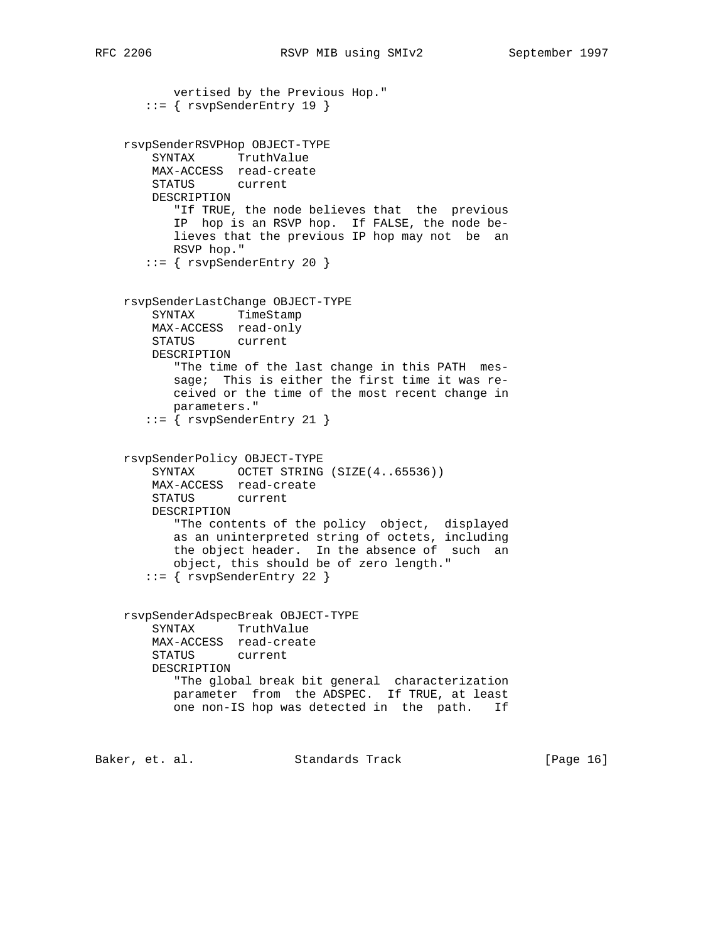```
 vertised by the Previous Hop."
       ::= { rsvpSenderEntry 19 }
    rsvpSenderRSVPHop OBJECT-TYPE
        SYNTAX TruthValue
        MAX-ACCESS read-create
        STATUS current
        DESCRIPTION
           "If TRUE, the node believes that the previous
           IP hop is an RSVP hop. If FALSE, the node be-
           lieves that the previous IP hop may not be an
           RSVP hop."
       ::= { rsvpSenderEntry 20 }
    rsvpSenderLastChange OBJECT-TYPE
        SYNTAX TimeStamp
        MAX-ACCESS read-only
        STATUS current
        DESCRIPTION
           "The time of the last change in this PATH mes-
           sage; This is either the first time it was re-
           ceived or the time of the most recent change in
           parameters."
        ::= { rsvpSenderEntry 21 }
    rsvpSenderPolicy OBJECT-TYPE
       SYNTAX OCTET STRING (SIZE(4..65536))
        MAX-ACCESS read-create
        STATUS current
        DESCRIPTION
           "The contents of the policy object, displayed
           as an uninterpreted string of octets, including
           the object header. In the absence of such an
           object, this should be of zero length."
       ::= { rsvpSenderEntry 22 }
    rsvpSenderAdspecBreak OBJECT-TYPE
        SYNTAX TruthValue
        MAX-ACCESS read-create
        STATUS current
        DESCRIPTION
           "The global break bit general characterization
           parameter from the ADSPEC. If TRUE, at least
           one non-IS hop was detected in the path. If
Baker, et. al. Standards Track [Page 16]
```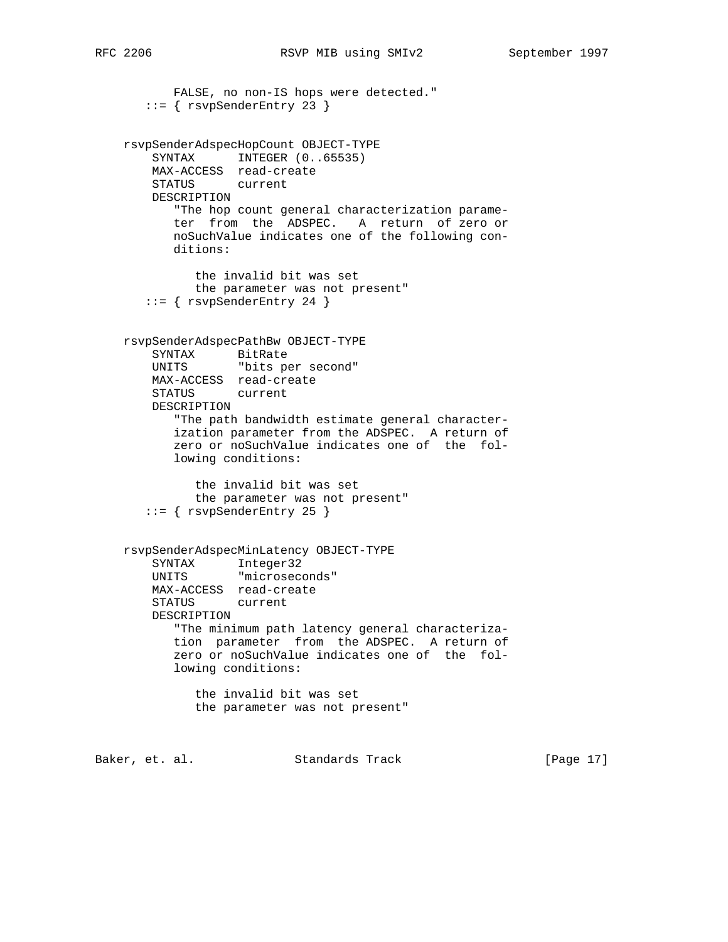```
 FALSE, no non-IS hops were detected."
       ::= { rsvpSenderEntry 23 }
    rsvpSenderAdspecHopCount OBJECT-TYPE
       SYNTAX INTEGER (0..65535)
        MAX-ACCESS read-create
        STATUS current
        DESCRIPTION
           "The hop count general characterization parame-
           ter from the ADSPEC. A return of zero or
           noSuchValue indicates one of the following con-
           ditions:
              the invalid bit was set
              the parameter was not present"
       ::= { rsvpSenderEntry 24 }
    rsvpSenderAdspecPathBw OBJECT-TYPE
        SYNTAX BitRate
        UNITS "bits per second"
        MAX-ACCESS read-create
        STATUS current
        DESCRIPTION
           "The path bandwidth estimate general character-
           ization parameter from the ADSPEC. A return of
           zero or noSuchValue indicates one of the fol-
           lowing conditions:
              the invalid bit was set
              the parameter was not present"
       ::= { rsvpSenderEntry 25 }
    rsvpSenderAdspecMinLatency OBJECT-TYPE
 SYNTAX Integer32
 UNITS "microseconds"
        MAX-ACCESS read-create
        STATUS current
        DESCRIPTION
           "The minimum path latency general characteriza-
           tion parameter from the ADSPEC. A return of
           zero or noSuchValue indicates one of the fol-
           lowing conditions:
              the invalid bit was set
              the parameter was not present"
Baker, et. al. Standards Track [Page 17]
```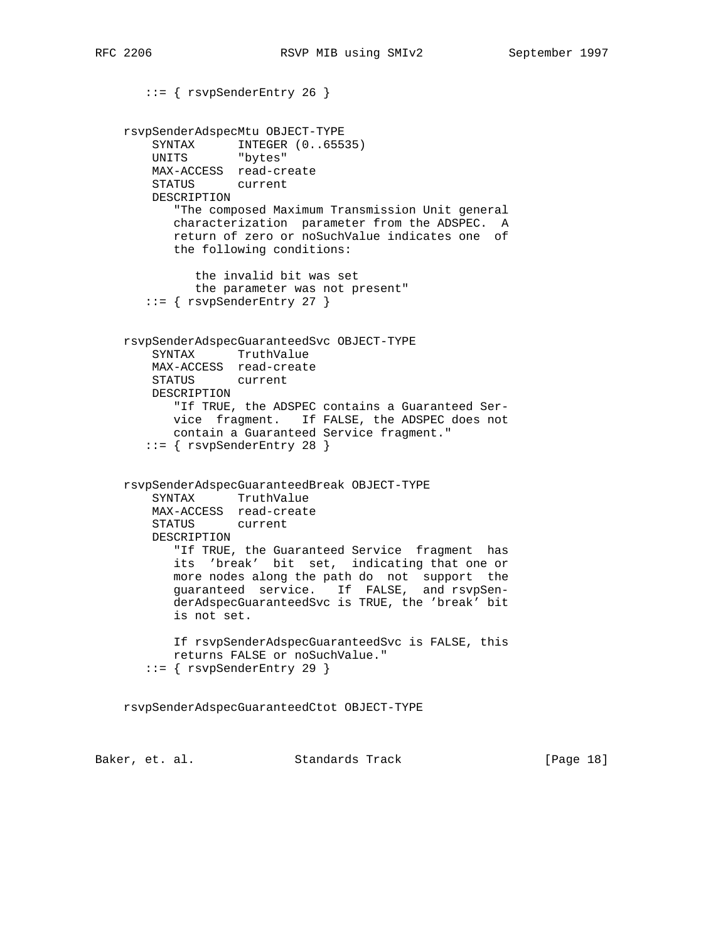```
 ::= { rsvpSenderEntry 26 }
    rsvpSenderAdspecMtu OBJECT-TYPE
SYNTAX INTEGER (0..65535)
 UNITS "bytes"
        MAX-ACCESS read-create
        STATUS current
        DESCRIPTION
           "The composed Maximum Transmission Unit general
           characterization parameter from the ADSPEC. A
           return of zero or noSuchValue indicates one of
           the following conditions:
              the invalid bit was set
              the parameter was not present"
       ::= { rsvpSenderEntry 27 }
    rsvpSenderAdspecGuaranteedSvc OBJECT-TYPE
        SYNTAX TruthValue
        MAX-ACCESS read-create
        STATUS current
        DESCRIPTION
           "If TRUE, the ADSPEC contains a Guaranteed Ser-
           vice fragment. If FALSE, the ADSPEC does not
           contain a Guaranteed Service fragment."
       ::= { rsvpSenderEntry 28 }
    rsvpSenderAdspecGuaranteedBreak OBJECT-TYPE
        SYNTAX TruthValue
        MAX-ACCESS read-create
        STATUS current
        DESCRIPTION
           "If TRUE, the Guaranteed Service fragment has
           its 'break' bit set, indicating that one or
 more nodes along the path do not support the
 guaranteed service. If FALSE, and rsvpSen-
           derAdspecGuaranteedSvc is TRUE, the 'break' bit
           is not set.
           If rsvpSenderAdspecGuaranteedSvc is FALSE, this
           returns FALSE or noSuchValue."
       ::= { rsvpSenderEntry 29 }
    rsvpSenderAdspecGuaranteedCtot OBJECT-TYPE
```
Baker, et. al. Standards Track [Page 18]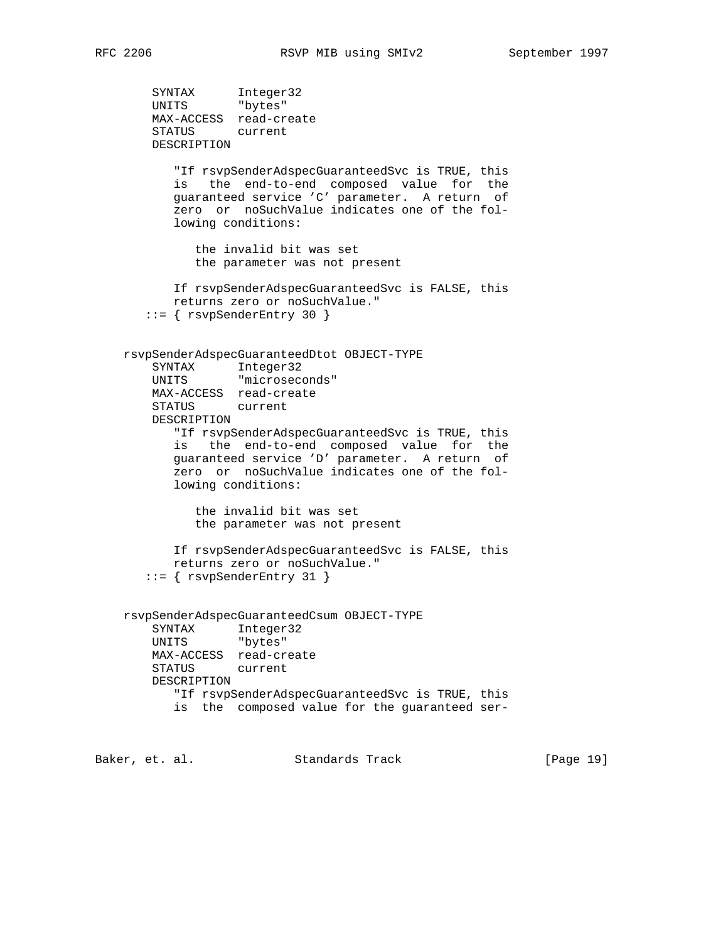```
 SYNTAX Integer32
 UNITS "bytes"
        MAX-ACCESS read-create
        STATUS current
        DESCRIPTION
           "If rsvpSenderAdspecGuaranteedSvc is TRUE, this
           is the end-to-end composed value for the
           guaranteed service 'C' parameter. A return of
           zero or noSuchValue indicates one of the fol-
           lowing conditions:
              the invalid bit was set
              the parameter was not present
           If rsvpSenderAdspecGuaranteedSvc is FALSE, this
           returns zero or noSuchValue."
       ::= { rsvpSenderEntry 30 }
    rsvpSenderAdspecGuaranteedDtot OBJECT-TYPE
        SYNTAX Integer32
        UNITS "microseconds"
        MAX-ACCESS read-create
        STATUS current
        DESCRIPTION
           "If rsvpSenderAdspecGuaranteedSvc is TRUE, this
           is the end-to-end composed value for the
           guaranteed service 'D' parameter. A return of
           zero or noSuchValue indicates one of the fol-
           lowing conditions:
              the invalid bit was set
              the parameter was not present
           If rsvpSenderAdspecGuaranteedSvc is FALSE, this
           returns zero or noSuchValue."
       ::= { rsvpSenderEntry 31 }
    rsvpSenderAdspecGuaranteedCsum OBJECT-TYPE
        SYNTAX Integer32
        UNITS "bytes"
        MAX-ACCESS read-create
        STATUS current
        DESCRIPTION
           "If rsvpSenderAdspecGuaranteedSvc is TRUE, this
           is the composed value for the guaranteed ser-
```
Baker, et. al. Standards Track [Page 19]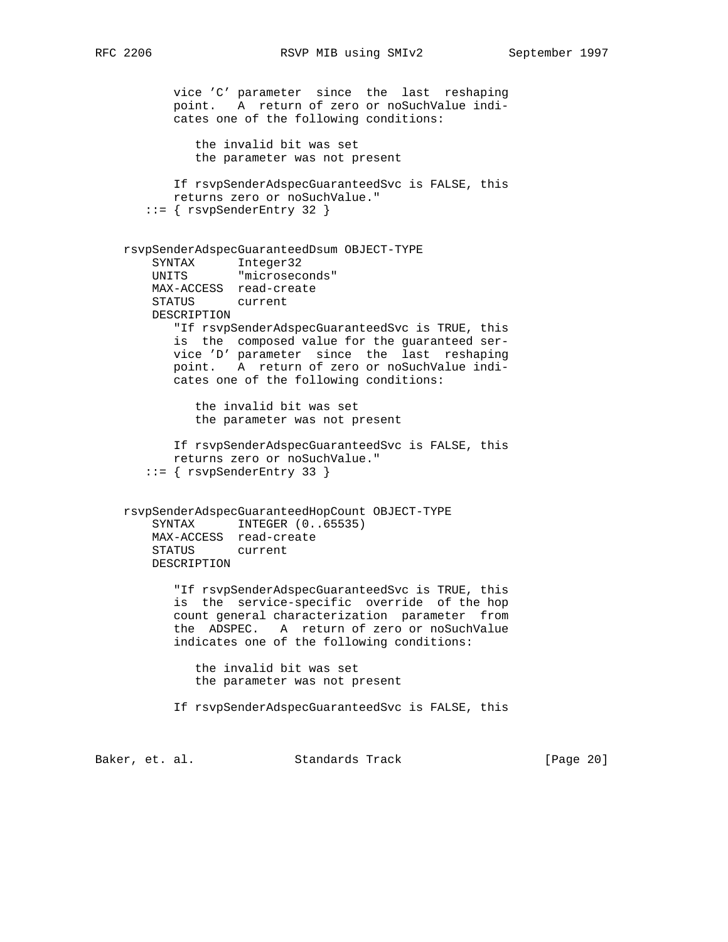```
 vice 'C' parameter since the last reshaping
           point. A return of zero or noSuchValue indi-
           cates one of the following conditions:
              the invalid bit was set
              the parameter was not present
           If rsvpSenderAdspecGuaranteedSvc is FALSE, this
           returns zero or noSuchValue."
        ::= { rsvpSenderEntry 32 }
    rsvpSenderAdspecGuaranteedDsum OBJECT-TYPE
 SYNTAX Integer32
 UNITS "microseconds"
        MAX-ACCESS read-create
        STATUS current
        DESCRIPTION
           "If rsvpSenderAdspecGuaranteedSvc is TRUE, this
           is the composed value for the guaranteed ser-
           vice 'D' parameter since the last reshaping
           point. A return of zero or noSuchValue indi-
           cates one of the following conditions:
              the invalid bit was set
              the parameter was not present
           If rsvpSenderAdspecGuaranteedSvc is FALSE, this
           returns zero or noSuchValue."
        ::= { rsvpSenderEntry 33 }
    rsvpSenderAdspecGuaranteedHopCount OBJECT-TYPE
       SYNTAX INTEGER (0..65535)
        MAX-ACCESS read-create
        STATUS current
        DESCRIPTION
           "If rsvpSenderAdspecGuaranteedSvc is TRUE, this
           is the service-specific override of the hop
           count general characterization parameter from
           the ADSPEC. A return of zero or noSuchValue
           indicates one of the following conditions:
              the invalid bit was set
              the parameter was not present
           If rsvpSenderAdspecGuaranteedSvc is FALSE, this
Baker, et. al. Standards Track [Page 20]
```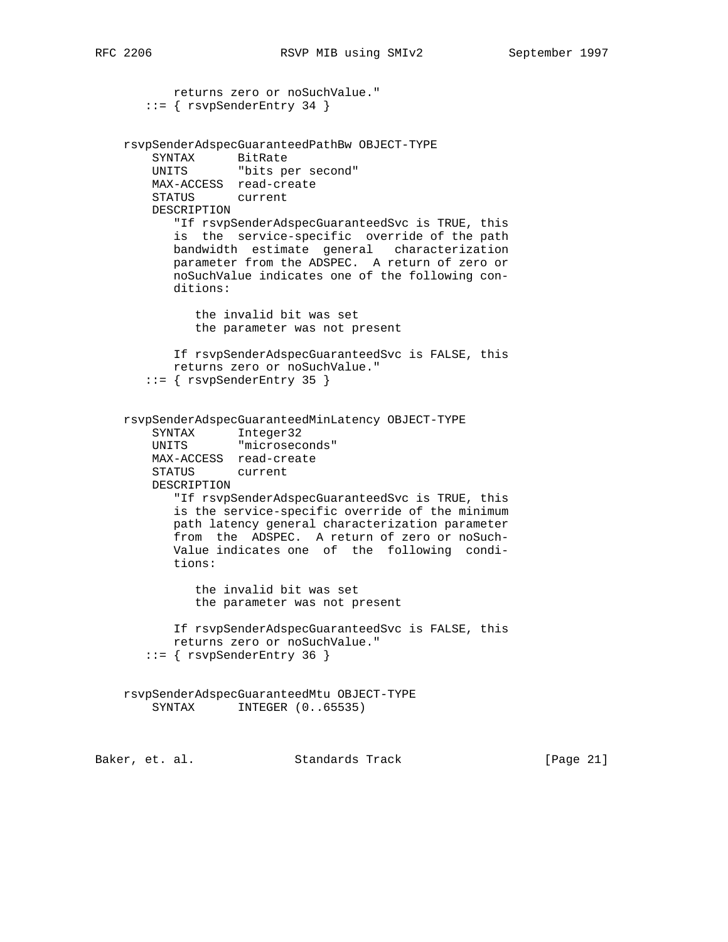```
 returns zero or noSuchValue."
       ::= { rsvpSenderEntry 34 }
    rsvpSenderAdspecGuaranteedPathBw OBJECT-TYPE
        SYNTAX BitRate
        UNITS "bits per second"
        MAX-ACCESS read-create
        STATUS current
        DESCRIPTION
           "If rsvpSenderAdspecGuaranteedSvc is TRUE, this
           is the service-specific override of the path
           bandwidth estimate general characterization
           parameter from the ADSPEC. A return of zero or
           noSuchValue indicates one of the following con-
           ditions:
              the invalid bit was set
              the parameter was not present
           If rsvpSenderAdspecGuaranteedSvc is FALSE, this
           returns zero or noSuchValue."
       ::= { rsvpSenderEntry 35 }
    rsvpSenderAdspecGuaranteedMinLatency OBJECT-TYPE
 SYNTAX Integer32
 UNITS "microseconds"
        MAX-ACCESS read-create
        STATUS current
        DESCRIPTION
           "If rsvpSenderAdspecGuaranteedSvc is TRUE, this
           is the service-specific override of the minimum
           path latency general characterization parameter
           from the ADSPEC. A return of zero or noSuch-
           Value indicates one of the following condi-
           tions:
              the invalid bit was set
              the parameter was not present
           If rsvpSenderAdspecGuaranteedSvc is FALSE, this
           returns zero or noSuchValue."
       ::= { rsvpSenderEntry 36 }
    rsvpSenderAdspecGuaranteedMtu OBJECT-TYPE
       SYNTAX INTEGER (0..65535)
```
Baker, et. al. Standards Track [Page 21]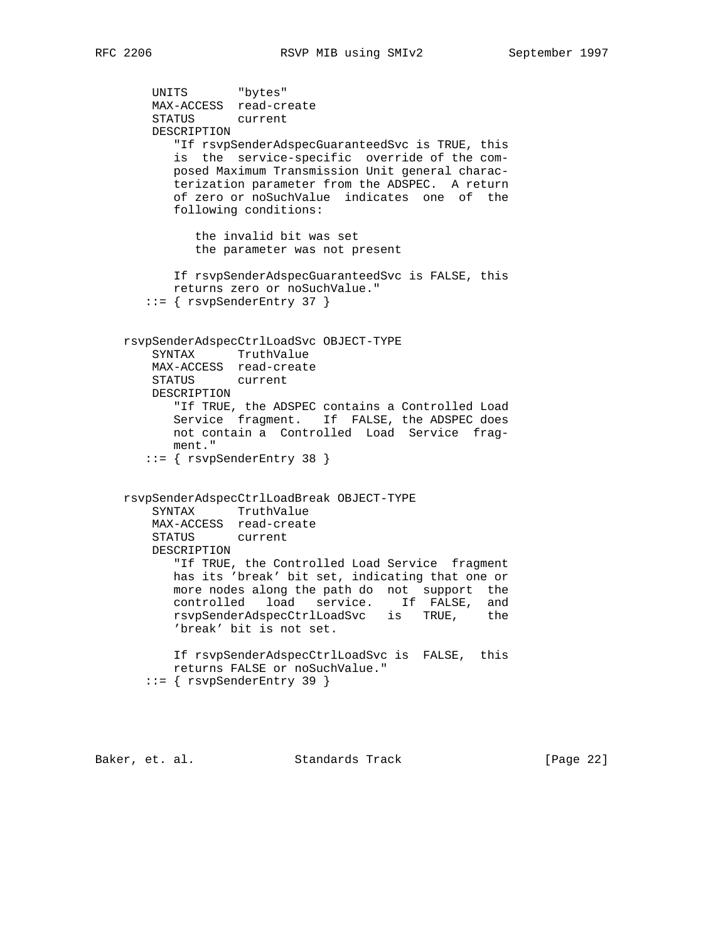```
 UNITS "bytes"
        MAX-ACCESS read-create
        STATUS current
        DESCRIPTION
           "If rsvpSenderAdspecGuaranteedSvc is TRUE, this
           is the service-specific override of the com-
           posed Maximum Transmission Unit general charac-
           terization parameter from the ADSPEC. A return
           of zero or noSuchValue indicates one of the
           following conditions:
              the invalid bit was set
              the parameter was not present
           If rsvpSenderAdspecGuaranteedSvc is FALSE, this
           returns zero or noSuchValue."
       ::= { rsvpSenderEntry 37 }
    rsvpSenderAdspecCtrlLoadSvc OBJECT-TYPE
        SYNTAX TruthValue
        MAX-ACCESS read-create
        STATUS current
        DESCRIPTION
           "If TRUE, the ADSPEC contains a Controlled Load
           Service fragment. If FALSE, the ADSPEC does
           not contain a Controlled Load Service frag-
           ment."
       ::= { rsvpSenderEntry 38 }
    rsvpSenderAdspecCtrlLoadBreak OBJECT-TYPE
        SYNTAX TruthValue
        MAX-ACCESS read-create
        STATUS current
        DESCRIPTION
           "If TRUE, the Controlled Load Service fragment
           has its 'break' bit set, indicating that one or
 more nodes along the path do not support the
 controlled load service. If FALSE, and
 rsvpSenderAdspecCtrlLoadSvc is TRUE, the
           'break' bit is not set.
           If rsvpSenderAdspecCtrlLoadSvc is FALSE, this
           returns FALSE or noSuchValue."
       ::= { rsvpSenderEntry 39 }
```
Baker, et. al. Standards Track [Page 22]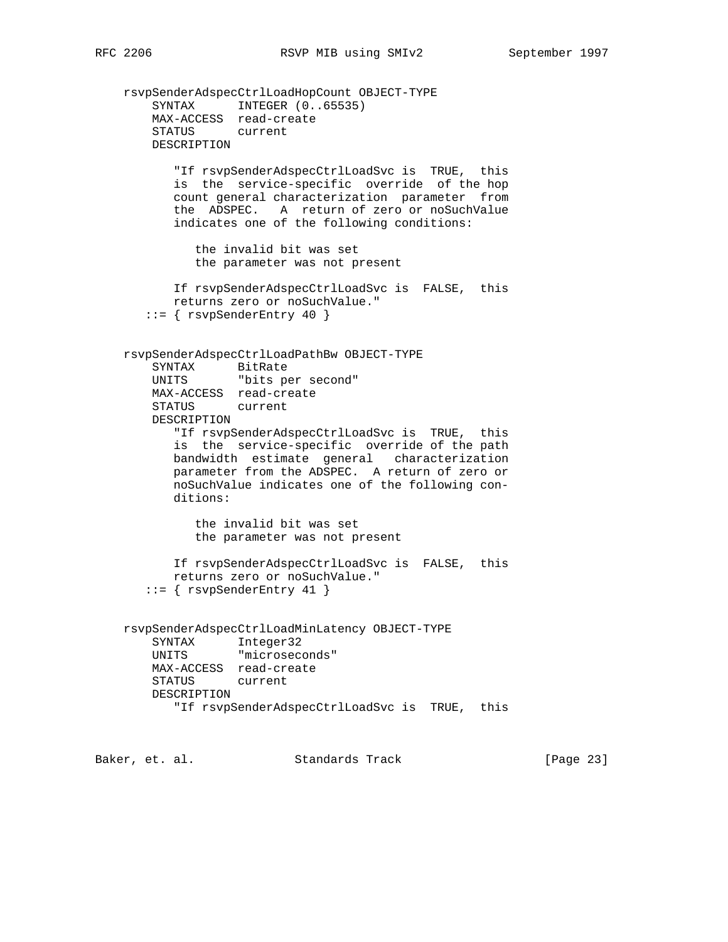rsvpSenderAdspecCtrlLoadHopCount OBJECT-TYPE SYNTAX INTEGER (0..65535) MAX-ACCESS read-create STATUS current DESCRIPTION "If rsvpSenderAdspecCtrlLoadSvc is TRUE, this is the service-specific override of the hop count general characterization parameter from the ADSPEC. A return of zero or noSuchValue indicates one of the following conditions: the invalid bit was set the parameter was not present If rsvpSenderAdspecCtrlLoadSvc is FALSE, this returns zero or noSuchValue." ::= { rsvpSenderEntry 40 } rsvpSenderAdspecCtrlLoadPathBw OBJECT-TYPE SYNTAX BitRate UNITS "bits per second" MAX-ACCESS read-create STATUS current DESCRIPTION "If rsvpSenderAdspecCtrlLoadSvc is TRUE, this is the service-specific override of the path bandwidth estimate general characterization parameter from the ADSPEC. A return of zero or noSuchValue indicates one of the following con ditions: the invalid bit was set the parameter was not present If rsvpSenderAdspecCtrlLoadSvc is FALSE, this returns zero or noSuchValue." ::= { rsvpSenderEntry 41 } rsvpSenderAdspecCtrlLoadMinLatency OBJECT-TYPE SYNTAX Integer32 UNITS "microseconds" MAX-ACCESS read-create STATUS current DESCRIPTION "If rsvpSenderAdspecCtrlLoadSvc is TRUE, this

Baker, et. al. Standards Track [Page 23]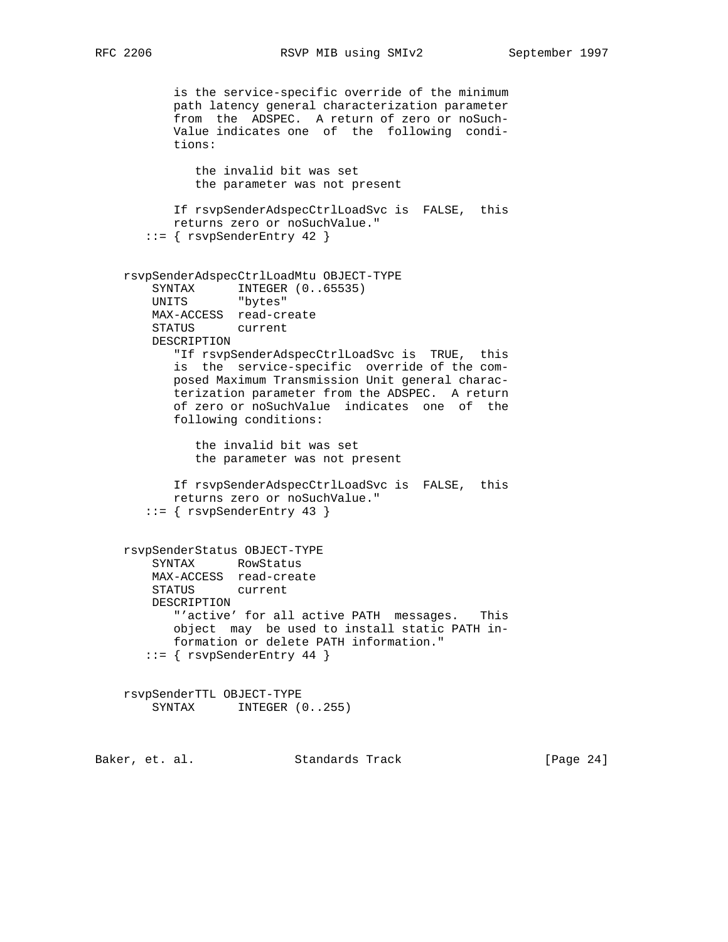```
 is the service-specific override of the minimum
           path latency general characterization parameter
           from the ADSPEC. A return of zero or noSuch-
           Value indicates one of the following condi-
           tions:
              the invalid bit was set
              the parameter was not present
           If rsvpSenderAdspecCtrlLoadSvc is FALSE, this
           returns zero or noSuchValue."
       ::= { rsvpSenderEntry 42 }
    rsvpSenderAdspecCtrlLoadMtu OBJECT-TYPE
SYNTAX INTEGER (0..65535)
 UNITS "bytes"
        MAX-ACCESS read-create
        STATUS current
        DESCRIPTION
           "If rsvpSenderAdspecCtrlLoadSvc is TRUE, this
           is the service-specific override of the com-
           posed Maximum Transmission Unit general charac-
           terization parameter from the ADSPEC. A return
           of zero or noSuchValue indicates one of the
           following conditions:
              the invalid bit was set
              the parameter was not present
           If rsvpSenderAdspecCtrlLoadSvc is FALSE, this
           returns zero or noSuchValue."
       ::= { rsvpSenderEntry 43 }
    rsvpSenderStatus OBJECT-TYPE
        SYNTAX RowStatus
        MAX-ACCESS read-create
        STATUS current
        DESCRIPTION
           "'active' for all active PATH messages. This
           object may be used to install static PATH in-
           formation or delete PATH information."
      ::= { rsvpSenderEntry 44 }
    rsvpSenderTTL OBJECT-TYPE
       SYNTAX INTEGER (0..255)Baker, et. al. Standards Track [Page 24]
```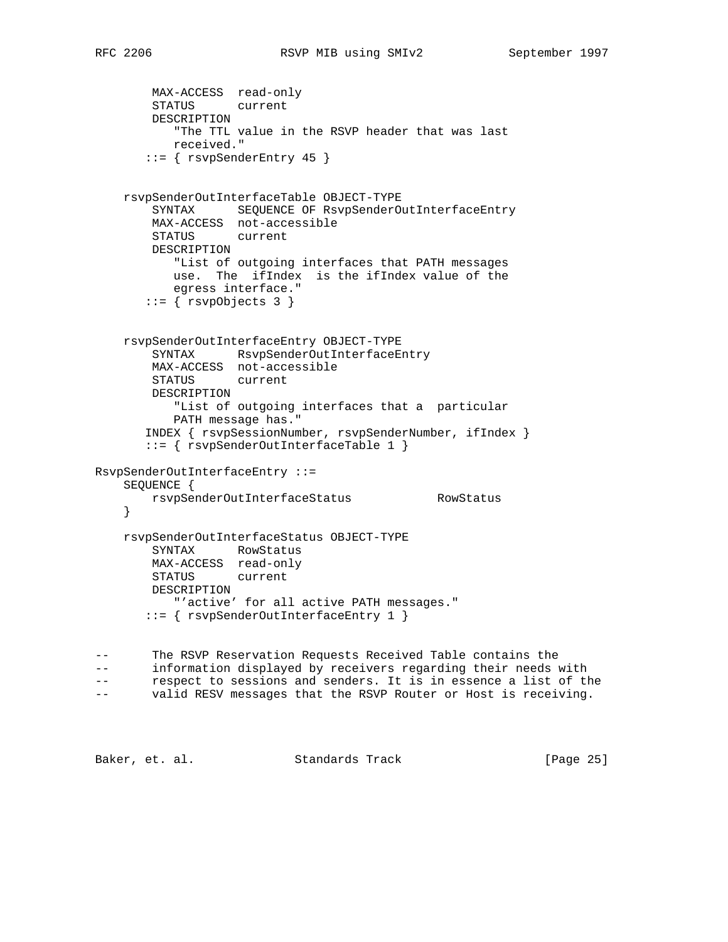```
 MAX-ACCESS read-only
        STATUS current
        DESCRIPTION
           "The TTL value in the RSVP header that was last
           received."
        ::= { rsvpSenderEntry 45 }
    rsvpSenderOutInterfaceTable OBJECT-TYPE
        SYNTAX SEQUENCE OF RsvpSenderOutInterfaceEntry
        MAX-ACCESS not-accessible
        STATUS current
        DESCRIPTION
           "List of outgoing interfaces that PATH messages
           use. The ifIndex is the ifIndex value of the
           egress interface."
        ::= \{ \text{rsvpobjects } 3 \} rsvpSenderOutInterfaceEntry OBJECT-TYPE
        SYNTAX RsvpSenderOutInterfaceEntry
        MAX-ACCESS not-accessible
        STATUS current
        DESCRIPTION
           "List of outgoing interfaces that a particular
           PATH message has."
       INDEX { rsvpSessionNumber, rsvpSenderNumber, ifIndex }
        ::= { rsvpSenderOutInterfaceTable 1 }
RsvpSenderOutInterfaceEntry ::=
    SEQUENCE {
        rsvpSenderOutInterfaceStatus RowStatus
     }
    rsvpSenderOutInterfaceStatus OBJECT-TYPE
        SYNTAX RowStatus
        MAX-ACCESS read-only
        STATUS current
        DESCRIPTION
           "'active' for all active PATH messages."
        ::= { rsvpSenderOutInterfaceEntry 1 }
-- The RSVP Reservation Requests Received Table contains the
-- information displayed by receivers regarding their needs with
-- respect to sessions and senders. It is in essence a list of the
-- valid RESV messages that the RSVP Router or Host is receiving.
```
Baker, et. al. Standards Track [Page 25]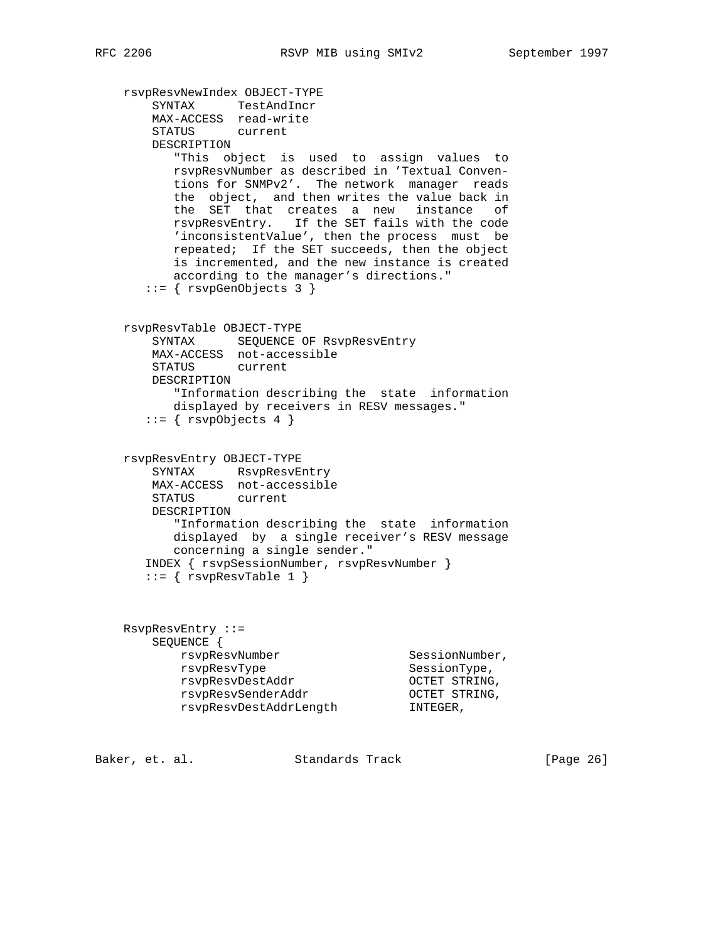```
 rsvpResvNewIndex OBJECT-TYPE
        SYNTAX TestAndIncr
        MAX-ACCESS read-write
        STATUS current
        DESCRIPTION
           "This object is used to assign values to
          rsvpResvNumber as described in 'Textual Conven-
          tions for SNMPv2'. The network manager reads
          the object, and then writes the value back in
          the SET that creates a new instance of
          rsvpResvEntry. If the SET fails with the code
           'inconsistentValue', then the process must be
          repeated; If the SET succeeds, then the object
           is incremented, and the new instance is created
          according to the manager's directions."
       ::= { rsvpGenObjects 3 }
    rsvpResvTable OBJECT-TYPE
        SYNTAX SEQUENCE OF RsvpResvEntry
        MAX-ACCESS not-accessible
        STATUS current
        DESCRIPTION
          "Information describing the state information
          displayed by receivers in RESV messages."
       ::= \{ \text{rsvp} \odot \text{bjects} \; 4 \; \} rsvpResvEntry OBJECT-TYPE
        SYNTAX RsvpResvEntry
        MAX-ACCESS not-accessible
        STATUS current
        DESCRIPTION
           "Information describing the state information
          displayed by a single receiver's RESV message
          concerning a single sender."
       INDEX { rsvpSessionNumber, rsvpResvNumber }
      ::= { rsv pResvTable 1 }
    RsvpResvEntry ::=
        SEQUENCE {
rsvpResvNumber SessionNumber,
rsvpResvType SessionType,
 rsvpResvDestAddr OCTET STRING,
 rsvpResvSenderAddr OCTET STRING,
```
Baker, et. al. Standards Track [Page 26]

rsvpResvDestAddrLength INTEGER,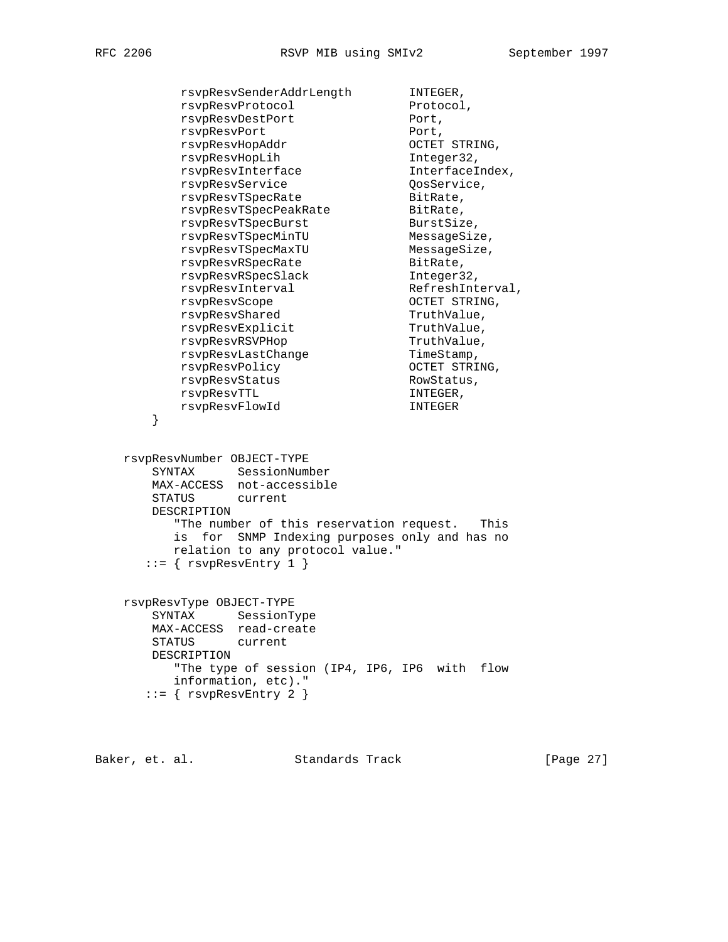rsvpResvSenderAddrLength INTEGER, rsvpResvProtocol Protocol, rsvpResvDestPort Port, rsvpResvPort Port, rsvpResvHopAddr OCTET STRING, rsvpResvHopLih Integer32, rsvpResvInterface Manuel InterfaceIndex, rsvpResvService CosService, rsvpResvTSpecRate and BitRate, rsvpResvTSpecPeakRate BitRate, rsvpResvTSpecBurst BurstSize, rsvpResvTSpecMinTU MessageSize, rsvpResvTSpecMaxTU MessageSize, rsvpResvRSpecRate and BitRate, rsvpResvRSpecSlack Integer32, rsvpResvInterval RefreshInterval, rsvpResvScope OCTET STRING, rsvpResvShared TruthValue, rsvpResvExplicit TruthValue, rsvpResvRSVPHop TruthValue, rsvpResvLastChange TimeStamp, rsvpResvPolicy CCTET STRING, rsvpResvStatus RowStatus, rsvpResvTTL **INTEGER**, rsvpResvFlowId INTEGER } rsvpResvNumber OBJECT-TYPE SYNTAX SessionNumber MAX-ACCESS not-accessible STATUS current DESCRIPTION "The number of this reservation request. This is for SNMP Indexing purposes only and has no relation to any protocol value."  $::=$  {  $rsv p$ ResvEntry 1 } rsvpResvType OBJECT-TYPE SYNTAX SessionType MAX-ACCESS read-create STATUS current DESCRIPTION "The type of session (IP4, IP6, IP6 with flow information, etc)."  $::=$  {  $rsv p$ ResvEntry 2 }

Baker, et. al. Standards Track [Page 27]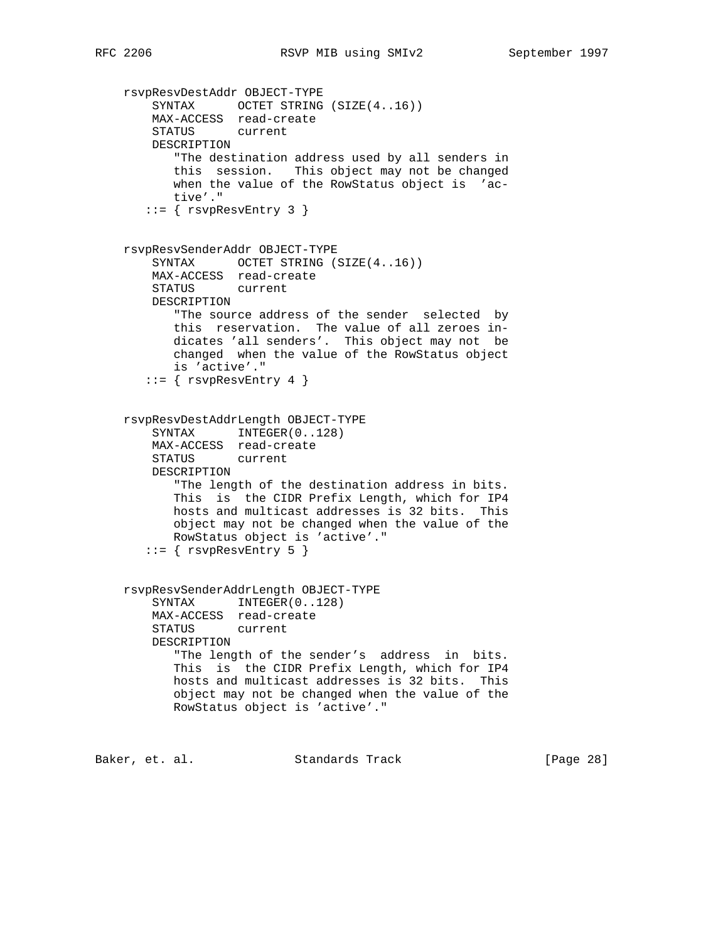```
 rsvpResvDestAddr OBJECT-TYPE
   SYNTAX OCTET STRING (SIZE(4..16))
    MAX-ACCESS read-create
    STATUS current
    DESCRIPTION
        "The destination address used by all senders in
       this session. This object may not be changed
       when the value of the RowStatus object is 'ac-
       tive'."
   ::= { rsv pResvEntry 3 }
 rsvpResvSenderAddr OBJECT-TYPE
    SYNTAX OCTET STRING (SIZE(4..16))
    MAX-ACCESS read-create
    STATUS current
    DESCRIPTION
       "The source address of the sender selected by
       this reservation. The value of all zeroes in-
       dicates 'all senders'. This object may not be
       changed when the value of the RowStatus object
       is 'active'."
   ::= { rsv pResvEntry 4 }
 rsvpResvDestAddrLength OBJECT-TYPE
   SYNTAX INTEGER(0..128)
    MAX-ACCESS read-create
    STATUS current
    DESCRIPTION
        "The length of the destination address in bits.
       This is the CIDR Prefix Length, which for IP4
       hosts and multicast addresses is 32 bits. This
       object may not be changed when the value of the
       RowStatus object is 'active'."
   ::= { rsv pResvEntry 5 }
 rsvpResvSenderAddrLength OBJECT-TYPE
   SYNTAX INTEGER(0..128)
    MAX-ACCESS read-create
   STATUS
    DESCRIPTION
       "The length of the sender's address in bits.
       This is the CIDR Prefix Length, which for IP4
       hosts and multicast addresses is 32 bits. This
       object may not be changed when the value of the
       RowStatus object is 'active'."
```
Baker, et. al. Standards Track [Page 28]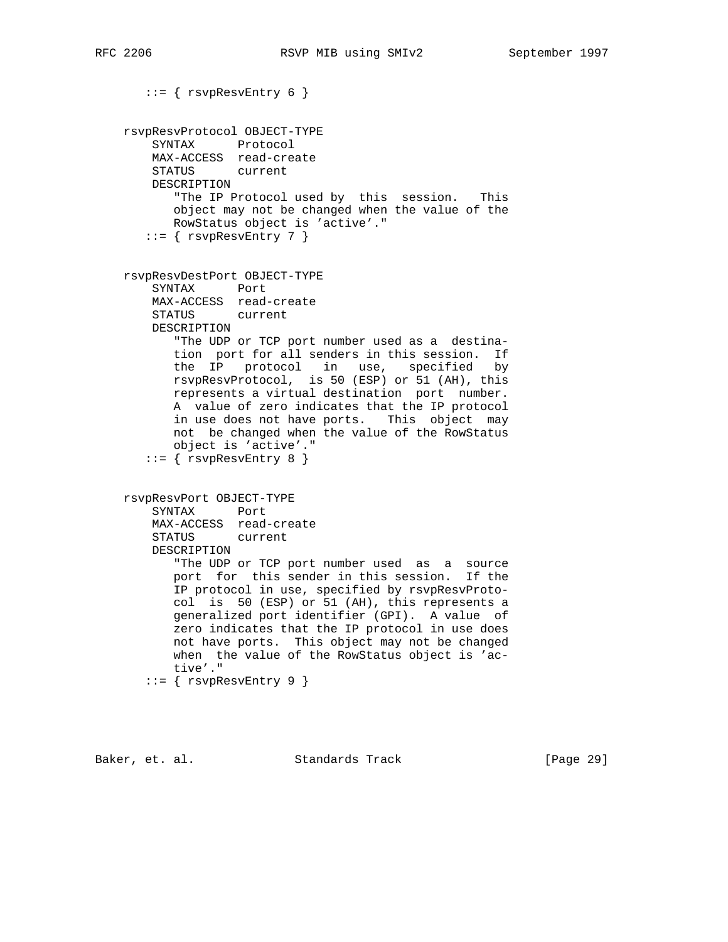```
::= { rsv pResvEntry 6 }
 rsvpResvProtocol OBJECT-TYPE
    SYNTAX Protocol
    MAX-ACCESS read-create
    STATUS current
    DESCRIPTION
       "The IP Protocol used by this session. This
       object may not be changed when the value of the
       RowStatus object is 'active'."
   ::= { rsv pResvEntry 7 }
 rsvpResvDestPort OBJECT-TYPE
    SYNTAX Port
    MAX-ACCESS read-create
    STATUS current
    DESCRIPTION
       "The UDP or TCP port number used as a destina-
       tion port for all senders in this session. If
       the IP protocol in use, specified by
       rsvpResvProtocol, is 50 (ESP) or 51 (AH), this
       represents a virtual destination port number.
       A value of zero indicates that the IP protocol
       in use does not have ports. This object may
       not be changed when the value of the RowStatus
       object is 'active'."
   ::= { rsv pResvEntry 8 }
 rsvpResvPort OBJECT-TYPE
    SYNTAX Port
    MAX-ACCESS read-create
    STATUS current
    DESCRIPTION
       "The UDP or TCP port number used as a source
       port for this sender in this session. If the
       IP protocol in use, specified by rsvpResvProto-
       col is 50 (ESP) or 51 (AH), this represents a
       generalized port identifier (GPI). A value of
       zero indicates that the IP protocol in use does
       not have ports. This object may not be changed
       when the value of the RowStatus object is 'ac-
       tive'."
   ::= { rsv pResvEntry 9 }
```
Baker, et. al. Standards Track [Page 29]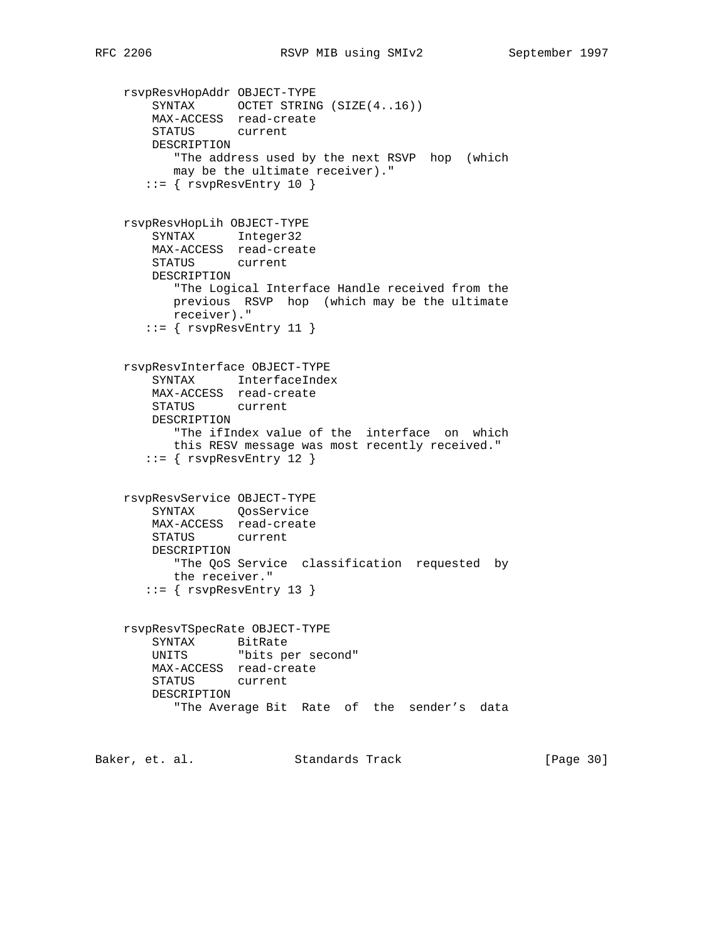```
 rsvpResvHopAddr OBJECT-TYPE
 SYNTAX OCTET STRING (SIZE(4..16))
 MAX-ACCESS read-create
        STATUS current
        DESCRIPTION
           "The address used by the next RSVP hop (which
           may be the ultimate receiver)."
      ::= { rsvpResvEntry 10 }
    rsvpResvHopLih OBJECT-TYPE
        SYNTAX Integer32
        MAX-ACCESS read-create
        STATUS current
        DESCRIPTION
           "The Logical Interface Handle received from the
           previous RSVP hop (which may be the ultimate
           receiver)."
      ::= { rsv pResvEntry 11 }
    rsvpResvInterface OBJECT-TYPE
        SYNTAX InterfaceIndex
        MAX-ACCESS read-create
        STATUS current
        DESCRIPTION
           "The ifIndex value of the interface on which
           this RESV message was most recently received."
      ::= { rsv pResvEntry 12 }
    rsvpResvService OBJECT-TYPE
        SYNTAX QosService
        MAX-ACCESS read-create
        STATUS current
        DESCRIPTION
          "The QoS Service classification requested by
          the receiver."
      ::= { rsv pResvEntry 13 }
    rsvpResvTSpecRate OBJECT-TYPE
 SYNTAX BitRate
 UNITS "bits per second"
        MAX-ACCESS read-create
        STATUS current
        DESCRIPTION
           "The Average Bit Rate of the sender's data
```
Baker, et. al. Standards Track [Page 30]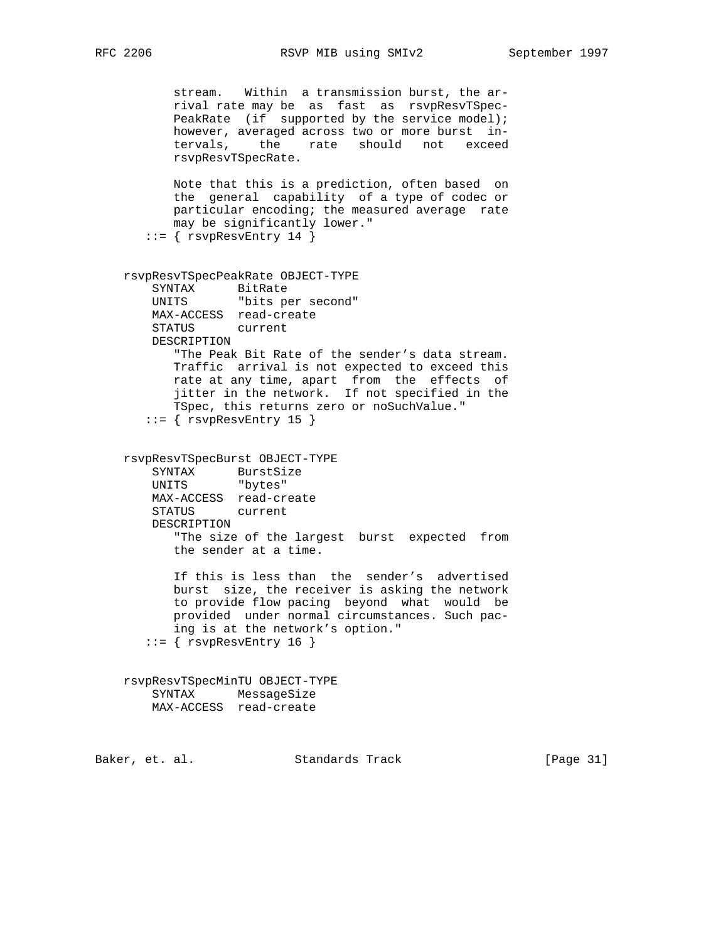```
 stream. Within a transmission burst, the ar-
           rival rate may be as fast as rsvpResvTSpec-
          PeakRate (if supported by the service model);
           however, averaged across two or more burst in-
           tervals, the rate should not exceed
           rsvpResvTSpecRate.
           Note that this is a prediction, often based on
           the general capability of a type of codec or
           particular encoding; the measured average rate
           may be significantly lower."
      ::= { rsv pResvEntry 14 }
    rsvpResvTSpecPeakRate OBJECT-TYPE
        SYNTAX BitRate
        UNITS "bits per second"
        MAX-ACCESS read-create
        STATUS current
        DESCRIPTION
           "The Peak Bit Rate of the sender's data stream.
           Traffic arrival is not expected to exceed this
           rate at any time, apart from the effects of
           jitter in the network. If not specified in the
           TSpec, this returns zero or noSuchValue."
      ::= { rsvpResvEntry 15 }
    rsvpResvTSpecBurst OBJECT-TYPE
 SYNTAX BurstSize
 UNITS "bytes"
        MAX-ACCESS read-create
        STATUS current
        DESCRIPTION
           "The size of the largest burst expected from
           the sender at a time.
           If this is less than the sender's advertised
           burst size, the receiver is asking the network
           to provide flow pacing beyond what would be
           provided under normal circumstances. Such pac-
           ing is at the network's option."
      ::= { rsvpResvEntry 16 }
    rsvpResvTSpecMinTU OBJECT-TYPE
        SYNTAX MessageSize
        MAX-ACCESS read-create
```
Baker, et. al. Standards Track [Page 31]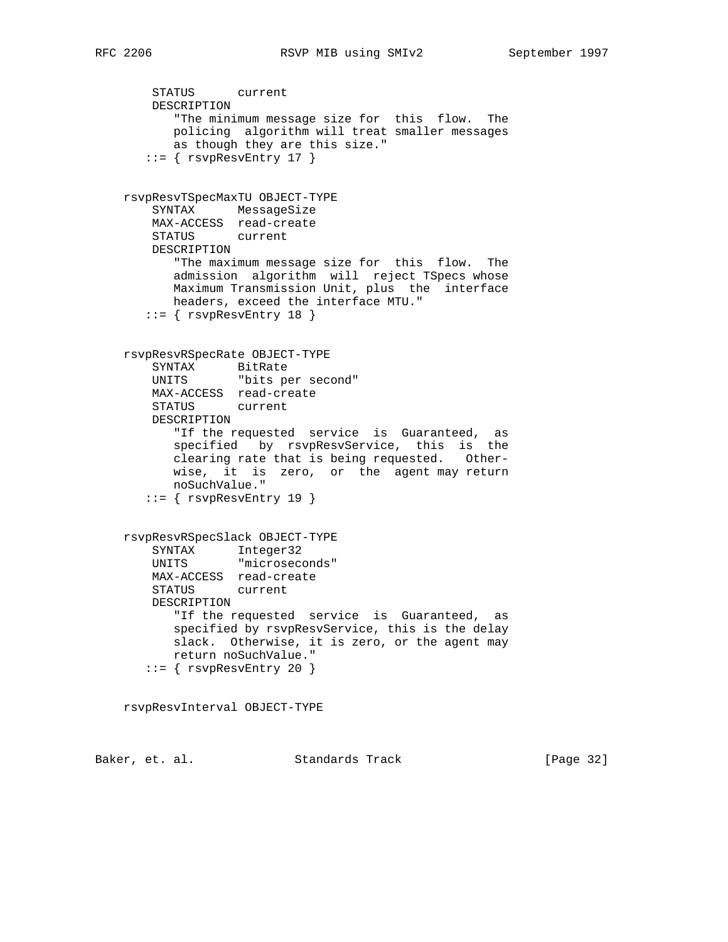```
 STATUS current
        DESCRIPTION
           "The minimum message size for this flow. The
           policing algorithm will treat smaller messages
           as though they are this size."
      ::= { rsvpResvEntry 17 }
    rsvpResvTSpecMaxTU OBJECT-TYPE
        SYNTAX MessageSize
        MAX-ACCESS read-create
        STATUS current
        DESCRIPTION
           "The maximum message size for this flow. The
           admission algorithm will reject TSpecs whose
           Maximum Transmission Unit, plus the interface
          headers, exceed the interface MTU."
      ::= { rsv pResvEntry 18 }
    rsvpResvRSpecRate OBJECT-TYPE
 SYNTAX BitRate
 UNITS "bits per second"
        MAX-ACCESS read-create
        STATUS current
        DESCRIPTION
           "If the requested service is Guaranteed, as
           specified by rsvpResvService, this is the
           clearing rate that is being requested. Other-
           wise, it is zero, or the agent may return
           noSuchValue."
      ::= { rsvpResvEntry 19 }
    rsvpResvRSpecSlack OBJECT-TYPE
 SYNTAX Integer32
 UNITS "microseconds"
        MAX-ACCESS read-create
        STATUS current
        DESCRIPTION
           "If the requested service is Guaranteed, as
           specified by rsvpResvService, this is the delay
           slack. Otherwise, it is zero, or the agent may
           return noSuchValue."
      ::= { rsvpResvEntry 20 }
    rsvpResvInterval OBJECT-TYPE
```
Baker, et. al. Standards Track [Page 32]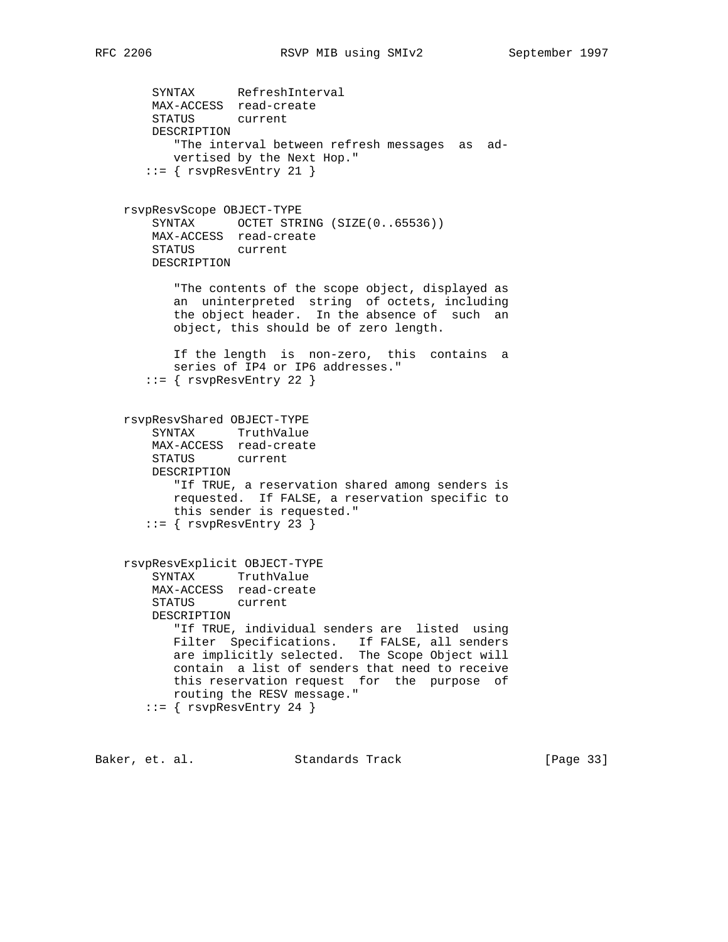SYNTAX RefreshInterval MAX-ACCESS read-create STATUS current DESCRIPTION "The interval between refresh messages as ad vertised by the Next Hop." ::= { rsvpResvEntry 21 } rsvpResvScope OBJECT-TYPE SYNTAX OCTET STRING (SIZE(0..65536)) MAX-ACCESS read-create STATUS current DESCRIPTION "The contents of the scope object, displayed as an uninterpreted string of octets, including the object header. In the absence of such an object, this should be of zero length. If the length is non-zero, this contains a series of IP4 or IP6 addresses."  $::=$  {  $rsv p$ ResvEntry 22 } rsvpResvShared OBJECT-TYPE SYNTAX TruthValue MAX-ACCESS read-create STATUS current DESCRIPTION "If TRUE, a reservation shared among senders is requested. If FALSE, a reservation specific to this sender is requested." ::= { rsvpResvEntry 23 } rsvpResvExplicit OBJECT-TYPE SYNTAX TruthValue MAX-ACCESS read-create STATUS current DESCRIPTION "If TRUE, individual senders are listed using Filter Specifications. If FALSE, all senders are implicitly selected. The Scope Object will contain a list of senders that need to receive this reservation request for the purpose of

Baker, et. al. Standards Track [Page 33]

routing the RESV message."

::= { rsvpResvEntry 24 }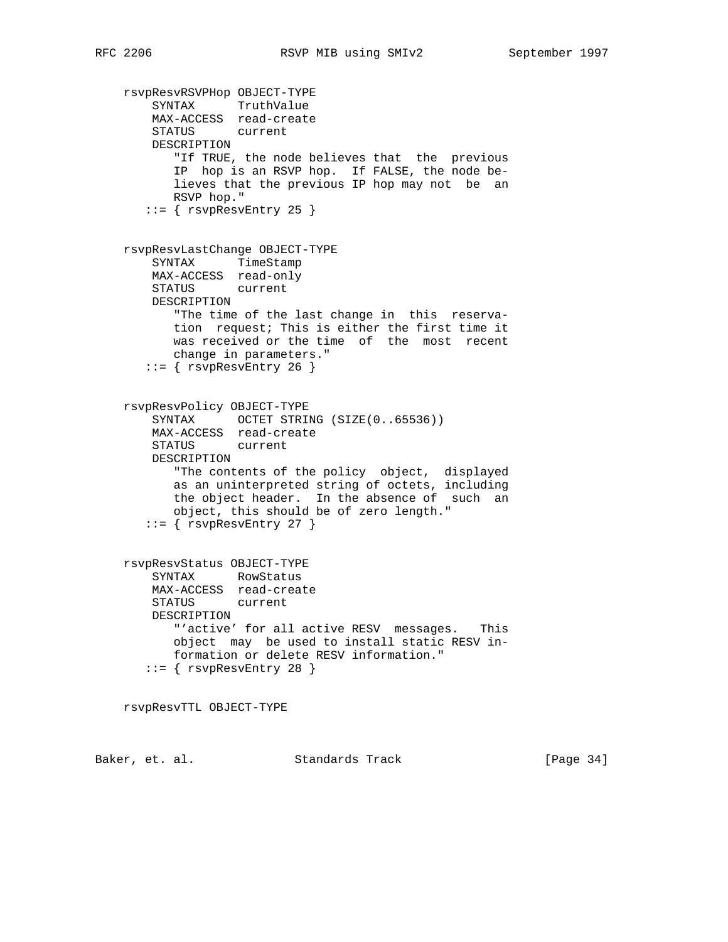rsvpResvRSVPHop OBJECT-TYPE SYNTAX TruthValue MAX-ACCESS read-create STATUS current DESCRIPTION "If TRUE, the node believes that the previous IP hop is an RSVP hop. If FALSE, the node be lieves that the previous IP hop may not be an RSVP hop." ::= { rsvpResvEntry 25 } rsvpResvLastChange OBJECT-TYPE SYNTAX TimeStamp MAX-ACCESS read-only STATUS current DESCRIPTION "The time of the last change in this reserva tion request; This is either the first time it was received or the time of the most recent change in parameters."  $::=$  { rsvpResvEntry 26 } rsvpResvPolicy OBJECT-TYPE SYNTAX OCTET STRING (SIZE(0..65536)) MAX-ACCESS read-create STATUS current DESCRIPTION "The contents of the policy object, displayed as an uninterpreted string of octets, including the object header. In the absence of such an object, this should be of zero length."  $::=$  {  $rsv p$ ResvEntry 27 } rsvpResvStatus OBJECT-TYPE SYNTAX RowStatus MAX-ACCESS read-create STATUS current DESCRIPTION "'active' for all active RESV messages. This object may be used to install static RESV in formation or delete RESV information."  $::=$  {  $rsv p$ ResvEntry 28 } rsvpResvTTL OBJECT-TYPE Baker, et. al. Standards Track [Page 34]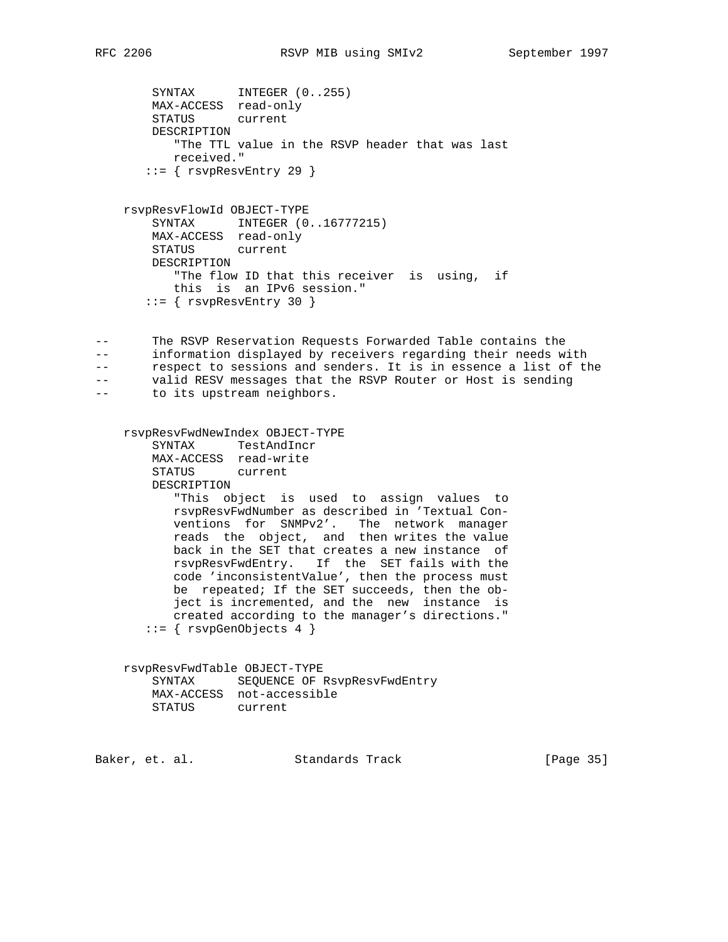SYNTAX INTEGER (0..255) MAX-ACCESS read-only STATUS current DESCRIPTION "The TTL value in the RSVP header that was last received."  $::=$  {  $rsv p$ ResvEntry 29 } rsvpResvFlowId OBJECT-TYPE SYNTAX INTEGER (0..16777215) MAX-ACCESS read-only STATUS current DESCRIPTION "The flow ID that this receiver is using, if this is an IPv6 session."  $::=$  {  $rsv p$ ResvEntry 30 } -- The RSVP Reservation Requests Forwarded Table contains the -- information displayed by receivers regarding their needs with -- respect to sessions and senders. It is in essence a list of the -- valid RESV messages that the RSVP Router or Host is sending -- to its upstream neighbors. rsvpResvFwdNewIndex OBJECT-TYPE SYNTAX TestAndIncr MAX-ACCESS read-write STATUS current DESCRIPTION "This object is used to assign values to rsvpResvFwdNumber as described in 'Textual Con ventions for SNMPv2'. The network manager reads the object, and then writes the value back in the SET that creates a new instance of rsvpResvFwdEntry. If the SET fails with the code 'inconsistentValue', then the process must be repeated; If the SET succeeds, then the ob ject is incremented, and the new instance is created according to the manager's directions." ::= { rsvpGenObjects 4 } rsvpResvFwdTable OBJECT-TYPE SYNTAX SEQUENCE OF RsvpResvFwdEntry MAX-ACCESS not-accessible STATUS current Baker, et. al. Standards Track [Page 35]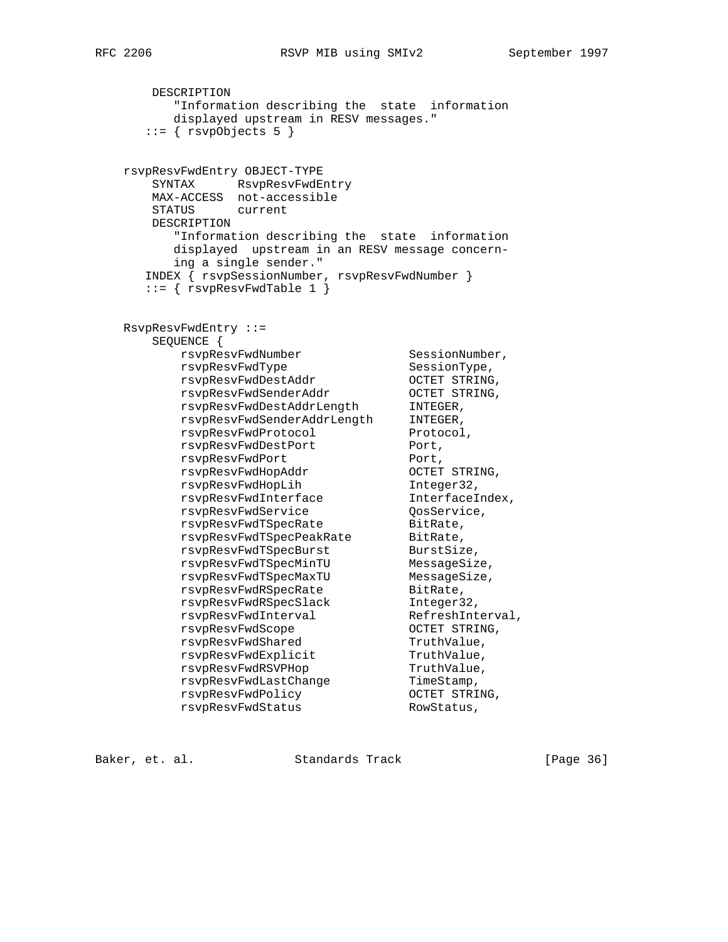```
 DESCRIPTION
        "Information describing the state information
        displayed upstream in RESV messages."
     ::= \{ \text{rsvpobjects 5 } \} rsvpResvFwdEntry OBJECT-TYPE
      SYNTAX RsvpResvFwdEntry
      MAX-ACCESS not-accessible
      STATUS current
      DESCRIPTION
        "Information describing the state information
        displayed upstream in an RESV message concern-
        ing a single sender."
     INDEX { rsvpSessionNumber, rsvpResvFwdNumber }
     ::= { rsvpResvFwdTable 1 }
   RsvpResvFwdEntry ::=
      SEQUENCE {
rsvpResvFwdNumber SessionNumber,
rsvpResvFwdType SessionType,
 rsvpResvFwdDestAddr OCTET STRING,
 rsvpResvFwdSenderAddr OCTET STRING,
 rsvpResvFwdDestAddrLength INTEGER,
 rsvpResvFwdSenderAddrLength INTEGER,
rsvpResvFwdProtocol Protocol,
rsvpResvFwdDestPort Port,
rsvpResvFwdPort Port,
 rsvpResvFwdHopAddr OCTET STRING,
 rsvpResvFwdHopLih Integer32,
 rsvpResvFwdInterface InterfaceIndex,
rsvpResvFwdService CosService,
rsvpResvFwdTSpecRate BitRate,
rsvpResvFwdTSpecPeakRate BitRate,
rsvpResvFwdTSpecBurst BurstSize,
 rsvpResvFwdTSpecMinTU MessageSize,
 rsvpResvFwdTSpecMaxTU MessageSize,
rsvpResvFwdRSpecRate BitRate,
 rsvpResvFwdRSpecSlack Integer32,
rsvpResvFwdInterval RefreshInterval,
 rsvpResvFwdScope OCTET STRING,
rsvpResvFwdShared TruthValue,
rsvpResvFwdExplicit TruthValue,
rsvpResvFwdRSVPHop TruthValue,
rsvpResvFwdLastChange TimeStamp,
rsvpResvFwdPolicy CCTET STRING,
```
Baker, et. al. Standards Track [Page 36]

rsvpResvFwdStatus RowStatus,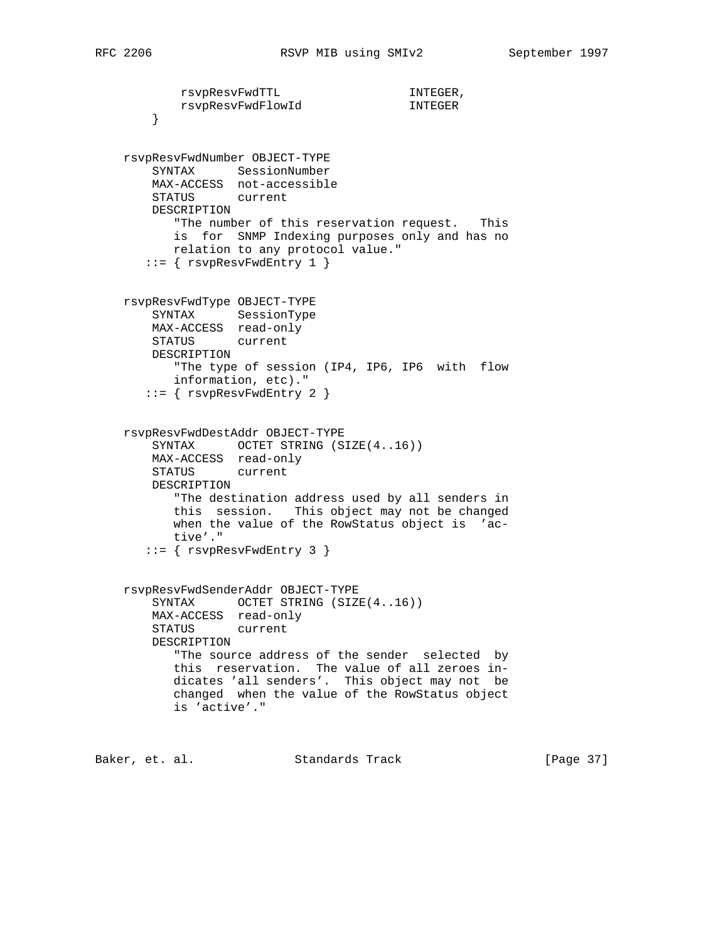```
rsvpResvFwdTTL 1NTEGER,
        rsvpResvFwdFlowId INTEGER
    }
 rsvpResvFwdNumber OBJECT-TYPE
    SYNTAX SessionNumber
    MAX-ACCESS not-accessible
    STATUS current
    DESCRIPTION
       "The number of this reservation request. This
       is for SNMP Indexing purposes only and has no
       relation to any protocol value."
   ::= { rsv pResvFwdEntry 1 }
 rsvpResvFwdType OBJECT-TYPE
    SYNTAX SessionType
    MAX-ACCESS read-only
    STATUS current
    DESCRIPTION
       "The type of session (IP4, IP6, IP6 with flow
       information, etc)."
    ::= { rsvpResvFwdEntry 2 }
 rsvpResvFwdDestAddr OBJECT-TYPE
   SYNTAX OCTET STRING (SIZE(4..16))
    MAX-ACCESS read-only
    STATUS current
    DESCRIPTION
       "The destination address used by all senders in
       this session. This object may not be changed
       when the value of the RowStatus object is 'ac-
       tive'."
    ::= { rsvpResvFwdEntry 3 }
 rsvpResvFwdSenderAddr OBJECT-TYPE
   SYNTAX OCTET STRING (SIZE(4..16))
    MAX-ACCESS read-only
    STATUS current
    DESCRIPTION
       "The source address of the sender selected by
       this reservation. The value of all zeroes in-
       dicates 'all senders'. This object may not be
       changed when the value of the RowStatus object
       is 'active'."
```
Baker, et. al. Standards Track [Page 37]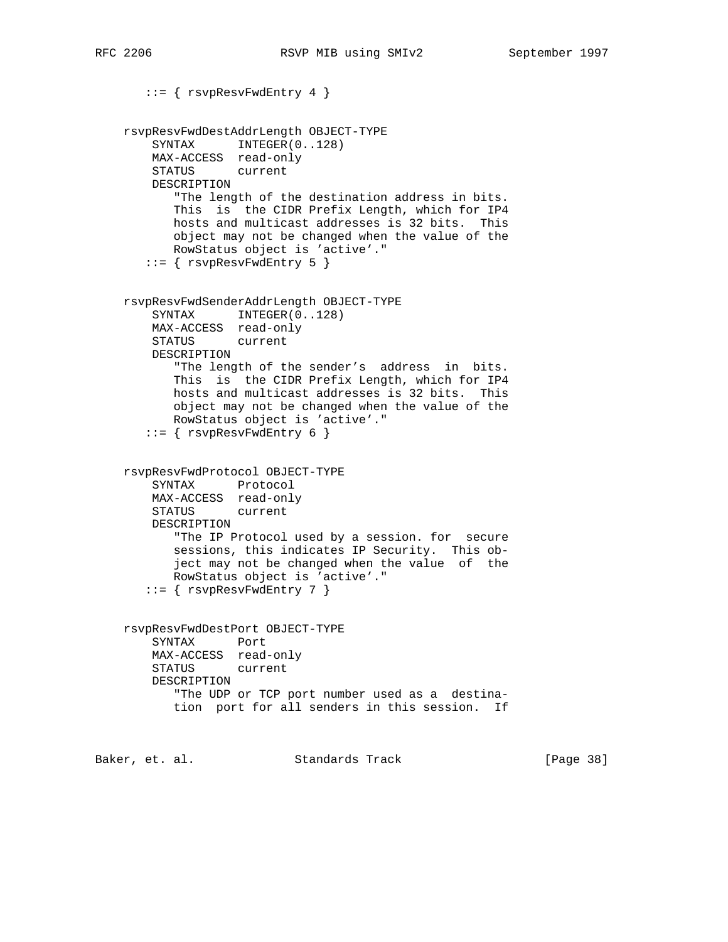```
 ::= { rsvpResvFwdEntry 4 }
    rsvpResvFwdDestAddrLength OBJECT-TYPE
       SYNTAX INTEGER(0..128)
        MAX-ACCESS read-only
        STATUS current
        DESCRIPTION
           "The length of the destination address in bits.
           This is the CIDR Prefix Length, which for IP4
           hosts and multicast addresses is 32 bits. This
           object may not be changed when the value of the
           RowStatus object is 'active'."
      ::= { rsv pResvFwdEntry 5 }
    rsvpResvFwdSenderAddrLength OBJECT-TYPE
       SYNTAX INTEGER(0..128)
        MAX-ACCESS read-only
        STATUS current
        DESCRIPTION
           "The length of the sender's address in bits.
           This is the CIDR Prefix Length, which for IP4
           hosts and multicast addresses is 32 bits. This
           object may not be changed when the value of the
           RowStatus object is 'active'."
       ::= { rsvpResvFwdEntry 6 }
    rsvpResvFwdProtocol OBJECT-TYPE
        SYNTAX Protocol
        MAX-ACCESS read-only
        STATUS current
        DESCRIPTION
           "The IP Protocol used by a session. for secure
           sessions, this indicates IP Security. This ob-
           ject may not be changed when the value of the
           RowStatus object is 'active'."
       ::= { rsvpResvFwdEntry 7 }
    rsvpResvFwdDestPort OBJECT-TYPE
        SYNTAX Port
        MAX-ACCESS read-only
        STATUS current
        DESCRIPTION
           "The UDP or TCP port number used as a destina-
           tion port for all senders in this session. If
Baker, et. al. Standards Track [Page 38]
```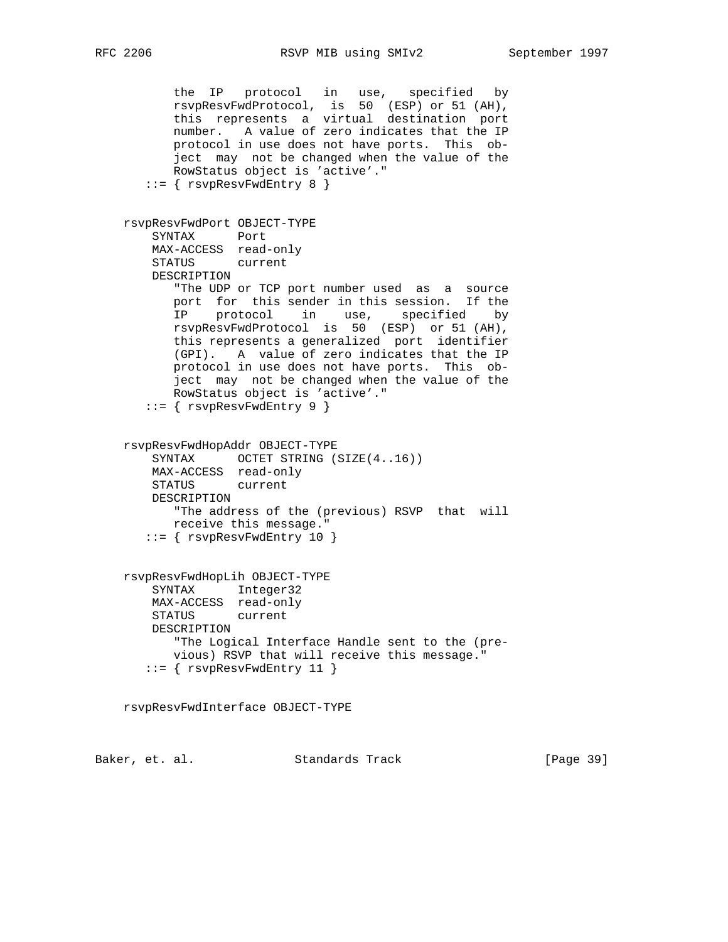the IP protocol in use, specified by rsvpResvFwdProtocol, is 50 (ESP) or 51 (AH), this represents a virtual destination port number. A value of zero indicates that the IP protocol in use does not have ports. This ob ject may not be changed when the value of the RowStatus object is 'active'."  $::=$  {  $rsv p$ ResvFwdEntry 8 } rsvpResvFwdPort OBJECT-TYPE SYNTAX Port MAX-ACCESS read-only STATUS current DESCRIPTION "The UDP or TCP port number used as a source port for this sender in this session. If the IP protocol in use, specified by rsvpResvFwdProtocol is 50 (ESP) or 51 (AH), this represents a generalized port identifier (GPI). A value of zero indicates that the IP protocol in use does not have ports. This ob ject may not be changed when the value of the RowStatus object is 'active'." ::= { rsvpResvFwdEntry 9 } rsvpResvFwdHopAddr OBJECT-TYPE SYNTAX OCTET STRING (SIZE(4..16)) MAX-ACCESS read-only STATUS current DESCRIPTION "The address of the (previous) RSVP that will receive this message." ::= { rsvpResvFwdEntry 10 } rsvpResvFwdHopLih OBJECT-TYPE SYNTAX Integer32 MAX-ACCESS read-only STATUS current DESCRIPTION "The Logical Interface Handle sent to the (pre vious) RSVP that will receive this message." ::= { rsvpResvFwdEntry 11 } rsvpResvFwdInterface OBJECT-TYPE

Baker, et. al. Standards Track [Page 39]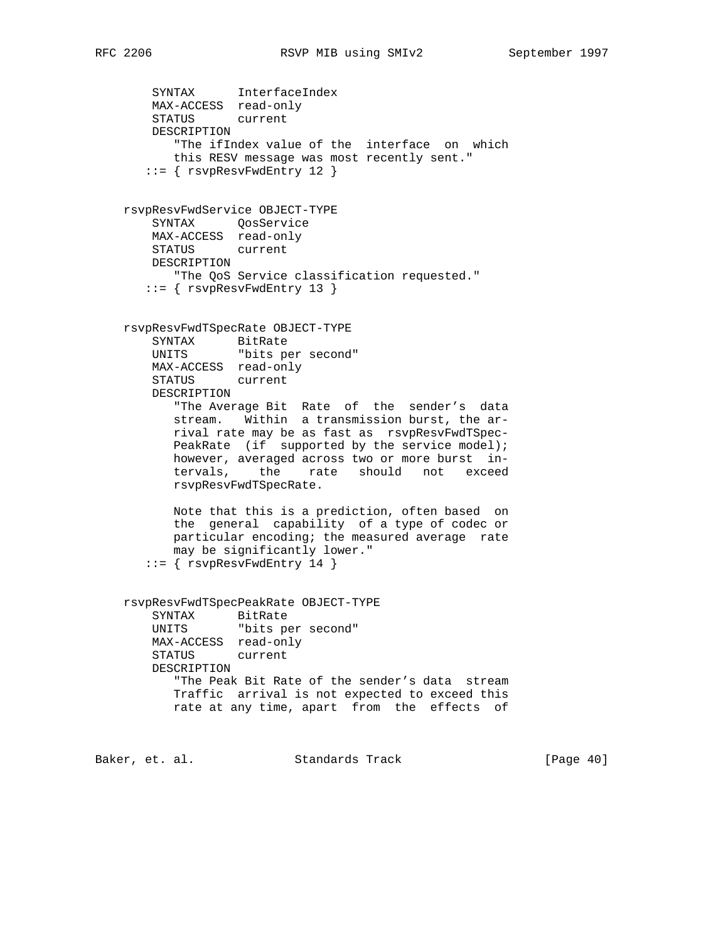```
 SYNTAX InterfaceIndex
        MAX-ACCESS read-only
        STATUS current
        DESCRIPTION
           "The ifIndex value of the interface on which
           this RESV message was most recently sent."
        ::= { rsvpResvFwdEntry 12 }
    rsvpResvFwdService OBJECT-TYPE
        SYNTAX QosService
        MAX-ACCESS read-only
        STATUS current
        DESCRIPTION
          "The QoS Service classification requested."
       ::= { rsvpResvFwdEntry 13 }
    rsvpResvFwdTSpecRate OBJECT-TYPE
 SYNTAX BitRate
 UNITS "bits per second"
        MAX-ACCESS read-only
        STATUS current
        DESCRIPTION
           "The Average Bit Rate of the sender's data
           stream. Within a transmission burst, the ar-
           rival rate may be as fast as rsvpResvFwdTSpec-
          PeakRate (if supported by the service model);
           however, averaged across two or more burst in-
           tervals, the rate should not exceed
           rsvpResvFwdTSpecRate.
           Note that this is a prediction, often based on
           the general capability of a type of codec or
           particular encoding; the measured average rate
           may be significantly lower."
       ::= { rsvpResvFwdEntry 14 }
    rsvpResvFwdTSpecPeakRate OBJECT-TYPE
       SYNTAX BitRate<br>UNITS "bits pe
                  "bits per second"
        MAX-ACCESS read-only
        STATUS current
        DESCRIPTION
           "The Peak Bit Rate of the sender's data stream
           Traffic arrival is not expected to exceed this
           rate at any time, apart from the effects of
Baker, et. al. Standards Track [Page 40]
```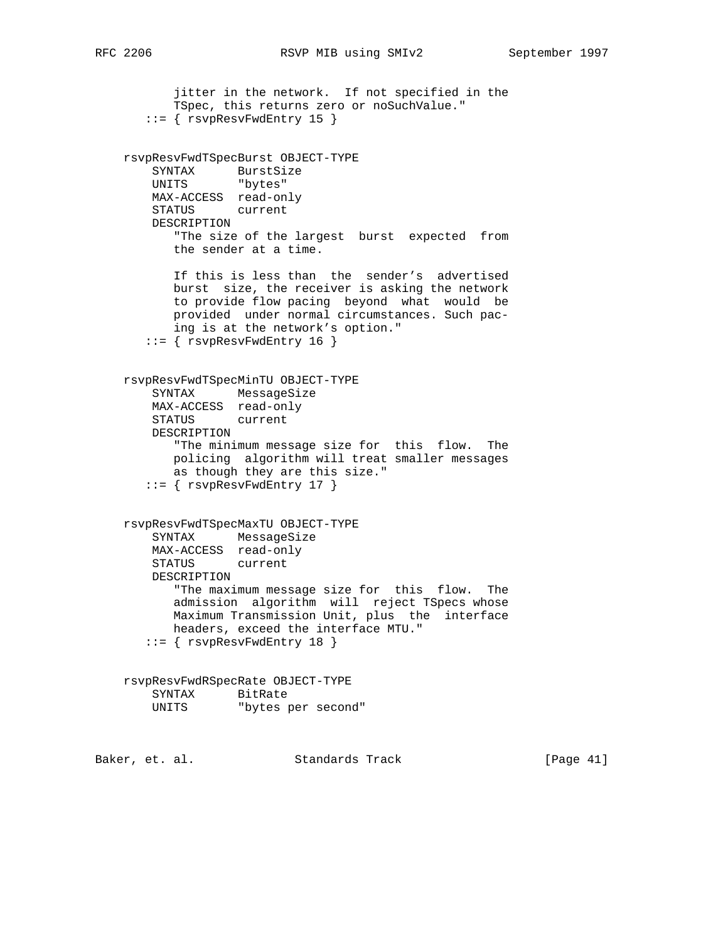```
 jitter in the network. If not specified in the
           TSpec, this returns zero or noSuchValue."
       ::= { rsvpResvFwdEntry 15 }
    rsvpResvFwdTSpecBurst OBJECT-TYPE
 SYNTAX BurstSize
 UNITS "bytes"
        MAX-ACCESS read-only
        STATUS current
        DESCRIPTION
           "The size of the largest burst expected from
           the sender at a time.
           If this is less than the sender's advertised
           burst size, the receiver is asking the network
           to provide flow pacing beyond what would be
           provided under normal circumstances. Such pac-
           ing is at the network's option."
       ::= { rsvpResvFwdEntry 16 }
    rsvpResvFwdTSpecMinTU OBJECT-TYPE
        SYNTAX MessageSize
        MAX-ACCESS read-only
        STATUS current
        DESCRIPTION
           "The minimum message size for this flow. The
           policing algorithm will treat smaller messages
           as though they are this size."
       ::= { rsvpResvFwdEntry 17 }
    rsvpResvFwdTSpecMaxTU OBJECT-TYPE
        SYNTAX MessageSize
        MAX-ACCESS read-only
        STATUS current
        DESCRIPTION
           "The maximum message size for this flow. The
           admission algorithm will reject TSpecs whose
           Maximum Transmission Unit, plus the interface
           headers, exceed the interface MTU."
       ::= { rsvpResvFwdEntry 18 }
    rsvpResvFwdRSpecRate OBJECT-TYPE
 SYNTAX BitRate
 UNITS "bytes per second"
Baker, et. al. Standards Track [Page 41]
```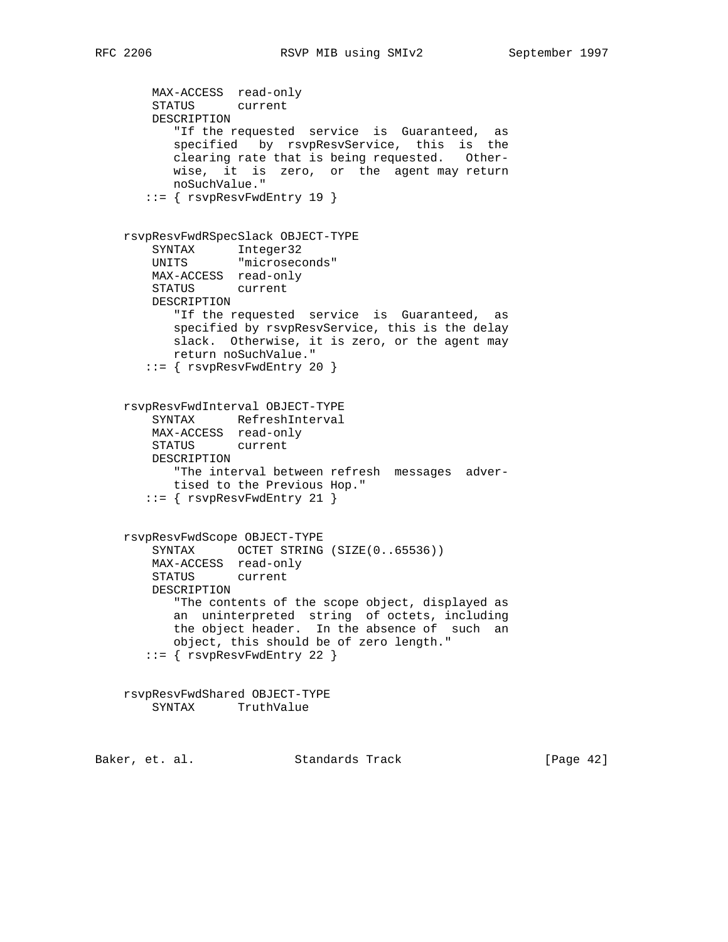```
 MAX-ACCESS read-only
        STATUS current
        DESCRIPTION
           "If the requested service is Guaranteed, as
           specified by rsvpResvService, this is the
           clearing rate that is being requested. Other-
           wise, it is zero, or the agent may return
           noSuchValue."
       ::= { rsvpResvFwdEntry 19 }
    rsvpResvFwdRSpecSlack OBJECT-TYPE
 SYNTAX Integer32
 UNITS "microseconds"
        MAX-ACCESS read-only
        STATUS current
        DESCRIPTION
           "If the requested service is Guaranteed, as
           specified by rsvpResvService, this is the delay
           slack. Otherwise, it is zero, or the agent may
          return noSuchValue."
       ::= { rsvpResvFwdEntry 20 }
    rsvpResvFwdInterval OBJECT-TYPE
 SYNTAX RefreshInterval
 MAX-ACCESS read-only
        STATUS current
        DESCRIPTION
           "The interval between refresh messages adver-
          tised to the Previous Hop."
       ::= { rsvpResvFwdEntry 21 }
    rsvpResvFwdScope OBJECT-TYPE
       SYNTAX OCTET STRING (SIZE(0..65536))
        MAX-ACCESS read-only
        STATUS current
        DESCRIPTION
           "The contents of the scope object, displayed as
           an uninterpreted string of octets, including
           the object header. In the absence of such an
           object, this should be of zero length."
       ::= { rsvpResvFwdEntry 22 }
    rsvpResvFwdShared OBJECT-TYPE
        SYNTAX TruthValue
```
Baker, et. al. Standards Track [Page 42]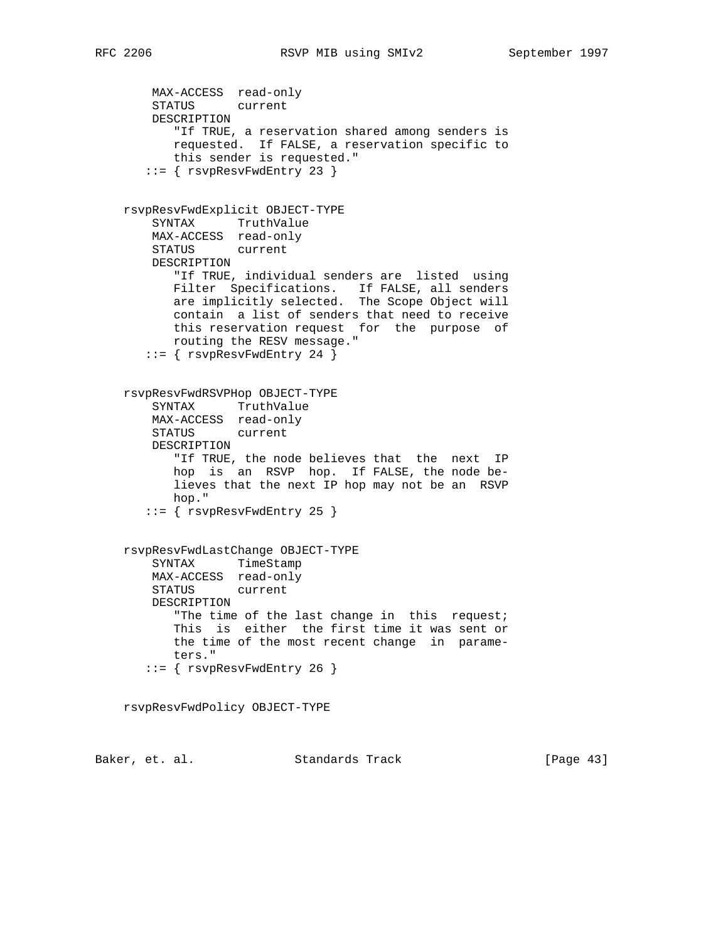```
 MAX-ACCESS read-only
        STATUS current
        DESCRIPTION
           "If TRUE, a reservation shared among senders is
           requested. If FALSE, a reservation specific to
           this sender is requested."
        ::= { rsvpResvFwdEntry 23 }
    rsvpResvFwdExplicit OBJECT-TYPE
        SYNTAX TruthValue
        MAX-ACCESS read-only
        STATUS current
        DESCRIPTION
           "If TRUE, individual senders are listed using
          Filter Specifications. If FALSE, all senders
           are implicitly selected. The Scope Object will
           contain a list of senders that need to receive
           this reservation request for the purpose of
           routing the RESV message."
      ::= { rsv pResvFwdEntry 24 }
    rsvpResvFwdRSVPHop OBJECT-TYPE
        SYNTAX TruthValue
        MAX-ACCESS read-only
        STATUS current
        DESCRIPTION
           "If TRUE, the node believes that the next IP
           hop is an RSVP hop. If FALSE, the node be-
           lieves that the next IP hop may not be an RSVP
           hop."
      ::= { rsv pResvFwdEntry 25 }
    rsvpResvFwdLastChange OBJECT-TYPE
        SYNTAX TimeStamp
        MAX-ACCESS read-only
        STATUS current
        DESCRIPTION
          "The time of the last change in this request;
           This is either the first time it was sent or
           the time of the most recent change in parame-
           ters."
       ::= { rsvpResvFwdEntry 26 }
    rsvpResvFwdPolicy OBJECT-TYPE
Baker, et. al. Standards Track [Page 43]
```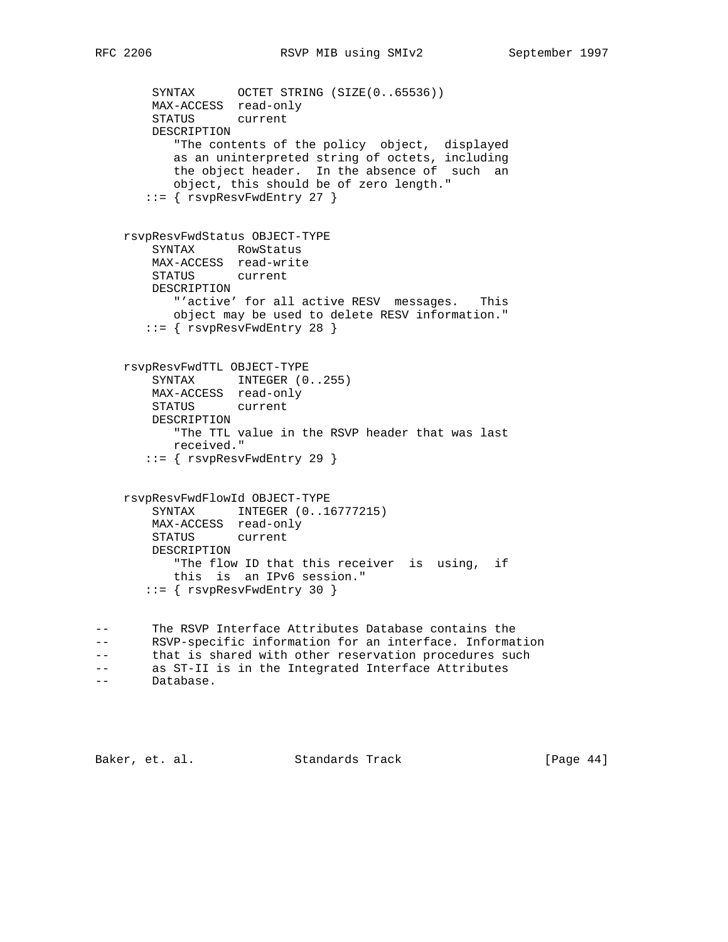```
SYNTAX OCTET STRING (SIZE(0..65536))
        MAX-ACCESS read-only
        STATUS current
        DESCRIPTION
 "The contents of the policy object, displayed
 as an uninterpreted string of octets, including
           the object header. In the absence of such an
           object, this should be of zero length."
       ::= { rsvpResvFwdEntry 27 }
    rsvpResvFwdStatus OBJECT-TYPE
        SYNTAX RowStatus
        MAX-ACCESS read-write
        STATUS current
        DESCRIPTION
           "'active' for all active RESV messages. This
          object may be used to delete RESV information."
       ::= { rsvpResvFwdEntry 28 }
    rsvpResvFwdTTL OBJECT-TYPE
       SYNTAX INTEGER (0..255)
        MAX-ACCESS read-only
        STATUS current
        DESCRIPTION
           "The TTL value in the RSVP header that was last
           received."
       ::= { rsvpResvFwdEntry 29 }
    rsvpResvFwdFlowId OBJECT-TYPE
        SYNTAX INTEGER (0..16777215)
        MAX-ACCESS read-only
        STATUS current
        DESCRIPTION
           "The flow ID that this receiver is using, if
          this is an IPv6 session."
       ::= { rsvpResvFwdEntry 30 }
-- The RSVP Interface Attributes Database contains the
-- RSVP-specific information for an interface. Information
-- that is shared with other reservation procedures such
-- as ST-II is in the Integrated Interface Attributes
-- Database.
```
Baker, et. al. Standards Track [Page 44]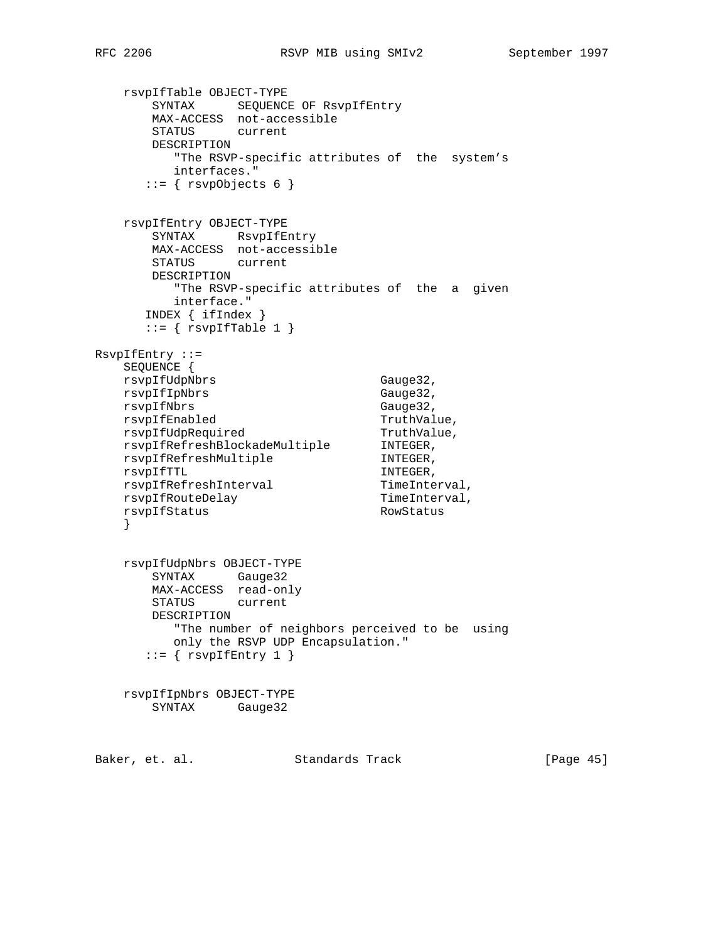```
 rsvpIfTable OBJECT-TYPE
 SYNTAX SEQUENCE OF RsvpIfEntry
 MAX-ACCESS not-accessible
       STATUS current
       DESCRIPTION
         "The RSVP-specific attributes of the system's
         interfaces."
      ::= \{ \text{rsypObjects } 6 \} rsvpIfEntry OBJECT-TYPE
       SYNTAX RsvpIfEntry
       MAX-ACCESS not-accessible
       STATUS current
       DESCRIPTION
         "The RSVP-specific attributes of the a given
         interface."
      INDEX { ifIndex }
     ::= { rsvpfTable 1 }
RsvpIfEntry ::=
    SEQUENCE {
   rsvpIfUdpNbrs Gauge32,
   rsvpIfIpNbrs Gauge32,
rsvpIfNbrs Gauge32,
rsvpIfEnabled TruthValue,
rsvpIfUdpRequired TruthValue,
 rsvpIfRefreshBlockadeMultiple INTEGER,
rsvpIfRefreshMultiple Communisty INTEGER,
rsvpIfTTL INTEGER,
rsvpIfRefreshInterval TimeInterval,
rsvpIfRouteDelay menterval,
rsvpIfStatus RowStatus
 }
    rsvpIfUdpNbrs OBJECT-TYPE
       SYNTAX Gauge32
       MAX-ACCESS read-only
       STATUS current
       DESCRIPTION
         "The number of neighbors perceived to be using
         only the RSVP UDP Encapsulation."
     ::= { rsvpIfEntry 1 }
    rsvpIfIpNbrs OBJECT-TYPE
       SYNTAX Gauge32
Baker, et. al. Standards Track [Page 45]
```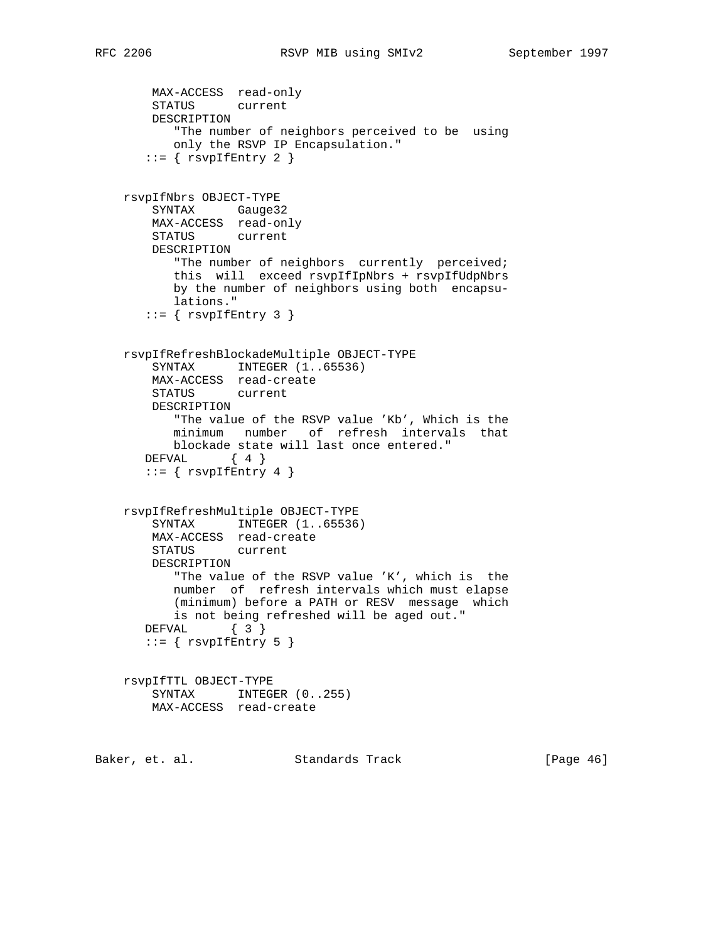```
 MAX-ACCESS read-only
        STATUS current
        DESCRIPTION
           "The number of neighbors perceived to be using
           only the RSVP IP Encapsulation."
      ::= { rsvpfEntry 2 }
    rsvpIfNbrs OBJECT-TYPE
        SYNTAX Gauge32
        MAX-ACCESS read-only
        STATUS current
        DESCRIPTION
           "The number of neighbors currently perceived;
           this will exceed rsvpIfIpNbrs + rsvpIfUdpNbrs
           by the number of neighbors using both encapsu-
           lations."
      ::= { rsvpfEntry 3 }
    rsvpIfRefreshBlockadeMultiple OBJECT-TYPE
       SYNTAX INTEGER (1..65536) MAX-ACCESS read-create
        STATUS current
        DESCRIPTION
           "The value of the RSVP value 'Kb', Which is the
          minimum number of refresh intervals that
          blockade state will last once entered."
       DEFVAL { 4 }
      ::= { rsvpfEntry 4 }
    rsvpIfRefreshMultiple OBJECT-TYPE
       SYNTAX INTEGER (1..65536)
        MAX-ACCESS read-create
        STATUS current
        DESCRIPTION
           "The value of the RSVP value 'K', which is the
           number of refresh intervals which must elapse
           (minimum) before a PATH or RESV message which
           is not being refreshed will be aged out."
       DEFVAL { 3 }
      ::= { rsvpfEntry 5 }
    rsvpIfTTL OBJECT-TYPE
       SYNTAX INTEGER (0..255) MAX-ACCESS read-create
Baker, et. al. Standards Track [Page 46]
```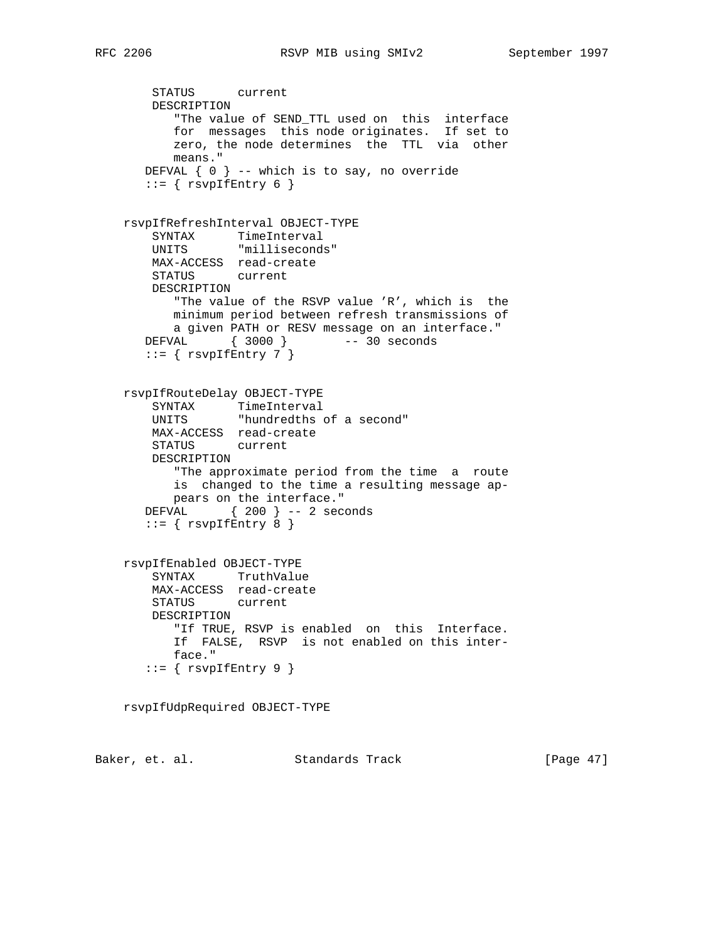```
 STATUS current
        DESCRIPTION
           "The value of SEND_TTL used on this interface
           for messages this node originates. If set to
           zero, the node determines the TTL via other
           means."
       DEFVAL { 0 } -- which is to say, no override
      ::= { rsvpIfEntry 6 }
    rsvpIfRefreshInterval OBJECT-TYPE
        SYNTAX TimeInterval
        UNITS "milliseconds"
        MAX-ACCESS read-create
        STATUS current
        DESCRIPTION
           "The value of the RSVP value 'R', which is the
           minimum period between refresh transmissions of
          a given PATH or RESV message on an interface."
       DEFVAL { 3000 } -- 30 seconds
      ::= { rsvpfEntry 7 }
    rsvpIfRouteDelay OBJECT-TYPE
 SYNTAX TimeInterval
 UNITS "hundredths of a second"
        MAX-ACCESS read-create
        STATUS current
        DESCRIPTION
           "The approximate period from the time a route
          is changed to the time a resulting message ap-
          pears on the interface."
       DEFVAL { 200 } -- 2 seconds
      ::= { rsvpfEntry 8 }
    rsvpIfEnabled OBJECT-TYPE
        SYNTAX TruthValue
        MAX-ACCESS read-create
        STATUS current
        DESCRIPTION
           "If TRUE, RSVP is enabled on this Interface.
           If FALSE, RSVP is not enabled on this inter-
           face."
      ::= { rsvpIfEntry 9 }
    rsvpIfUdpRequired OBJECT-TYPE
Baker, et. al. Standards Track [Page 47]
```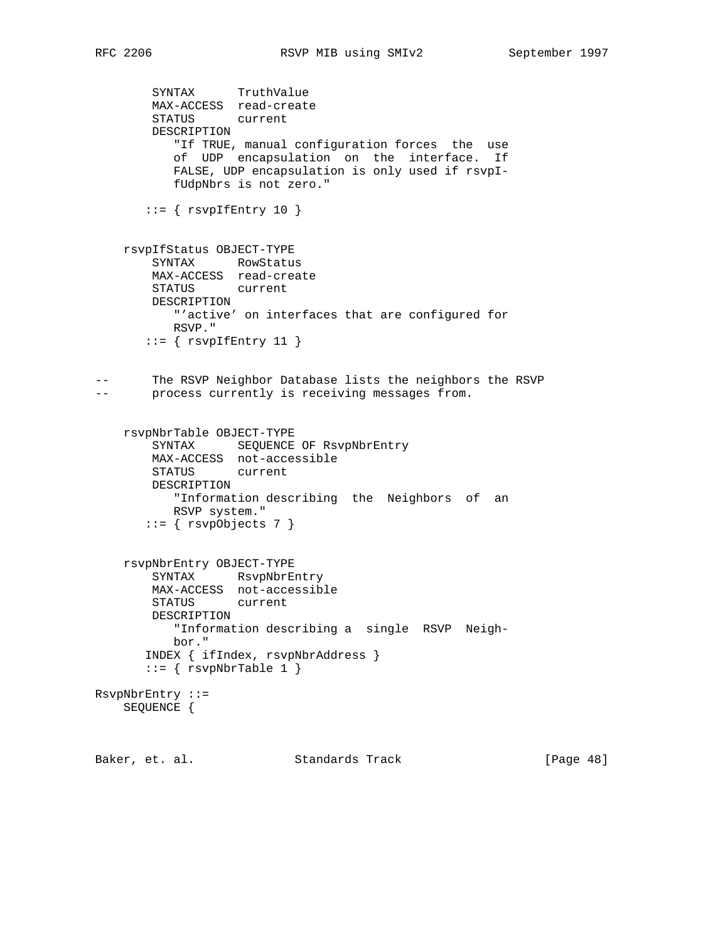```
 SYNTAX TruthValue
        MAX-ACCESS read-create
        STATUS current
        DESCRIPTION
           "If TRUE, manual configuration forces the use
           of UDP encapsulation on the interface. If
           FALSE, UDP encapsulation is only used if rsvpI-
           fUdpNbrs is not zero."
      ::= { rsvpfEntry 10 }
    rsvpIfStatus OBJECT-TYPE
        SYNTAX RowStatus
        MAX-ACCESS read-create
        STATUS current
        DESCRIPTION
           "'active' on interfaces that are configured for
           RSVP."
      ::= { rsvpIfEntry 11 }
-- The RSVP Neighbor Database lists the neighbors the RSVP
-- process currently is receiving messages from.
    rsvpNbrTable OBJECT-TYPE
        SYNTAX SEQUENCE OF RsvpNbrEntry
        MAX-ACCESS not-accessible
        STATUS current
        DESCRIPTION
           "Information describing the Neighbors of an
          RSVP system."
      ::= { rsvpObjects 7 }
    rsvpNbrEntry OBJECT-TYPE
        SYNTAX RsvpNbrEntry
        MAX-ACCESS not-accessible
        STATUS current
        DESCRIPTION
           "Information describing a single RSVP Neigh-
           bor."
       INDEX { ifIndex, rsvpNbrAddress }
      ::= { rsvpNbrTable 1 }
RsvpNbrEntry ::=
    SEQUENCE {
Baker, et. al. Standards Track [Page 48]
```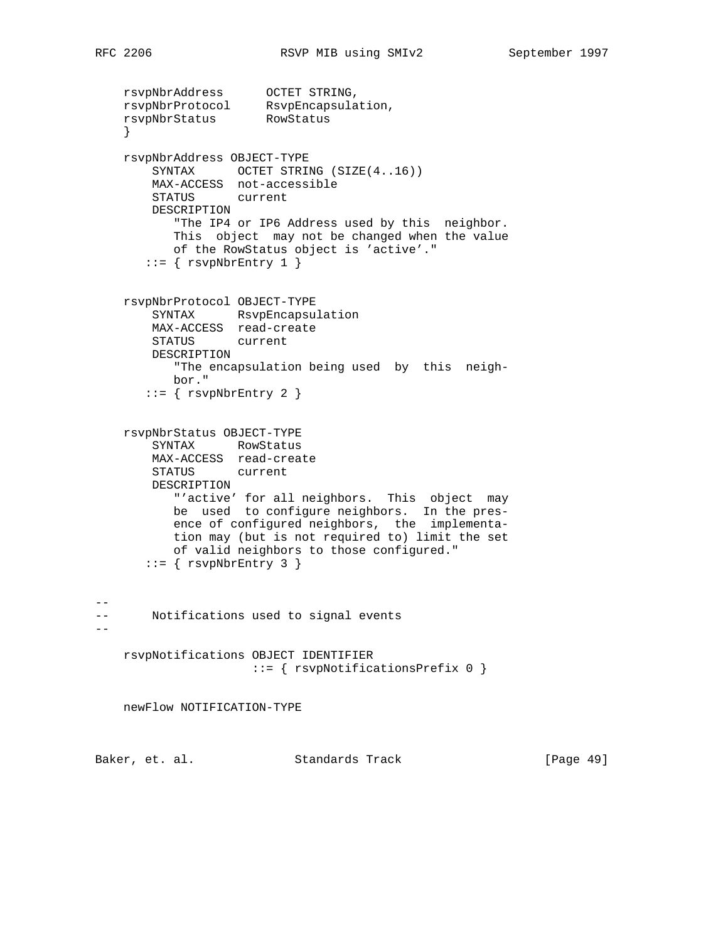--

 $- -$ 

```
 rsvpNbrAddress OCTET STRING,
 rsvpNbrProtocol RsvpEncapsulation,
 rsvpNbrStatus RowStatus
    }
    rsvpNbrAddress OBJECT-TYPE
       SYNTAX OCTET STRING (SIZE(4..16))
        MAX-ACCESS not-accessible
        STATUS current
        DESCRIPTION
           "The IP4 or IP6 Address used by this neighbor.
           This object may not be changed when the value
           of the RowStatus object is 'active'."
      ::= { rsvpNbrEntry 1 }
    rsvpNbrProtocol OBJECT-TYPE
        SYNTAX RsvpEncapsulation
        MAX-ACCESS read-create
        STATUS current
        DESCRIPTION
           "The encapsulation being used by this neigh-
           bor."
      ::= { rsvphbrfntry 2 }
    rsvpNbrStatus OBJECT-TYPE
        SYNTAX RowStatus
        MAX-ACCESS read-create
        STATUS current
        DESCRIPTION
           "'active' for all neighbors. This object may
           be used to configure neighbors. In the pres-
           ence of configured neighbors, the implementa-
           tion may (but is not required to) limit the set
           of valid neighbors to those configured."
      ::= { rsvphbrfntry 3 }
-- Notifications used to signal events
    rsvpNotifications OBJECT IDENTIFIER
                      ::= { rsvpNotificationsPrefix 0 }
    newFlow NOTIFICATION-TYPE
```
Baker, et. al. Standards Track [Page 49]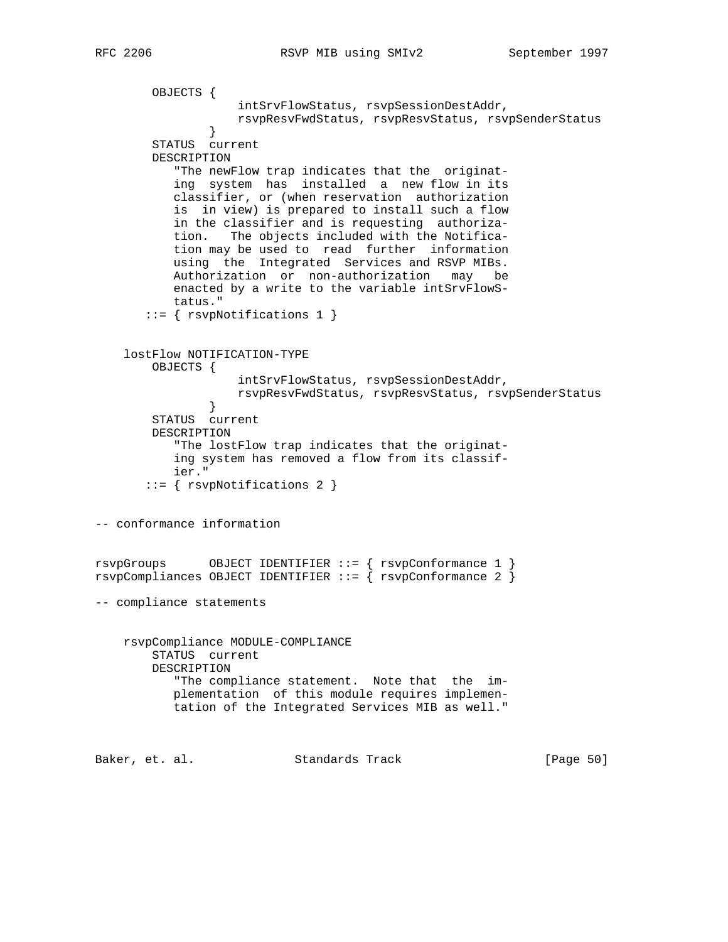```
 OBJECTS {
                    intSrvFlowStatus, rsvpSessionDestAddr,
                    rsvpResvFwdStatus, rsvpResvStatus, rsvpSenderStatus
 }
        STATUS current
        DESCRIPTION
           "The newFlow trap indicates that the originat-
           ing system has installed a new flow in its
           classifier, or (when reservation authorization
           is in view) is prepared to install such a flow
           in the classifier and is requesting authoriza-
           tion. The objects included with the Notifica-
           tion may be used to read further information
           using the Integrated Services and RSVP MIBs.
           Authorization or non-authorization may be
           enacted by a write to the variable intSrvFlowS-
           tatus."
        ::= { rsvpNotifications 1 }
     lostFlow NOTIFICATION-TYPE
        OBJECTS {
                    intSrvFlowStatus, rsvpSessionDestAddr,
                    rsvpResvFwdStatus, rsvpResvStatus, rsvpSenderStatus
 }
        STATUS current
        DESCRIPTION
            "The lostFlow trap indicates that the originat-
           ing system has removed a flow from its classif-
           ier."
        ::= { rsvpNotifications 2 }
-- conformance information
rsvpGroups OBJECT IDENTIFIER ::= { rsvpConformance 1 }
rsvpCompliances OBJECT IDENTIFYER :: = { xsyPConformance 2 }-- compliance statements
    rsvpCompliance MODULE-COMPLIANCE
        STATUS current
        DESCRIPTION
           "The compliance statement. Note that the im-
           plementation of this module requires implemen-
           tation of the Integrated Services MIB as well."
Baker, et. al. Standards Track [Page 50]
```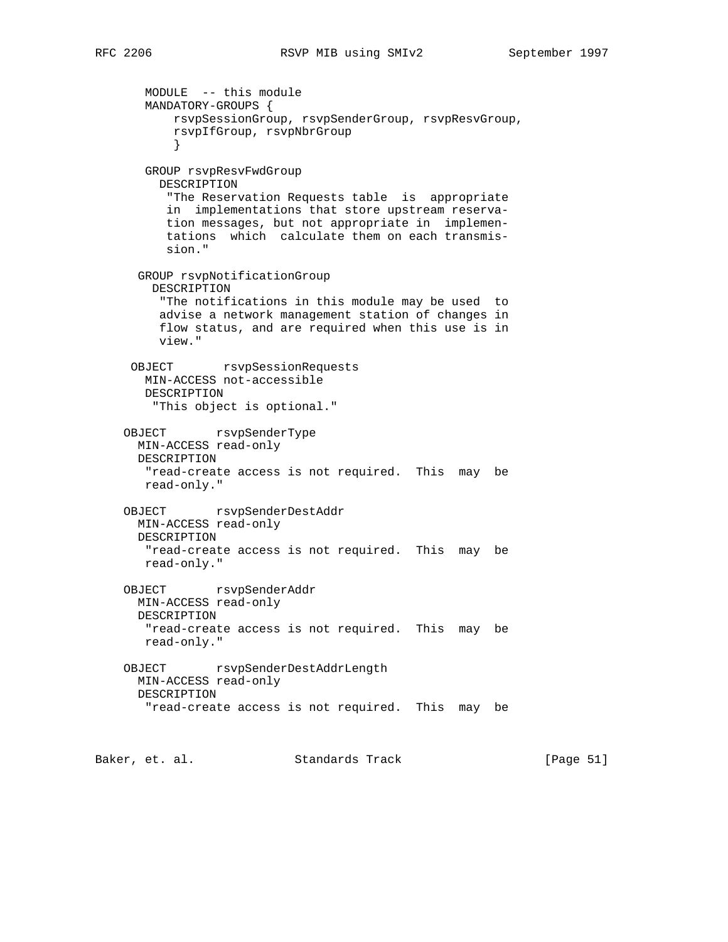MODULE -- this module MANDATORY-GROUPS { rsvpSessionGroup, rsvpSenderGroup, rsvpResvGroup, rsvpIfGroup, rsvpNbrGroup } GROUP rsvpResvFwdGroup DESCRIPTION "The Reservation Requests table is appropriate in implementations that store upstream reserva tion messages, but not appropriate in implemen tations which calculate them on each transmis sion." GROUP rsvpNotificationGroup DESCRIPTION "The notifications in this module may be used to advise a network management station of changes in flow status, and are required when this use is in view." OBJECT rsvpSessionRequests MIN-ACCESS not-accessible DESCRIPTION "This object is optional." OBJECT rsvpSenderType MIN-ACCESS read-only DESCRIPTION "read-create access is not required. This may be read-only." OBJECT rsvpSenderDestAddr MIN-ACCESS read-only DESCRIPTION "read-create access is not required. This may be read-only." OBJECT rsvpSenderAddr MIN-ACCESS read-only DESCRIPTION "read-create access is not required. This may be read-only." OBJECT rsvpSenderDestAddrLength MIN-ACCESS read-only DESCRIPTION "read-create access is not required. This may be

Baker, et. al. Standards Track [Page 51]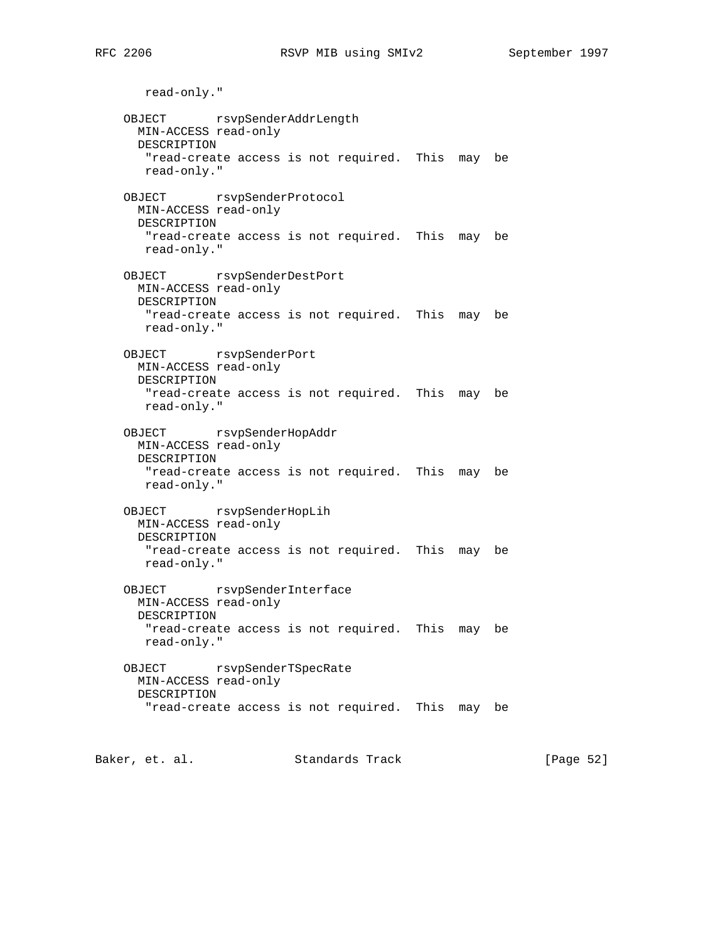read-only." OBJECT rsvpSenderAddrLength MIN-ACCESS read-only DESCRIPTION "read-create access is not required. This may be read-only." OBJECT rsvpSenderProtocol MIN-ACCESS read-only DESCRIPTION "read-create access is not required. This may be read-only." OBJECT rsvpSenderDestPort MIN-ACCESS read-only DESCRIPTION "read-create access is not required. This may be read-only." OBJECT rsvpSenderPort MIN-ACCESS read-only DESCRIPTION "read-create access is not required. This may be read-only." OBJECT rsvpSenderHopAddr MIN-ACCESS read-only DESCRIPTION "read-create access is not required. This may be read-only." OBJECT rsvpSenderHopLih MIN-ACCESS read-only DESCRIPTION "read-create access is not required. This may be read-only." OBJECT rsvpSenderInterface MIN-ACCESS read-only DESCRIPTION "read-create access is not required. This may be read-only." OBJECT rsvpSenderTSpecRate MIN-ACCESS read-only DESCRIPTION "read-create access is not required. This may be

Baker, et. al. Standards Track [Page 52]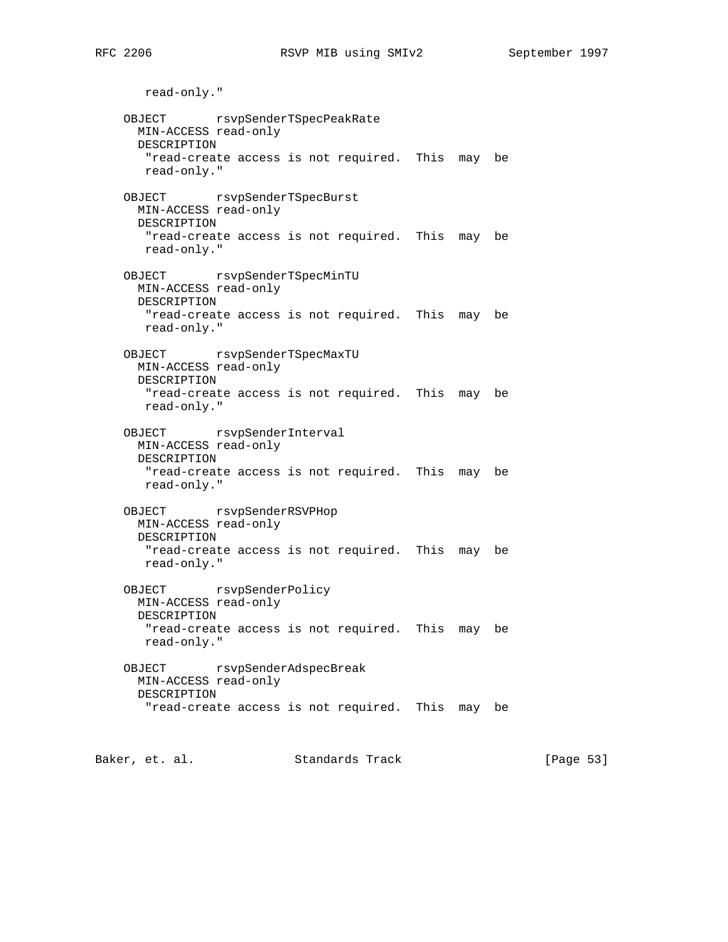read-only." OBJECT rsvpSenderTSpecPeakRate MIN-ACCESS read-only DESCRIPTION "read-create access is not required. This may be read-only." OBJECT rsvpSenderTSpecBurst MIN-ACCESS read-only DESCRIPTION "read-create access is not required. This may be read-only." OBJECT rsvpSenderTSpecMinTU MIN-ACCESS read-only DESCRIPTION "read-create access is not required. This may be read-only." OBJECT rsvpSenderTSpecMaxTU MIN-ACCESS read-only DESCRIPTION "read-create access is not required. This may be read-only." OBJECT rsvpSenderInterval MIN-ACCESS read-only DESCRIPTION "read-create access is not required. This may be read-only." OBJECT rsvpSenderRSVPHop MIN-ACCESS read-only DESCRIPTION "read-create access is not required. This may be read-only." OBJECT rsvpSenderPolicy MIN-ACCESS read-only DESCRIPTION "read-create access is not required. This may be read-only." OBJECT rsvpSenderAdspecBreak MIN-ACCESS read-only DESCRIPTION "read-create access is not required. This may be

Baker, et. al. Standards Track [Page 53]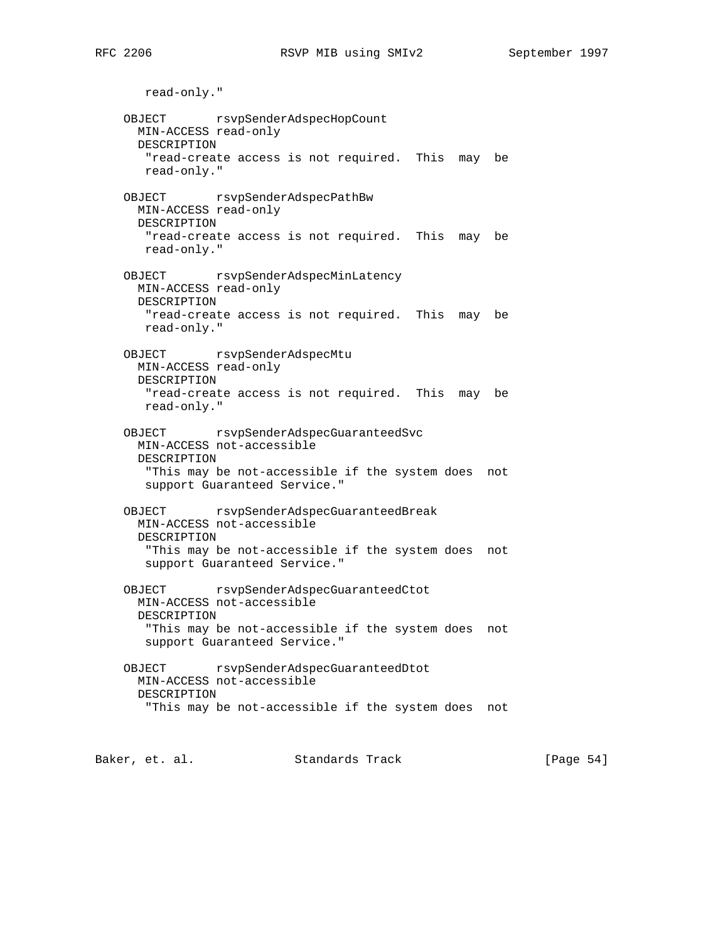read-only." OBJECT rsvpSenderAdspecHopCount MIN-ACCESS read-only DESCRIPTION "read-create access is not required. This may be read-only." OBJECT rsvpSenderAdspecPathBw MIN-ACCESS read-only DESCRIPTION "read-create access is not required. This may be read-only." OBJECT rsvpSenderAdspecMinLatency MIN-ACCESS read-only DESCRIPTION "read-create access is not required. This may be read-only." OBJECT rsvpSenderAdspecMtu MIN-ACCESS read-only DESCRIPTION "read-create access is not required. This may be read-only." OBJECT rsvpSenderAdspecGuaranteedSvc MIN-ACCESS not-accessible DESCRIPTION "This may be not-accessible if the system does not support Guaranteed Service." OBJECT rsvpSenderAdspecGuaranteedBreak MIN-ACCESS not-accessible DESCRIPTION "This may be not-accessible if the system does not support Guaranteed Service." OBJECT rsvpSenderAdspecGuaranteedCtot MIN-ACCESS not-accessible DESCRIPTION "This may be not-accessible if the system does not support Guaranteed Service." OBJECT rsvpSenderAdspecGuaranteedDtot MIN-ACCESS not-accessible DESCRIPTION "This may be not-accessible if the system does not

Baker, et. al. Standards Track [Page 54]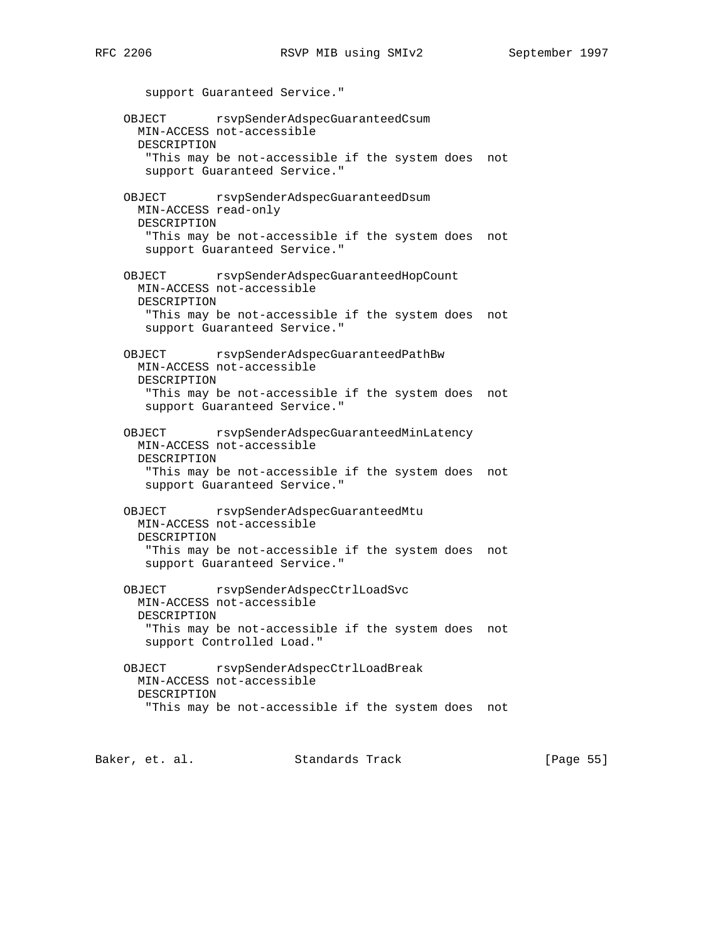support Guaranteed Service." OBJECT rsvpSenderAdspecGuaranteedCsum MIN-ACCESS not-accessible DESCRIPTION "This may be not-accessible if the system does not support Guaranteed Service." OBJECT rsvpSenderAdspecGuaranteedDsum MIN-ACCESS read-only DESCRIPTION "This may be not-accessible if the system does not support Guaranteed Service." OBJECT rsvpSenderAdspecGuaranteedHopCount MIN-ACCESS not-accessible DESCRIPTION "This may be not-accessible if the system does not support Guaranteed Service." OBJECT rsvpSenderAdspecGuaranteedPathBw MIN-ACCESS not-accessible DESCRIPTION "This may be not-accessible if the system does not support Guaranteed Service." OBJECT rsvpSenderAdspecGuaranteedMinLatency MIN-ACCESS not-accessible DESCRIPTION "This may be not-accessible if the system does not support Guaranteed Service." OBJECT rsvpSenderAdspecGuaranteedMtu MIN-ACCESS not-accessible DESCRIPTION "This may be not-accessible if the system does not support Guaranteed Service." OBJECT rsvpSenderAdspecCtrlLoadSvc MIN-ACCESS not-accessible DESCRIPTION "This may be not-accessible if the system does not support Controlled Load." OBJECT rsvpSenderAdspecCtrlLoadBreak MIN-ACCESS not-accessible DESCRIPTION "This may be not-accessible if the system does not

Baker, et. al. Standards Track [Page 55]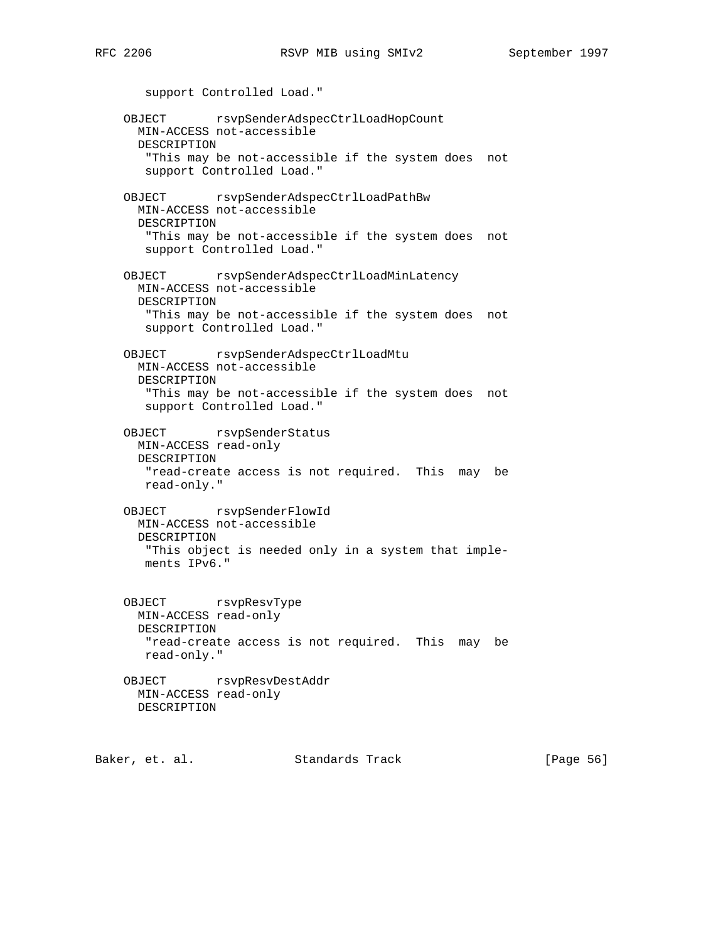support Controlled Load." OBJECT rsvpSenderAdspecCtrlLoadHopCount MIN-ACCESS not-accessible DESCRIPTION "This may be not-accessible if the system does not support Controlled Load." OBJECT rsvpSenderAdspecCtrlLoadPathBw MIN-ACCESS not-accessible DESCRIPTION "This may be not-accessible if the system does not support Controlled Load." OBJECT rsvpSenderAdspecCtrlLoadMinLatency MIN-ACCESS not-accessible DESCRIPTION "This may be not-accessible if the system does not support Controlled Load." OBJECT rsvpSenderAdspecCtrlLoadMtu MIN-ACCESS not-accessible DESCRIPTION "This may be not-accessible if the system does not support Controlled Load." OBJECT rsvpSenderStatus MIN-ACCESS read-only DESCRIPTION "read-create access is not required. This may be read-only." OBJECT rsvpSenderFlowId MIN-ACCESS not-accessible DESCRIPTION "This object is needed only in a system that imple ments IPv6." OBJECT rsvpResvType MIN-ACCESS read-only DESCRIPTION "read-create access is not required. This may be read-only." OBJECT rsvpResvDestAddr MIN-ACCESS read-only DESCRIPTION

Baker, et. al. Standards Track [Page 56]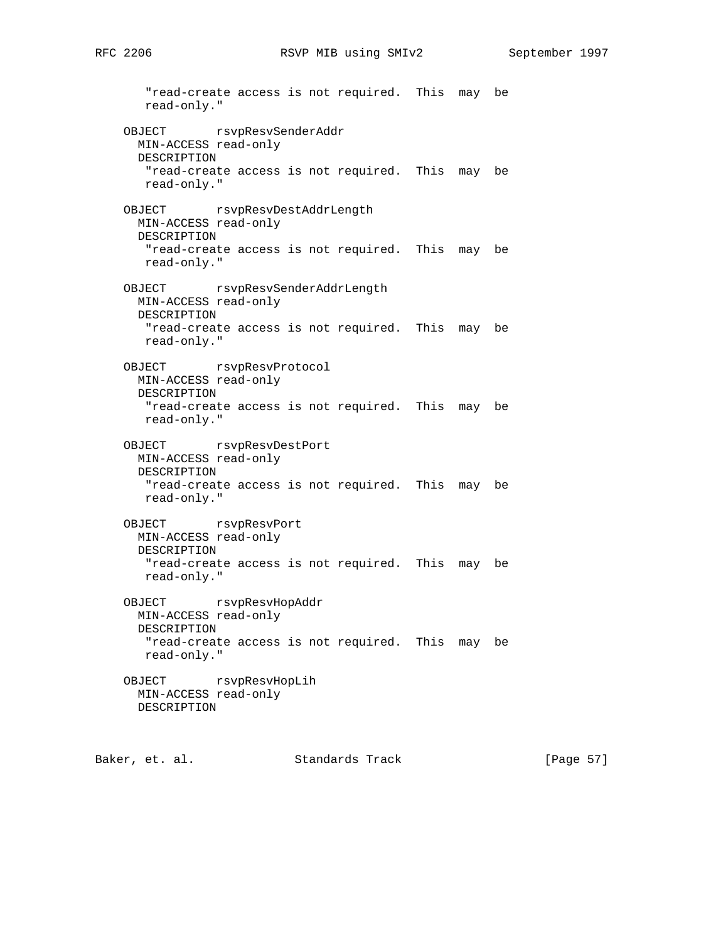"read-create access is not required. This may be read-only." OBJECT rsvpResvSenderAddr MIN-ACCESS read-only DESCRIPTION "read-create access is not required. This may be read-only." OBJECT rsvpResvDestAddrLength MIN-ACCESS read-only DESCRIPTION "read-create access is not required. This may be read-only." OBJECT rsvpResvSenderAddrLength MIN-ACCESS read-only DESCRIPTION "read-create access is not required. This may be read-only." OBJECT rsvpResvProtocol MIN-ACCESS read-only DESCRIPTION "read-create access is not required. This may be read-only." OBJECT rsvpResvDestPort MIN-ACCESS read-only DESCRIPTION "read-create access is not required. This may be read-only." OBJECT rsvpResvPort MIN-ACCESS read-only DESCRIPTION "read-create access is not required. This may be read-only." OBJECT rsvpResvHopAddr MIN-ACCESS read-only DESCRIPTION "read-create access is not required. This may be read-only." OBJECT rsvpResvHopLih MIN-ACCESS read-only DESCRIPTION

Baker, et. al. Standards Track [Page 57]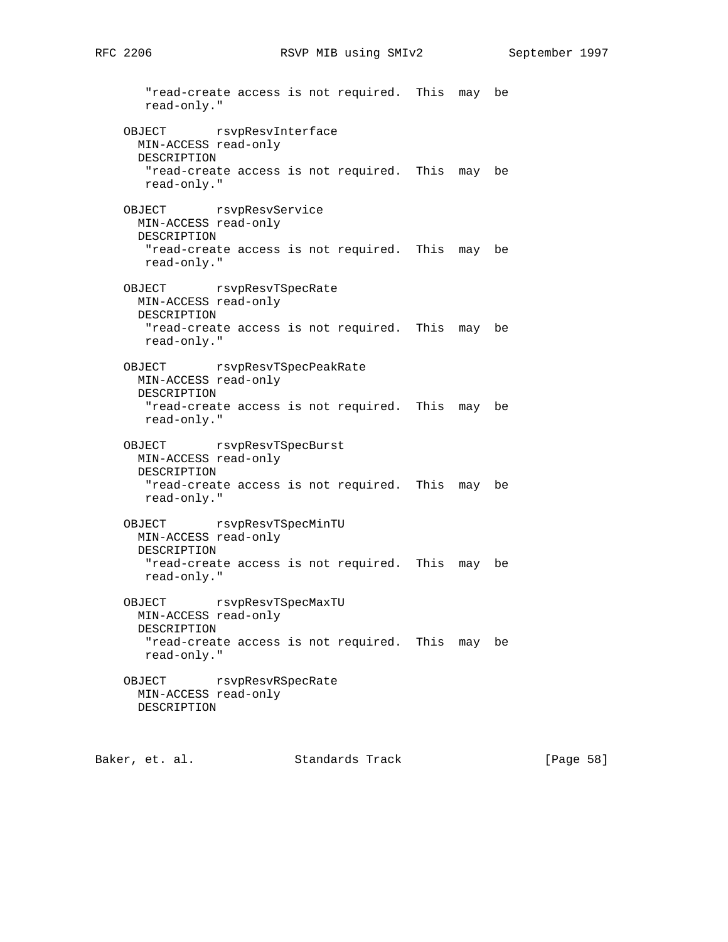"read-create access is not required. This may be read-only." OBJECT rsvpResvInterface MIN-ACCESS read-only DESCRIPTION "read-create access is not required. This may be read-only." OBJECT rsvpResvService MIN-ACCESS read-only DESCRIPTION "read-create access is not required. This may be read-only." OBJECT rsvpResvTSpecRate MIN-ACCESS read-only DESCRIPTION "read-create access is not required. This may be read-only." OBJECT rsvpResvTSpecPeakRate MIN-ACCESS read-only DESCRIPTION "read-create access is not required. This may be read-only." OBJECT rsvpResvTSpecBurst MIN-ACCESS read-only DESCRIPTION "read-create access is not required. This may be read-only." OBJECT rsvpResvTSpecMinTU MIN-ACCESS read-only DESCRIPTION "read-create access is not required. This may be read-only." OBJECT rsvpResvTSpecMaxTU MIN-ACCESS read-only DESCRIPTION "read-create access is not required. This may be read-only." OBJECT rsvpResvRSpecRate MIN-ACCESS read-only DESCRIPTION

Baker, et. al. Standards Track [Page 58]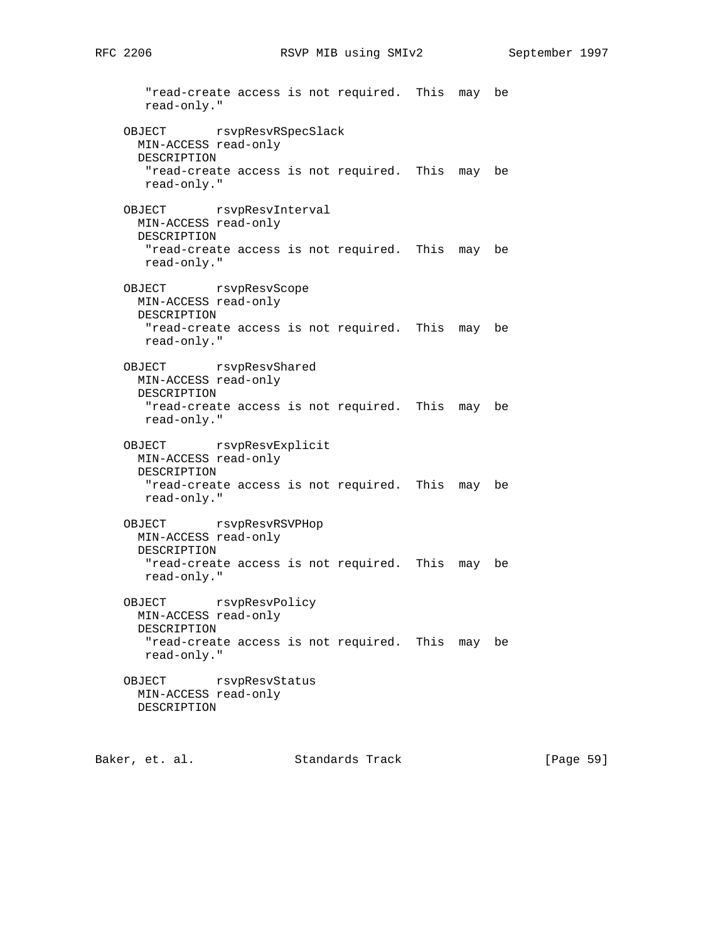"read-create access is not required. This may be read-only." OBJECT rsvpResvRSpecSlack MIN-ACCESS read-only DESCRIPTION "read-create access is not required. This may be read-only." OBJECT rsvpResvInterval MIN-ACCESS read-only DESCRIPTION "read-create access is not required. This may be read-only." OBJECT rsvpResvScope MIN-ACCESS read-only DESCRIPTION "read-create access is not required. This may be read-only." OBJECT rsvpResvShared MIN-ACCESS read-only DESCRIPTION "read-create access is not required. This may be read-only." OBJECT rsvpResvExplicit MIN-ACCESS read-only DESCRIPTION "read-create access is not required. This may be read-only." OBJECT rsvpResvRSVPHop MIN-ACCESS read-only DESCRIPTION "read-create access is not required. This may be read-only." OBJECT rsvpResvPolicy MIN-ACCESS read-only DESCRIPTION "read-create access is not required. This may be read-only." OBJECT rsvpResvStatus MIN-ACCESS read-only DESCRIPTION

Baker, et. al. Standards Track [Page 59]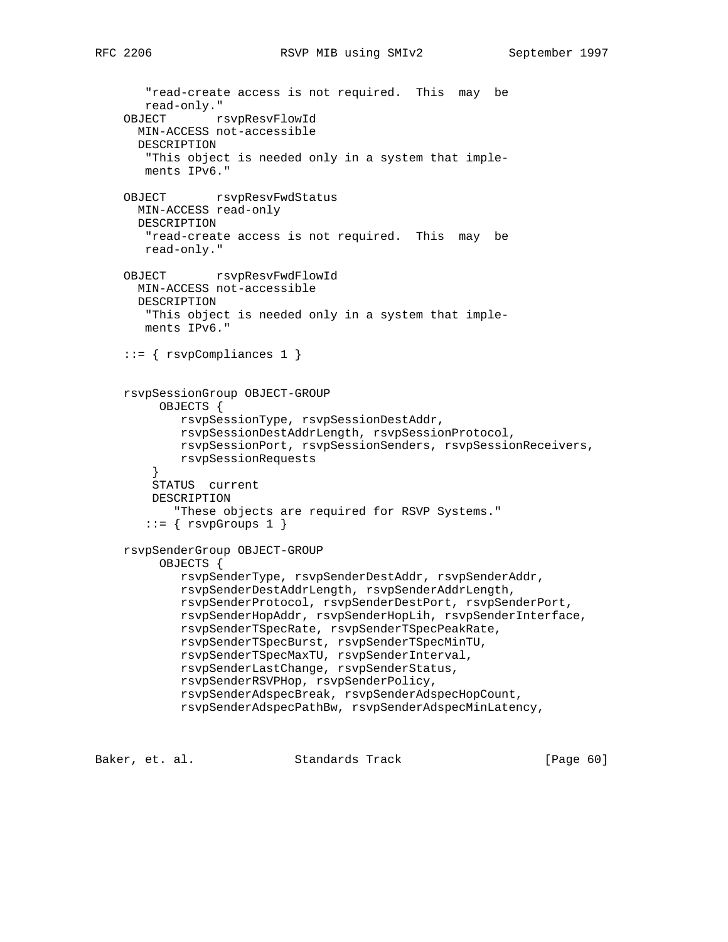```
 "read-create access is not required. This may be
    read-only."
 OBJECT rsvpResvFlowId
   MIN-ACCESS not-accessible
   DESCRIPTION
    "This object is needed only in a system that imple-
   ments IPv6."
OBJECT rsvpResvFwdStatus
  MIN-ACCESS read-only
  DESCRIPTION
    "read-create access is not required. This may be
   read-only."
 OBJECT rsvpResvFwdFlowId
   MIN-ACCESS not-accessible
   DESCRIPTION
    "This object is needed only in a system that imple-
   ments IPv6."
 ::= { rsvpCompliances 1 }
 rsvpSessionGroup OBJECT-GROUP
      OBJECTS {
         rsvpSessionType, rsvpSessionDestAddr,
         rsvpSessionDestAddrLength, rsvpSessionProtocol,
         rsvpSessionPort, rsvpSessionSenders, rsvpSessionReceivers,
         rsvpSessionRequests
     }
     STATUS current
    DESCRIPTION
        "These objects are required for RSVP Systems."
   ::= { rsvpGroups 1 }
 rsvpSenderGroup OBJECT-GROUP
      OBJECTS {
         rsvpSenderType, rsvpSenderDestAddr, rsvpSenderAddr,
         rsvpSenderDestAddrLength, rsvpSenderAddrLength,
         rsvpSenderProtocol, rsvpSenderDestPort, rsvpSenderPort,
         rsvpSenderHopAddr, rsvpSenderHopLih, rsvpSenderInterface,
         rsvpSenderTSpecRate, rsvpSenderTSpecPeakRate,
         rsvpSenderTSpecBurst, rsvpSenderTSpecMinTU,
         rsvpSenderTSpecMaxTU, rsvpSenderInterval,
         rsvpSenderLastChange, rsvpSenderStatus,
         rsvpSenderRSVPHop, rsvpSenderPolicy,
         rsvpSenderAdspecBreak, rsvpSenderAdspecHopCount,
         rsvpSenderAdspecPathBw, rsvpSenderAdspecMinLatency,
```
Baker, et. al. Standards Track [Page 60]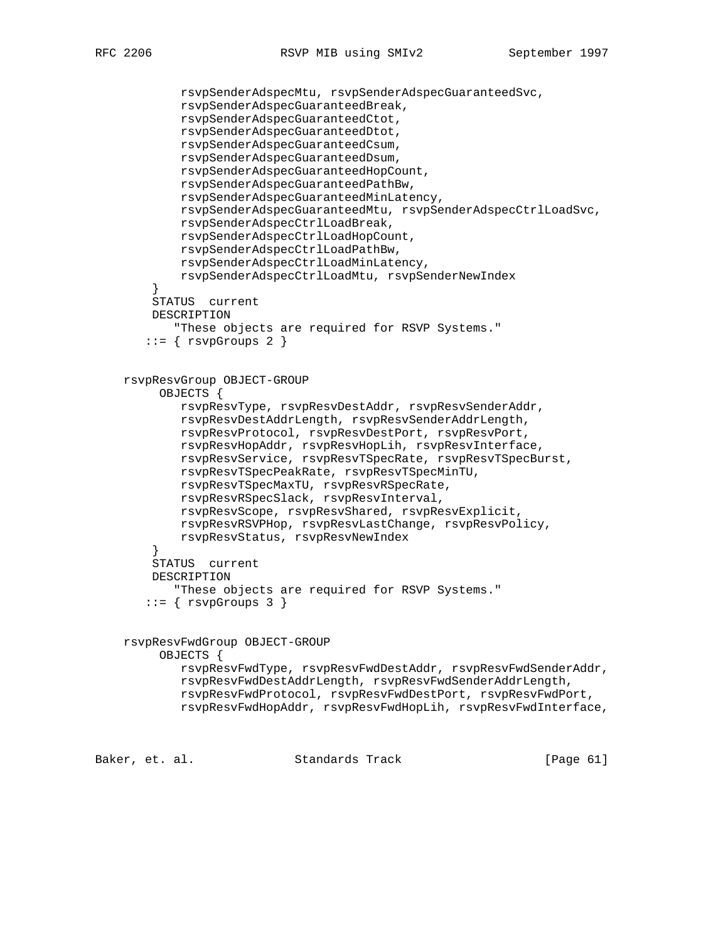```
 rsvpSenderAdspecMtu, rsvpSenderAdspecGuaranteedSvc,
             rsvpSenderAdspecGuaranteedBreak,
             rsvpSenderAdspecGuaranteedCtot,
             rsvpSenderAdspecGuaranteedDtot,
             rsvpSenderAdspecGuaranteedCsum,
             rsvpSenderAdspecGuaranteedDsum,
            rsvpSenderAdspecGuaranteedHopCount,
            rsvpSenderAdspecGuaranteedPathBw,
            rsvpSenderAdspecGuaranteedMinLatency,
            rsvpSenderAdspecGuaranteedMtu, rsvpSenderAdspecCtrlLoadSvc,
            rsvpSenderAdspecCtrlLoadBreak,
            rsvpSenderAdspecCtrlLoadHopCount,
             rsvpSenderAdspecCtrlLoadPathBw,
             rsvpSenderAdspecCtrlLoadMinLatency,
             rsvpSenderAdspecCtrlLoadMtu, rsvpSenderNewIndex
 }
        STATUS current
        DESCRIPTION
            "These objects are required for RSVP Systems."
       ::= { rsvpGroups 2 }
    rsvpResvGroup OBJECT-GROUP
          OBJECTS {
             rsvpResvType, rsvpResvDestAddr, rsvpResvSenderAddr,
             rsvpResvDestAddrLength, rsvpResvSenderAddrLength,
             rsvpResvProtocol, rsvpResvDestPort, rsvpResvPort,
             rsvpResvHopAddr, rsvpResvHopLih, rsvpResvInterface,
            rsvpResvService, rsvpResvTSpecRate, rsvpResvTSpecBurst,
            rsvpResvTSpecPeakRate, rsvpResvTSpecMinTU,
            rsvpResvTSpecMaxTU, rsvpResvRSpecRate,
            rsvpResvRSpecSlack, rsvpResvInterval,
            rsvpResvScope, rsvpResvShared, rsvpResvExplicit,
            rsvpResvRSVPHop, rsvpResvLastChange, rsvpResvPolicy,
            rsvpResvStatus, rsvpResvNewIndex
 }
        STATUS current
        DESCRIPTION
            "These objects are required for RSVP Systems."
       ::= { rsvpGroups 3 }
    rsvpResvFwdGroup OBJECT-GROUP
         OBJECTS {
            rsvpResvFwdType, rsvpResvFwdDestAddr, rsvpResvFwdSenderAddr,
            rsvpResvFwdDestAddrLength, rsvpResvFwdSenderAddrLength,
            rsvpResvFwdProtocol, rsvpResvFwdDestPort, rsvpResvFwdPort,
            rsvpResvFwdHopAddr, rsvpResvFwdHopLih, rsvpResvFwdInterface,
```
Baker, et. al. Standards Track [Page 61]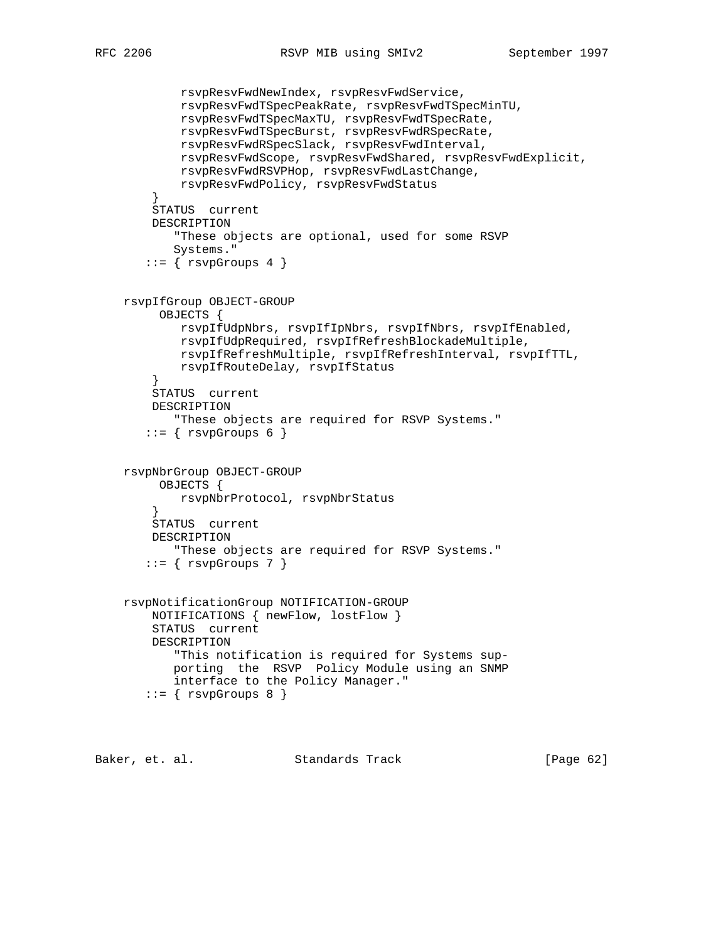```
 rsvpResvFwdNewIndex, rsvpResvFwdService,
             rsvpResvFwdTSpecPeakRate, rsvpResvFwdTSpecMinTU,
             rsvpResvFwdTSpecMaxTU, rsvpResvFwdTSpecRate,
            rsvpResvFwdTSpecBurst, rsvpResvFwdRSpecRate,
            rsvpResvFwdRSpecSlack, rsvpResvFwdInterval,
            rsvpResvFwdScope, rsvpResvFwdShared, rsvpResvFwdExplicit,
            rsvpResvFwdRSVPHop, rsvpResvFwdLastChange,
            rsvpResvFwdPolicy, rsvpResvFwdStatus
 }
        STATUS current
        DESCRIPTION
            "These objects are optional, used for some RSVP
           Systems."
        ::= \{ \text{rsvpGroups } 4 \} rsvpIfGroup OBJECT-GROUP
         OBJECTS {
            rsvpIfUdpNbrs, rsvpIfIpNbrs, rsvpIfNbrs, rsvpIfEnabled,
            rsvpIfUdpRequired, rsvpIfRefreshBlockadeMultiple,
            rsvpIfRefreshMultiple, rsvpIfRefreshInterval, rsvpIfTTL,
            rsvpIfRouteDelay, rsvpIfStatus
 }
        STATUS current
        DESCRIPTION
            "These objects are required for RSVP Systems."
       ::= { rsvpfroups 6 }
    rsvpNbrGroup OBJECT-GROUP
         OBJECTS {
            rsvpNbrProtocol, rsvpNbrStatus
 }
        STATUS current
        DESCRIPTION
           "These objects are required for RSVP Systems."
       ::= { rsvpfroups 7 }
    rsvpNotificationGroup NOTIFICATION-GROUP
        NOTIFICATIONS { newFlow, lostFlow }
        STATUS current
        DESCRIPTION
            "This notification is required for Systems sup-
           porting the RSVP Policy Module using an SNMP
           interface to the Policy Manager."
       ::= { rsvpGroups 8 }
```
Baker, et. al. Standards Track [Page 62]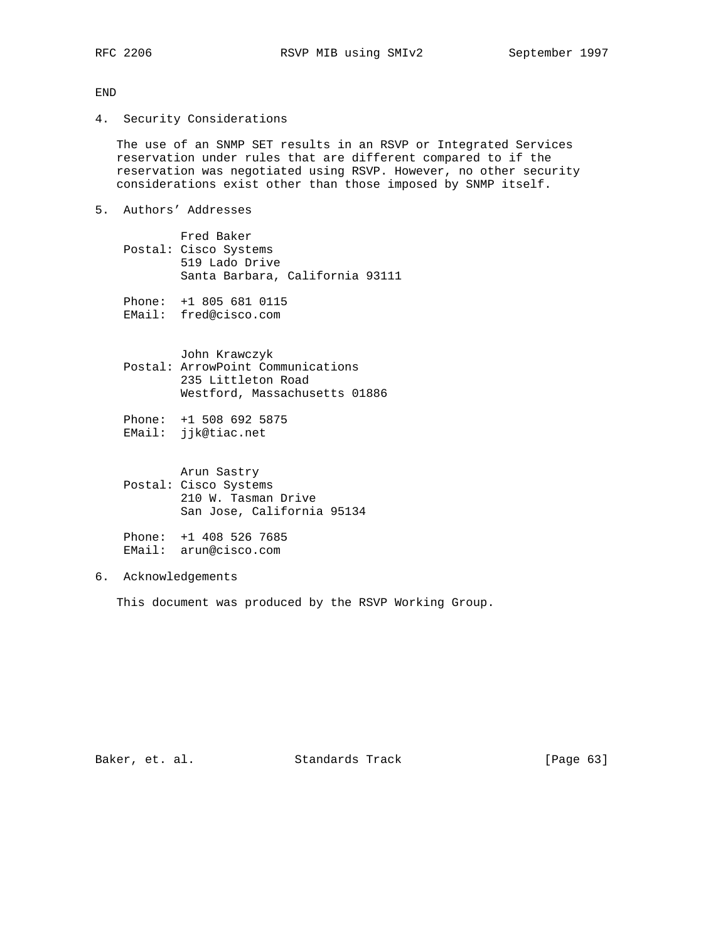END

4. Security Considerations

 The use of an SNMP SET results in an RSVP or Integrated Services reservation under rules that are different compared to if the reservation was negotiated using RSVP. However, no other security considerations exist other than those imposed by SNMP itself.

5. Authors' Addresses

 Fred Baker Postal: Cisco Systems 519 Lado Drive Santa Barbara, California 93111

Phone: +1 805 681 0115

EMail: fred@cisco.com

 John Krawczyk Postal: ArrowPoint Communications 235 Littleton Road Westford, Massachusetts 01886

 Phone: +1 508 692 5875 EMail: jjk@tiac.net

> Arun Sastry Postal: Cisco Systems 210 W. Tasman Drive San Jose, California 95134

 Phone: +1 408 526 7685 EMail: arun@cisco.com

# 6. Acknowledgements

This document was produced by the RSVP Working Group.

Baker, et. al. Standards Track [Page 63]